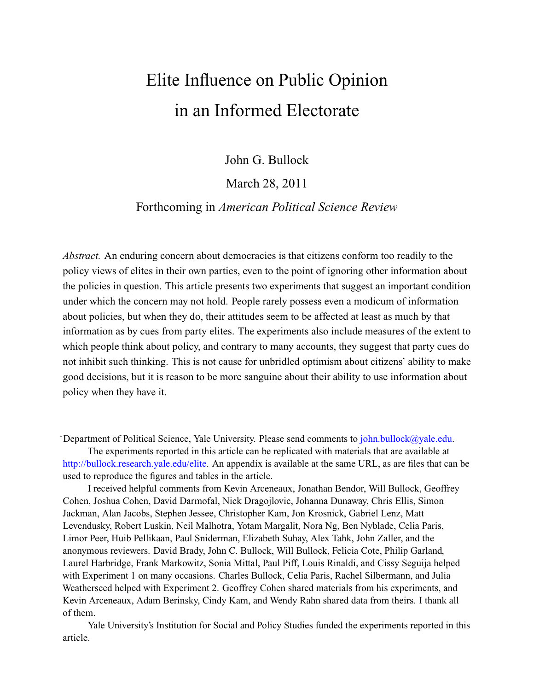# <span id="page-0-1"></span><span id="page-0-0"></span>Elite Influence on Public Opinion in an Informed Electorate

John G. Bullock

# March 28, 2011

# Forthcoming in *American Political Science Review*

*Abstract.* An enduring concern about democracies is that citizens conform too readily to the policy views of elites in their own parties, even to the point of ignoring other information about the policies in question. This article presents two experiments that suggest an important condition under which the concern may not hold. People rarely possess even a modicum of information about policies, but when they do, their attitudes seem to be affected at least as much by that information as by cues from party elites. The experiments also include measures of the extent to which people think about policy, and contrary to many accounts, they suggest that party cues do not inhibit such thinking. This is not cause for unbridled optimism about citizens' ability to make good decisions, but it is reason to be more sanguine about their ability to use information about policy when they have it.

<sup>∗</sup>Department of Political Science, Yale University. Please send comments to [john.bullock@yale.edu.](mailto:john.bullock@yale.edu)

The experiments reported in this article can be replicated with materials that are available at [http://bullock.research.yale.edu/elite.](http://bullock.research.yale.edu/elite) An appendix is available at the same URL, as are files that can be used to reproduce the figures and tables in the article.

I received helpful comments from Kevin Arceneaux, Jonathan Bendor, Will Bullock, Geoffrey Cohen, Joshua Cohen, David Darmofal, Nick Dragojlovic, Johanna Dunaway, Chris Ellis, Simon Jackman, Alan Jacobs, Stephen Jessee, Christopher Kam, Jon Krosnick, Gabriel Lenz, Matt Levendusky, Robert Luskin, Neil Malhotra, Yotam Margalit, Nora Ng, Ben Nyblade, Celia Paris, Limor Peer, Huib Pellikaan, Paul Sniderman, Elizabeth Suhay, Alex Tahk, John Zaller, and the anonymous reviewers. David Brady, John C. Bullock, Will Bullock, Felicia Cote, Philip Garland, Laurel Harbridge, Frank Markowitz, Sonia Mittal, Paul Piff, Louis Rinaldi, and Cissy Seguija helped with Experiment 1 on many occasions. Charles Bullock, Celia Paris, Rachel Silbermann, and Julia Weatherseed helped with Experiment 2. Geoffrey Cohen shared materials from his experiments, and Kevin Arceneaux, Adam Berinsky, Cindy Kam, and Wendy Rahn shared data from theirs. I thank all of them.

Yale University's Institution for Social and Policy Studies funded the experiments reported in this article.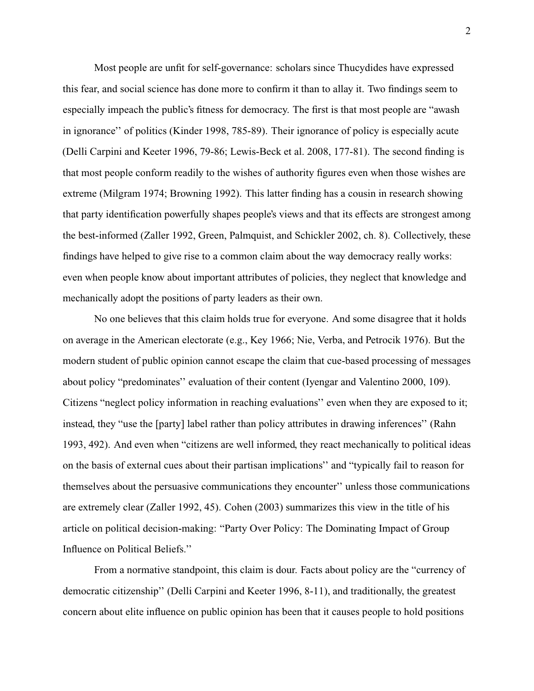Most people are unfit for self-governance: scholars since Thucydides have expressed this fear, and social science has done more to confirm it than to allay it. Two findings seem to especially impeach the public's fitness for democracy. The first is that most people are "awash in ignorance'' of politics [\(Kinder](#page-49-0) [1998,](#page-49-0) 785-89). Their ignorance of policy is especially acute [\(Delli Carpini and Keeter](#page-48-0) [1996,](#page-48-0) 79-86; [Lewis-Beck et al.](#page-50-0) [2008,](#page-50-0) 177-81). The second finding is that most people conform readily to the wishes of authority figures even when those wishes are extreme [\(Milgram](#page-51-0) [1974;](#page-51-0) [Browning](#page-47-0) [1992\)](#page-47-0). This latter finding has a cousin in research showing that party identification powerfully shapes people's views and that its effects are strongest among the best-informed [\(Zaller](#page-53-0) [1992,](#page-53-0) [Green, Palmquist, and Schickler](#page-48-1) [2002,](#page-48-1) ch. 8). Collectively, these findings have helped to give rise to a common claim about the way democracy really works: even when people know about important attributes of policies, they neglect that knowledge and mechanically adopt the positions of party leaders as their own.

No one believes that this claim holds true for everyone. And some disagree that it holds on average in the American electorate (e.g., [Key](#page-49-1) [1966;](#page-49-1) [Nie, Verba, and Petrocik](#page-51-1) [1976\)](#page-51-1). But the modern student of public opinion cannot escape the claim that cue-based processing of messages about policy "predominates'' evaluation of their content [\(Iyengar and Valentino](#page-49-2) [2000,](#page-49-2) 109). Citizens "neglect policy information in reaching evaluations'' even when they are exposed to it; instead, they "use the [party] label rather than policy attributes in drawing inferences'' [\(Rahn](#page-52-0) [1993,](#page-52-0) 492). And even when "citizens are well informed, they react mechanically to political ideas on the basis of external cues about their partisan implications'' and "typically fail to reason for themselves about the persuasive communications they encounter'' unless those communications are extremely clear [\(Zaller](#page-53-0) 1992, 45). [Cohen](#page-47-1) [\(2003\)](#page-47-1) summarizes this view in the title of his article on political decision-making: "Party Over Policy: The Dominating Impact of Group Influence on Political Beliefs.''

From a normative standpoint, this claim is dour. Facts about policy are the "currency of democratic citizenship'' [\(Delli Carpini and Keeter](#page-48-0) [1996,](#page-48-0) 8-11), and traditionally, the greatest concern about elite influence on public opinion has been that it causes people to hold positions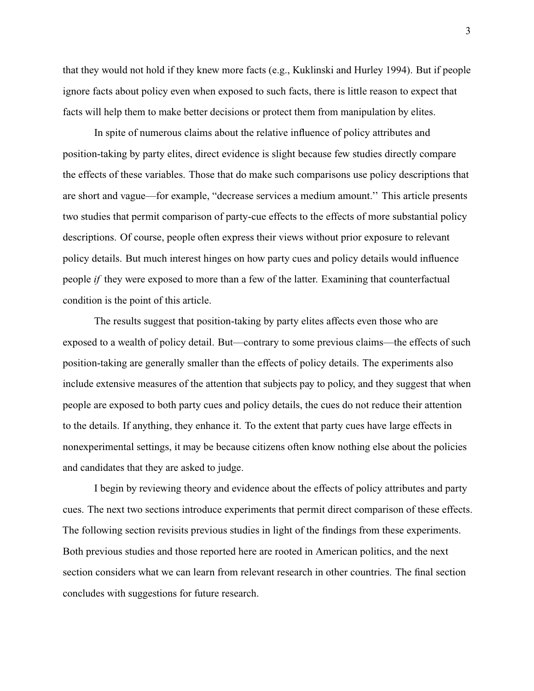that they would not hold if they knew more facts (e.g., [Kuklinski and Hurley](#page-49-3) [1994\)](#page-49-3). But if people ignore facts about policy even when exposed to such facts, there is little reason to expect that facts will help them to make better decisions or protect them from manipulation by elites.

In spite of numerous claims about the relative influence of policy attributes and position-taking by party elites, direct evidence is slight because few studies directly compare the effects of these variables. Those that do make such comparisons use policy descriptions that are short and vague—for example, "decrease services a medium amount.'' This article presents two studies that permit comparison of party-cue effects to the effects of more substantial policy descriptions. Of course, people often express their views without prior exposure to relevant policy details. But much interest hinges on how party cues and policy details would influence people *if* they were exposed to more than a few of the latter. Examining that counterfactual condition is the point of this article.

The results suggest that position-taking by party elites affects even those who are exposed to a wealth of policy detail. But—contrary to some previous claims—the effects of such position-taking are generally smaller than the effects of policy details. The experiments also include extensive measures of the attention that subjects pay to policy, and they suggest that when people are exposed to both party cues and policy details, the cues do not reduce their attention to the details. If anything, they enhance it. To the extent that party cues have large effects in nonexperimental settings, it may be because citizens often know nothing else about the policies and candidates that they are asked to judge.

I begin by reviewing theory and evidence about the effects of policy attributes and party cues. The next two sections introduce experiments that permit direct comparison of these effects. The following section revisits previous studies in light of the findings from these experiments. Both previous studies and those reported here are rooted in American politics, and the next section considers what we can learn from relevant research in other countries. The final section concludes with suggestions for future research.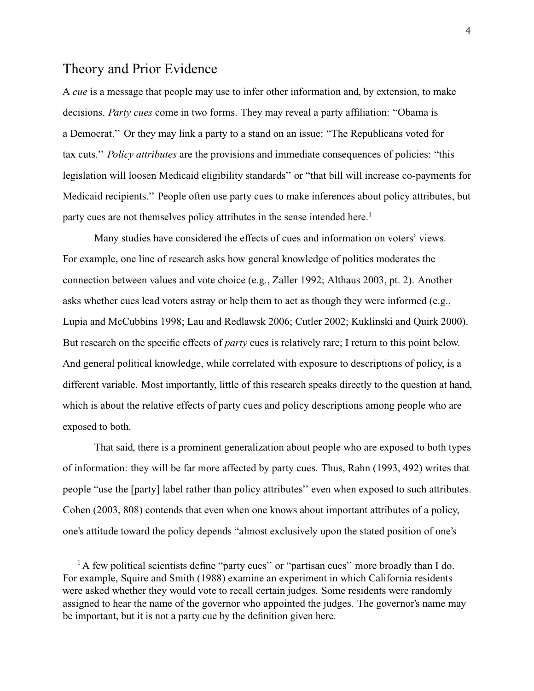# <span id="page-3-0"></span>Theory and Prior Evidence

A *cue* is a message that people may use to infer other information and, by extension, to make decisions. *Party cues* come in two forms. They may reveal a party affiliation: "Obama is a Democrat.'' Or they may link a party to a stand on an issue: "The Republicans voted for tax cuts.'' *Policy attributes* are the provisions and immediate consequences of policies: "this legislation will loosen Medicaid eligibility standards'' or "that bill will increase co-payments for Medicaid recipients.'' People often use party cues to make inferences about policy attributes, but party cues are not themselves policy attributes in the sense intended here.<sup>1</sup>

Many studies have considered the effects of cues and information on voters' views. For example, one line of research asks how general knowledge of politics moderates the connection between values and vote choice (e.g., [Zaller](#page-53-0) [1992;](#page-53-0) [Althaus](#page-46-0) [2003,](#page-46-0) pt. 2). Another asks whether cues lead voters astray or help them to act as though they were informed (e.g., [Lupia and McCubbins](#page-50-1) [1998;](#page-50-1) [Lau and Redlawsk](#page-50-2) [2006;](#page-50-2) [Cutler](#page-47-2) [2002;](#page-47-2) [Kuklinski and Quirk](#page-50-3) [2000\)](#page-50-3). But research on the specific effects of *party* cues is relatively rare; I return to this point below. And general political knowledge, while correlated with exposure to descriptions of policy, is a different variable. Most importantly, little of this research speaks directly to the question at hand, which is about the relative effects of party cues and policy descriptions among people who are exposed to both.

That said, there is a prominent generalization about people who are exposed to both types of information: they will be far more affected by party cues. Thus, [Rahn](#page-52-0) [\(1993,](#page-52-0) 492) writes that people "use the [party] label rather than policy attributes'' even when exposed to such attributes. [Cohen](#page-47-1) [\(2003,](#page-47-1) 808) contends that even when one knows about important attributes of a policy, one's attitude toward the policy depends "almost exclusively upon the stated position of one's

 $<sup>1</sup>$ A few political scientists define "party cues" or "partisan cues" more broadly than I do.</sup> For example, [Squire and Smith](#page-52-1) [\(1988\)](#page-52-1) examine an experiment in which California residents were asked whether they would vote to recall certain judges. Some residents were randomly assigned to hear the name of the governor who appointed the judges. The governor's name may be important, but it is not a party cue by the definition given here.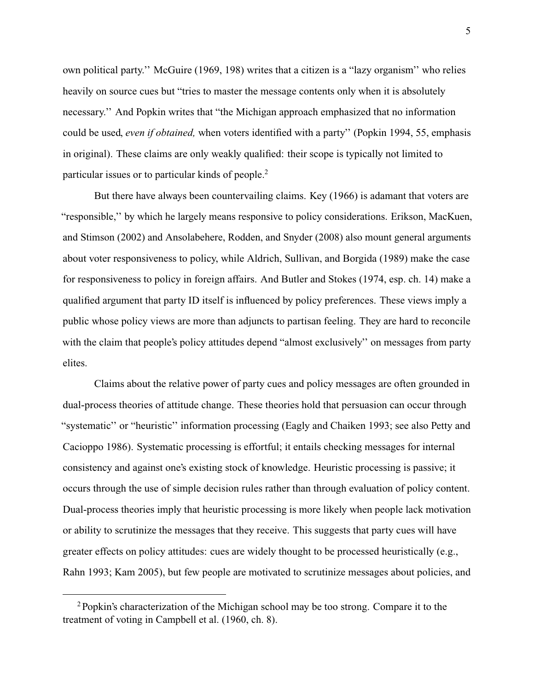own political party.'' [McGuire](#page-50-4) [\(1969,](#page-50-4) 198) writes that a citizen is a "lazy organism'' who relies heavily on source cues but "tries to master the message contents only when it is absolutely necessary.'' And Popkin writes that "the Michigan approach emphasized that no information could be used, *even if obtained,* when voters identified with a party'' [\(Popkin](#page-52-2) [1994,](#page-52-2) 55, emphasis in original). These claims are only weakly qualified: their scope is typically not limited to particular issues or to particular kinds of people.<sup>2</sup>

But there have always been countervailing claims. [Key](#page-49-1) [\(1966\)](#page-49-1) is adamant that voters are "responsible,'' by which he largely means responsive to policy considerations. [Erikson, MacKuen,](#page-48-2) [and Stimson](#page-48-2) [\(2002\)](#page-48-2) and [Ansolabehere, Rodden, and Snyder](#page-46-1) [\(2008\)](#page-46-1) also mount general arguments about voter responsiveness to policy, while [Aldrich, Sullivan, and Borgida](#page-46-2) [\(1989\)](#page-46-2) make the case for responsiveness to policy in foreign affairs. And [Butler and Stokes](#page-47-3) [\(1974,](#page-47-3) esp. ch. 14) make a qualified argument that party ID itself is influenced by policy preferences. These views imply a public whose policy views are more than adjuncts to partisan feeling. They are hard to reconcile with the claim that people's policy attitudes depend "almost exclusively" on messages from party elites.

Claims about the relative power of party cues and policy messages are often grounded in dual-process theories of attitude change. These theories hold that persuasion can occur through "systematic'' or "heuristic'' information processing [\(Eagly and Chaiken](#page-48-3) [1993;](#page-48-3) see also [Petty and](#page-51-2) [Cacioppo](#page-51-2) [1986\)](#page-51-2). Systematic processing is effortful; it entails checking messages for internal consistency and against one's existing stock of knowledge. Heuristic processing is passive; it occurs through the use of simple decision rules rather than through evaluation of policy content. Dual-process theories imply that heuristic processing is more likely when people lack motivation or ability to scrutinize the messages that they receive. This suggests that party cues will have greater effects on policy attitudes: cues are widely thought to be processed heuristically (e.g., [Rahn](#page-52-0) [1993;](#page-52-0) [Kam](#page-49-4) [2005\)](#page-49-4), but few people are motivated to scrutinize messages about policies, and

<sup>&</sup>lt;sup>2</sup> Popkin's characterization of the Michigan school may be too strong. Compare it to the treatment of voting in [Campbell et al.](#page-47-4) [\(1960,](#page-47-4) ch. 8).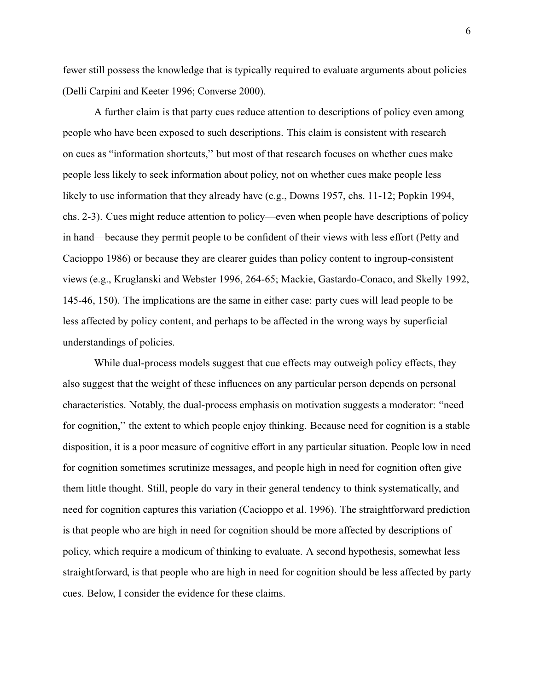fewer still possess the knowledge that is typically required to evaluate arguments about policies [\(Delli Carpini and Keeter](#page-48-0) [1996;](#page-48-0) [Converse](#page-47-5) [2000\)](#page-47-5).

A further claim is that party cues reduce attention to descriptions of policy even among people who have been exposed to such descriptions. This claim is consistent with research on cues as "information shortcuts,'' but most of that research focuses on whether cues make people less likely to seek information about policy, not on whether cues make people less likely to use information that they already have (e.g., [Downs](#page-48-4) [1957,](#page-48-4) chs. 11-12; [Popkin](#page-52-2) [1994,](#page-52-2) chs. 2-3). Cues might reduce attention to policy—even when people have descriptions of policy in hand—because they permit people to be confident of their views with less effort [\(Petty and](#page-51-2) [Cacioppo](#page-51-2) [1986\)](#page-51-2) or because they are clearer guides than policy content to ingroup-consistent views (e.g., [Kruglanski and Webster](#page-49-5) [1996,](#page-49-5) 264-65; [Mackie, Gastardo-Conaco, and Skelly](#page-50-5) [1992,](#page-50-5) 145-46, 150). The implications are the same in either case: party cues will lead people to be less affected by policy content, and perhaps to be affected in the wrong ways by superficial understandings of policies.

While dual-process models suggest that cue effects may outweigh policy effects, they also suggest that the weight of these influences on any particular person depends on personal characteristics. Notably, the dual-process emphasis on motivation suggests a moderator: "need for cognition,'' the extent to which people enjoy thinking. Because need for cognition is a stable disposition, it is a poor measure of cognitive effort in any particular situation. People low in need for cognition sometimes scrutinize messages, and people high in need for cognition often give them little thought. Still, people do vary in their general tendency to think systematically, and need for cognition captures this variation [\(Cacioppo et al.](#page-47-6) [1996\)](#page-47-6). The straightforward prediction is that people who are high in need for cognition should be more affected by descriptions of policy, which require a modicum of thinking to evaluate. A second hypothesis, somewhat less straightforward, is that people who are high in need for cognition should be less affected by party cues. Below, I consider the evidence for these claims.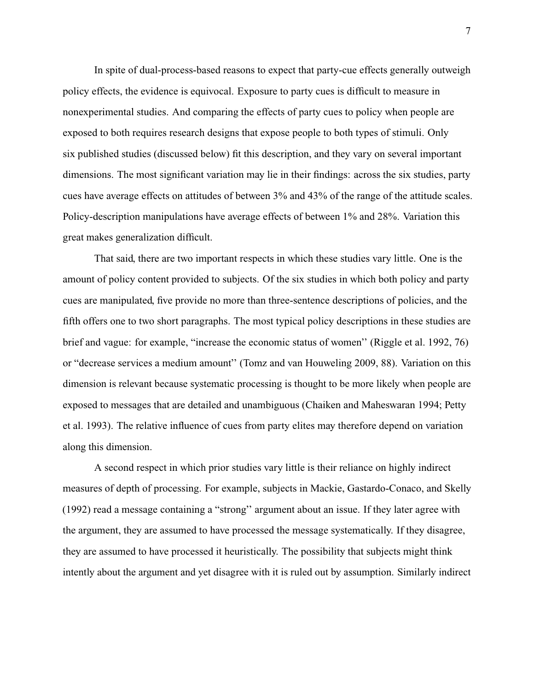In spite of dual-process-based reasons to expect that party-cue effects generally outweigh policy effects, the evidence is equivocal. Exposure to party cues is difficult to measure in nonexperimental studies. And comparing the effects of party cues to policy when people are exposed to both requires research designs that expose people to both types of stimuli. Only six published studies (discussed below) fit this description, and they vary on several important dimensions. The most significant variation may lie in their findings: across the six studies, party cues have average effects on attitudes of between 3% and 43% of the range of the attitude scales. Policy-description manipulations have average effects of between 1% and 28%. Variation this great makes generalization difficult.

That said, there are two important respects in which these studies vary little. One is the amount of policy content provided to subjects. Of the six studies in which both policy and party cues are manipulated, five provide no more than three-sentence descriptions of policies, and the fifth offers one to two short paragraphs. The most typical policy descriptions in these studies are brief and vague: for example, "increase the economic status of women'' [\(Riggle et al.](#page-52-3) [1992,](#page-52-3) 76) or "decrease services a medium amount'' [\(Tomz and van Houweling](#page-52-4) [2009,](#page-52-4) 88). Variation on this dimension is relevant because systematic processing is thought to be more likely when people are exposed to messages that are detailed and unambiguous [\(Chaiken and Maheswaran](#page-47-7) [1994;](#page-47-7) [Petty](#page-51-3) [et al.](#page-51-3) [1993\)](#page-51-3). The relative influence of cues from party elites may therefore depend on variation along this dimension.

A second respect in which prior studies vary little is their reliance on highly indirect measures of depth of processing. For example, subjects in [Mackie, Gastardo-Conaco, and Skelly](#page-50-5) [\(1992\)](#page-50-5) read a message containing a "strong'' argument about an issue. If they later agree with the argument, they are assumed to have processed the message systematically. If they disagree, they are assumed to have processed it heuristically. The possibility that subjects might think intently about the argument and yet disagree with it is ruled out by assumption. Similarly indirect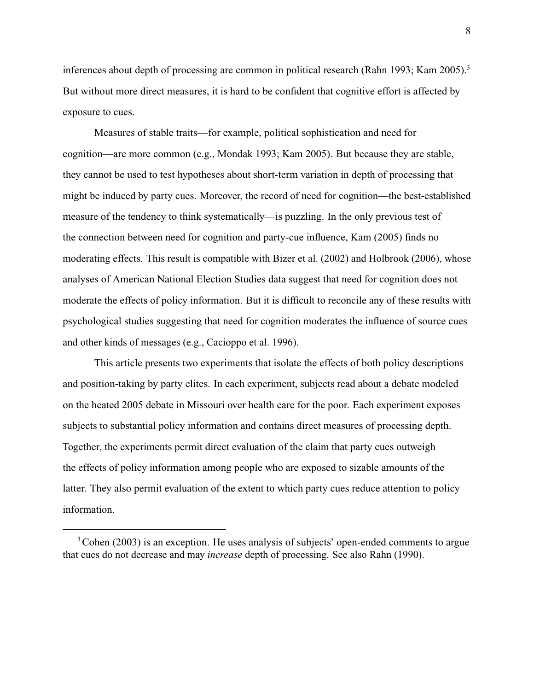inferences about depth of processing are common in political research [\(Rahn](#page-52-0) [1993;](#page-52-0) [Kam](#page-49-4) [2005\)](#page-49-4).<sup>3</sup> But without more direct measures, it is hard to be confident that cognitive effort is affected by exposure to cues.

Measures of stable traits—for example, political sophistication and need for cognition—are more common (e.g., [Mondak](#page-51-4) [1993;](#page-51-4) [Kam](#page-49-4) [2005\)](#page-49-4). But because they are stable, they cannot be used to test hypotheses about short-term variation in depth of processing that might be induced by party cues. Moreover, the record of need for cognition—the best-established measure of the tendency to think systematically—is puzzling. In the only previous test of the connection between need for cognition and party-cue influence, [Kam](#page-49-4) [\(2005\)](#page-49-4) finds no moderating effects. This result is compatible with [Bizer et al.](#page-46-3) [\(2002\)](#page-46-3) and [Holbrook](#page-48-5) [\(2006\)](#page-48-5), whose analyses of American National Election Studies data suggest that need for cognition does not moderate the effects of policy information. But it is difficult to reconcile any of these results with psychological studies suggesting that need for cognition moderates the influence of source cues and other kinds of messages (e.g., [Cacioppo et al.](#page-47-6) [1996\)](#page-47-6).

This article presents two experiments that isolate the effects of both policy descriptions and position-taking by party elites. In each experiment, subjects read about a debate modeled on the heated 2005 debate in Missouri over health care for the poor. Each experiment exposes subjects to substantial policy information and contains direct measures of processing depth. Together, the experiments permit direct evaluation of the claim that party cues outweigh the effects of policy information among people who are exposed to sizable amounts of the latter. They also permit evaluation of the extent to which party cues reduce attention to policy information.

<sup>&</sup>lt;sup>3</sup> [Cohen](#page-47-1) [\(2003\)](#page-47-1) is an exception. He uses analysis of subjects' open-ended comments to argue that cues do not decrease and may *increase* depth of processing. See also [Rahn](#page-52-5) [\(1990\)](#page-52-5).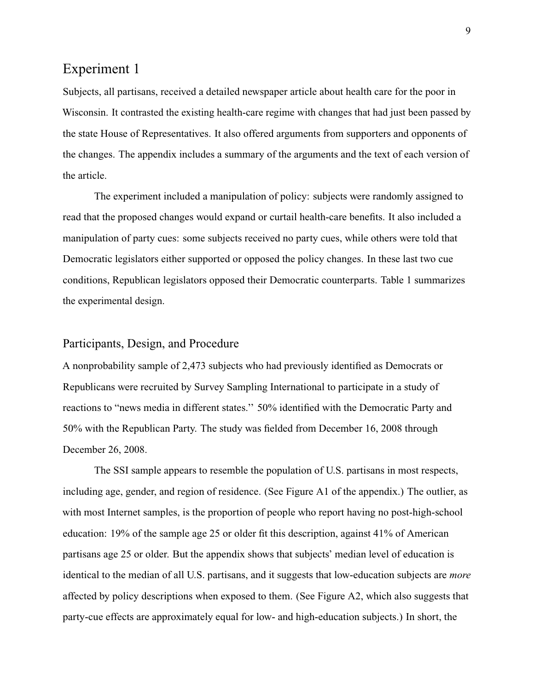# Experiment 1

Subjects, all partisans, received a detailed newspaper article about health care for the poor in Wisconsin. It contrasted the existing health-care regime with changes that had just been passed by the state House of Representatives. It also offered arguments from supporters and opponents of the changes. The appendix includes a summary of the arguments and the text of each version of the article.

The experiment included a manipulation of policy: subjects were randomly assigned to read that the proposed changes would expand or curtail health-care benefits. It also included a manipulation of party cues: some subjects received no party cues, while others were told that Democratic legislators either supported or opposed the policy changes. In these last two cue conditions, Republican legislators opposed their Democratic counterparts. [Table 1](#page-9-0) summarizes the experimental design.

## Participants, Design, and Procedure

A nonprobability sample of 2,473 subjects who had previously identified as Democrats or Republicans were recruited by Survey Sampling International to participate in a study of reactions to "news media in different states.'' 50% identified with the Democratic Party and 50% with the Republican Party. The study was fielded from December 16, 2008 through December 26, 2008.

The SSI sample appears to resemble the population of U.S. partisans in most respects, including age, gender, and region of residence. (See [Figure A1](#page-81-0) of the appendix.) The outlier, as with most Internet samples, is the proportion of people who report having no post-high-school education: 19% of the sample age 25 or older fit this description, against 41% of American partisans age 25 or older. But the appendix shows that subjects' median level of education is identical to the median of all U.S. partisans, and it suggests that low-education subjects are *more* affected by policy descriptions when exposed to them. (See [Figure A2,](#page-83-0) which also suggests that party-cue effects are approximately equal for low- and high-education subjects.) In short, the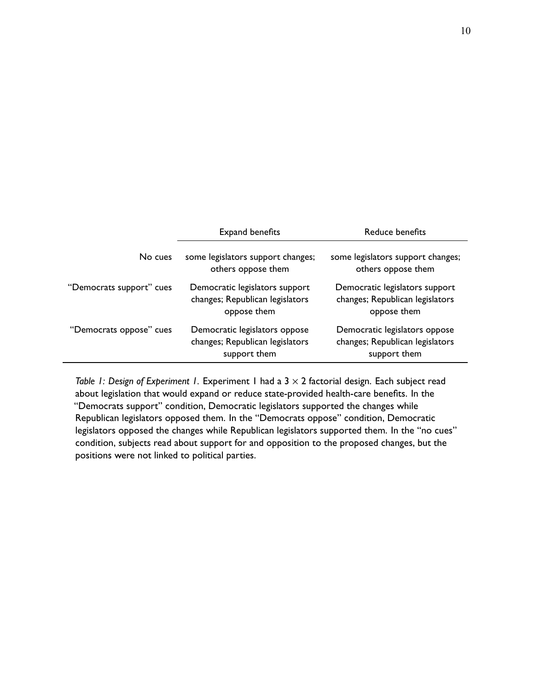<span id="page-9-0"></span>

|                          | Expand benefits                                                                  | Reduce benefits                                                                  |  |
|--------------------------|----------------------------------------------------------------------------------|----------------------------------------------------------------------------------|--|
| No cues                  | some legislators support changes;<br>others oppose them                          | some legislators support changes;<br>others oppose them                          |  |
| "Democrats support" cues | Democratic legislators support<br>changes; Republican legislators<br>oppose them | Democratic legislators support<br>changes; Republican legislators<br>oppose them |  |
| "Democrats oppose" cues  | Democratic legislators oppose<br>changes; Republican legislators<br>support them | Democratic legislators oppose<br>changes; Republican legislators<br>support them |  |

*Table 1: Design of Experiment 1.* Experiment 1 had a 3  $\times$  2 factorial design. Each subject read about legislation that would expand or reduce state-provided health-care benefits. In the "Democrats support" condition, Democratic legislators supported the changes while Republican legislators opposed them. In the "Democrats oppose" condition, Democratic legislators opposed the changes while Republican legislators supported them. In the "no cues" condition, subjects read about support for and opposition to the proposed changes, but the positions were not linked to political parties.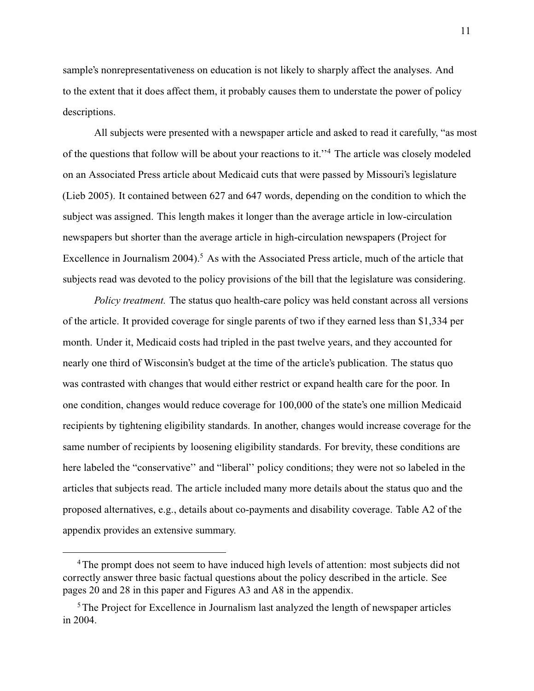sample's nonrepresentativeness on education is not likely to sharply affect the analyses. And to the extent that it does affect them, it probably causes them to understate the power of policy descriptions.

All subjects were presented with a newspaper article and asked to read it carefully, "as most of the questions that follow will be about your reactions to it.''<sup>4</sup> The article was closely modeled on an Associated Press article about Medicaid cuts that were passed by Missouri's legislature [\(Lieb](#page-50-6) 2005). It contained between 627 and 647 words, depending on the condition to which the subject was assigned. This length makes it longer than the average article in low-circulation newspapers but shorter than the average article in high-circulation newspapers [\(Project for](#page-52-6) [Excellence in Journalism](#page-52-6) [2004\)](#page-52-6).<sup>5</sup> As with the Associated Press article, much of the article that subjects read was devoted to the policy provisions of the bill that the legislature was considering.

*Policy treatment.* The status quo health-care policy was held constant across all versions of the article. It provided coverage for single parents of two if they earned less than \$1,334 per month. Under it, Medicaid costs had tripled in the past twelve years, and they accounted for nearly one third of Wisconsin's budget at the time of the article's publication. The status quo was contrasted with changes that would either restrict or expand health care for the poor. In one condition, changes would reduce coverage for 100,000 of the state's one million Medicaid recipients by tightening eligibility standards. In another, changes would increase coverage for the same number of recipients by loosening eligibility standards. For brevity, these conditions are here labeled the "conservative" and "liberal" policy conditions; they were not so labeled in the articles that subjects read. The article included many more details about the status quo and the proposed alternatives, e.g., details about co-payments and disability coverage. [Table A2](#page-78-0) of [the](#page-61-0) [appendix](#page-61-0) provides an extensive summary.

<sup>&</sup>lt;sup>4</sup>The prompt does not seem to have induced high levels of attention: most subjects did not correctly answer three basic factual questions about the policy described in the article. See pages [20](#page-0-0) and [28](#page-0-0) in this paper and Figures [A3](#page-88-0) and [A8](#page-111-0) in the appendix.

<sup>&</sup>lt;sup>5</sup>The [Project for Excellence in Journalism](#page-52-6) last analyzed the length of newspaper articles in 2004.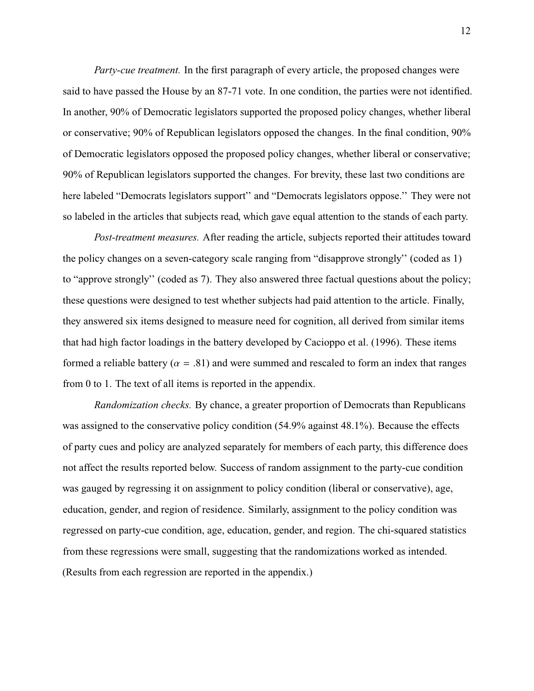*Party-cue treatment.* In the first paragraph of every article, the proposed changes were said to have passed the House by an 87-71 vote. In one condition, the parties were not identified. In another, 90% of Democratic legislators supported the proposed policy changes, whether liberal or conservative; 90% of Republican legislators opposed the changes. In the final condition, 90% of Democratic legislators opposed the proposed policy changes, whether liberal or conservative; 90% of Republican legislators supported the changes. For brevity, these last two conditions are here labeled "Democrats legislators support" and "Democrats legislators oppose." They were not so labeled in the articles that subjects read, which gave equal attention to the stands of each party.

*Post-treatment measures.* After reading the article, subjects reported their attitudes toward the policy changes on a seven-category scale ranging from "disapprove strongly'' (coded as 1) to "approve strongly'' (coded as 7). They also answered three factual questions about the policy; these questions were designed to test whether subjects had paid attention to the article. Finally, they answered six items designed to measure need for cognition, all derived from similar items that had high factor loadings in the battery developed by [Cacioppo et al.](#page-47-6) [\(1996\)](#page-47-6). These items formed a reliable battery ( $\alpha = .81$ ) and were summed and rescaled to form an index that ranges from 0 to 1. The text of all items is reported in the appendix.

*Randomization checks.* By chance, a greater proportion of Democrats than Republicans was assigned to the conservative policy condition (54.9% against 48.1%). Because the effects of party cues and policy are analyzed separately for members of each party, this difference does not affect the results reported below. Success of random assignment to the party-cue condition was gauged by regressing it on assignment to policy condition (liberal or conservative), age, education, gender, and region of residence. Similarly, assignment to the policy condition was regressed on party-cue condition, age, education, gender, and region. The chi-squared statistics from these regressions were small, suggesting that the randomizations worked as intended. (Results from each regression are reported in the appendix.)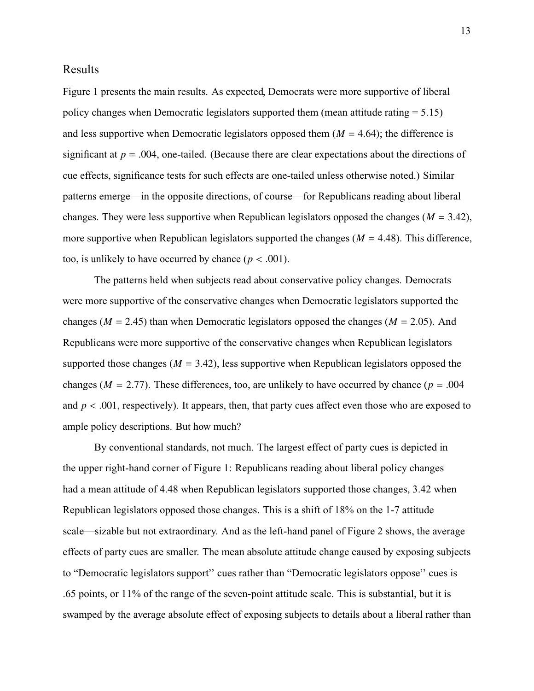## Results

[Figure 1](#page-13-0) presents the main results. As expected, Democrats were more supportive of liberal policy changes when Democratic legislators supported them (mean attitude rating  $= 5.15$ ) and less supportive when Democratic legislators opposed them  $(M = 4.64)$ ; the difference is significant at  $p = .004$ , one-tailed. (Because there are clear expectations about the directions of cue effects, significance tests for such effects are one-tailed unless otherwise noted.) Similar patterns emerge—in the opposite directions, of course—for Republicans reading about liberal changes. They were less supportive when Republican legislators opposed the changes ( $M = 3.42$ ), more supportive when Republican legislators supported the changes  $(M = 4.48)$ . This difference, too, is unlikely to have occurred by chance  $(p < .001)$ .

The patterns held when subjects read about conservative policy changes. Democrats were more supportive of the conservative changes when Democratic legislators supported the changes ( $M = 2.45$ ) than when Democratic legislators opposed the changes ( $M = 2.05$ ). And Republicans were more supportive of the conservative changes when Republican legislators supported those changes (*<sup>M</sup>* <sup>=</sup> <sup>3</sup>.42), less supportive when Republican legislators opposed the changes ( $M = 2.77$ ). These differences, too, are unlikely to have occurred by chance ( $p = .004$ ) and  $p < .001$ , respectively). It appears, then, that party cues affect even those who are exposed to ample policy descriptions. But how much?

By conventional standards, not much. The largest effect of party cues is depicted in the upper right-hand corner of [Figure 1:](#page-13-0) Republicans reading about liberal policy changes had a mean attitude of 4.48 when Republican legislators supported those changes, 3.42 when Republican legislators opposed those changes. This is a shift of 18% on the 1-7 attitude scale—sizable but not extraordinary. And as the left-hand panel of [Figure 2](#page-15-0) shows, the average effects of party cues are smaller. The mean absolute attitude change caused by exposing subjects to "Democratic legislators support'' cues rather than "Democratic legislators oppose'' cues is .65 points, or 11% of the range of the seven-point attitude scale. This is substantial, but it is swamped by the average absolute effect of exposing subjects to details about a liberal rather than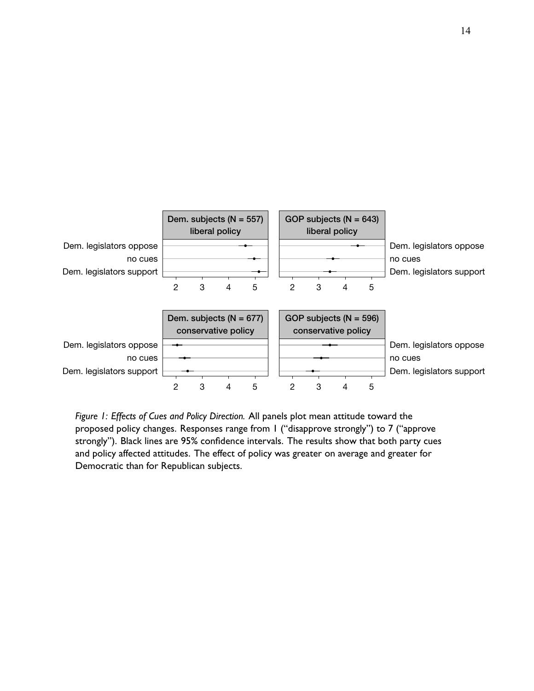<span id="page-13-0"></span>

*Figure 1: Effects of Cues and Policy Direction.* All panels plot mean attitude toward the proposed policy changes. Responses range from 1 ("disapprove strongly") to 7 ("approve strongly"). Black lines are 95% confidence intervals. The results show that both party cues and policy affected attitudes. The effect of policy was greater on average and greater for Democratic than for Republican subjects.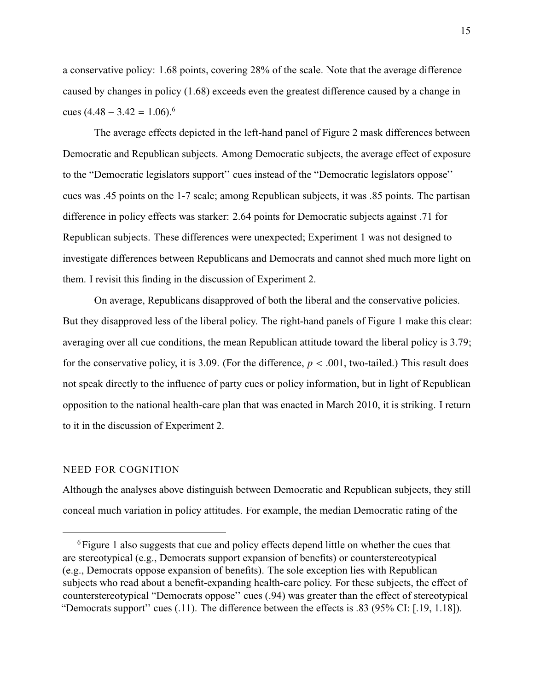a conservative policy: 1.68 points, covering 28% of the scale. Note that the average difference caused by changes in policy (1.68) exceeds even the greatest difference caused by a change in cues  $(4.48 - 3.42 = 1.06)$ .<sup>6</sup>

The average effects depicted in the left-hand panel of [Figure 2](#page-15-0) mask differences between Democratic and Republican subjects. Among Democratic subjects, the average effect of exposure to the "Democratic legislators support'' cues instead of the "Democratic legislators oppose'' cues was .45 points on the 1-7 scale; among Republican subjects, it was .85 points. The partisan difference in policy effects was starker: 2.64 points for Democratic subjects against .71 for Republican subjects. These differences were unexpected; Experiment 1 was not designed to investigate differences between Republicans and Democrats and cannot shed much more light on them. I revisit this finding in the discussion of Experiment 2.

On average, Republicans disapproved of both the liberal and the conservative policies. But they disapproved less of the liberal policy. The right-hand panels of [Figure 1](#page-13-0) make this clear: averaging over all cue conditions, the mean Republican attitude toward the liberal policy is 3.79; for the conservative policy, it is 3.09. (For the difference,  $p < .001$ , two-tailed.) This result does not speak directly to the influence of party cues or policy information, but in light of Republican opposition to the national health-care plan that was enacted in March 2010, it is striking. I return to it in the discussion of Experiment 2.

### NEED FOR COGNITION

Although the analyses above distinguish between Democratic and Republican subjects, they still conceal much variation in policy attitudes. For example, the median Democratic rating of the

<sup>&</sup>lt;sup>6</sup>[Figure 1](#page-13-0) also suggests that cue and policy effects depend little on whether the cues that are stereotypical (e.g., Democrats support expansion of benefits) or counterstereotypical (e.g., Democrats oppose expansion of benefits). The sole exception lies with Republican subjects who read about a benefit-expanding health-care policy. For these subjects, the effect of counterstereotypical "Democrats oppose'' cues (.94) was greater than the effect of stereotypical "Democrats support'' cues (.11). The difference between the effects is .83 (95% CI: [.19, 1.18]).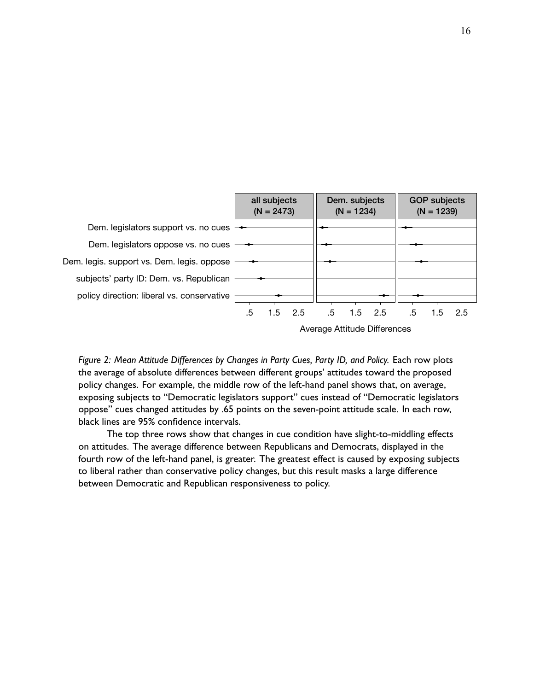<span id="page-15-0"></span>

*Figure 2: Mean Attitude Differences by Changes in Party Cues, Party ID, and Policy.* Each row plots the average of absolute differences between different groups' attitudes toward the proposed policy changes. For example, the middle row of the left-hand panel shows that, on average, exposing subjects to "Democratic legislators support" cues instead of "Democratic legislators oppose" cues changed attitudes by .65 points on the seven-point attitude scale. In each row, black lines are 95% confidence intervals.

The top three rows show that changes in cue condition have slight-to-middling effects on attitudes. The average difference between Republicans and Democrats, displayed in the fourth row of the left-hand panel, is greater. The greatest effect is caused by exposing subjects to liberal rather than conservative policy changes, but this result masks a large difference between Democratic and Republican responsiveness to policy.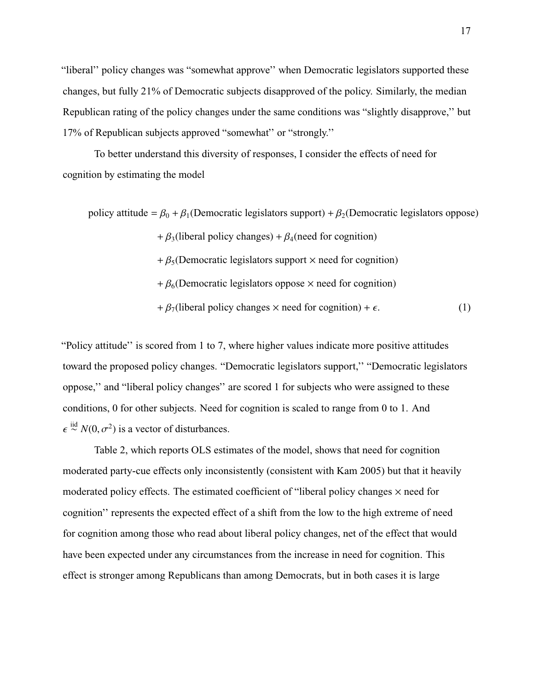"liberal'' policy changes was "somewhat approve'' when Democratic legislators supported these changes, but fully 21% of Democratic subjects disapproved of the policy. Similarly, the median Republican rating of the policy changes under the same conditions was "slightly disapprove,'' but 17% of Republican subjects approved "somewhat'' or "strongly.''

To better understand this diversity of responses, I consider the effects of need for cognition by estimating the model

policy attitude =  $\beta_0 + \beta_1$ (Democratic legislators support) +  $\beta_2$ (Democratic legislators oppose)

 $+ \beta_3$ (liberal policy changes) +  $\beta_4$ (need for cognition)

- +  $\beta_5$ (Democratic legislators support  $\times$  need for cognition)
- <span id="page-16-0"></span>+  $\beta_6$ (Democratic legislators oppose  $\times$  need for cognition)

 $+\beta_7$ (liberal policy changes  $\times$  need for cognition) +  $\epsilon$ . (1)

"Policy attitude'' is scored from 1 to 7, where higher values indicate more positive attitudes toward the proposed policy changes. "Democratic legislators support,'' "Democratic legislators oppose,'' and "liberal policy changes'' are scored 1 for subjects who were assigned to these conditions, 0 for other subjects. Need for cognition is scaled to range from 0 to 1. And  $\stackrel{\text{iid}}{\sim} N(0, \sigma^2)$  is a vector of disturbances.

[Table 2,](#page-17-0) which reports OLS estimates of the model, shows that need for cognition moderated party-cue effects only inconsistently (consistent with [Kam](#page-49-4) [2005\)](#page-49-4) but that it heavily moderated policy effects. The estimated coefficient of "liberal policy changes  $\times$  need for cognition'' represents the expected effect of a shift from the low to the high extreme of need for cognition among those who read about liberal policy changes, net of the effect that would have been expected under any circumstances from the increase in need for cognition. This effect is stronger among Republicans than among Democrats, but in both cases it is large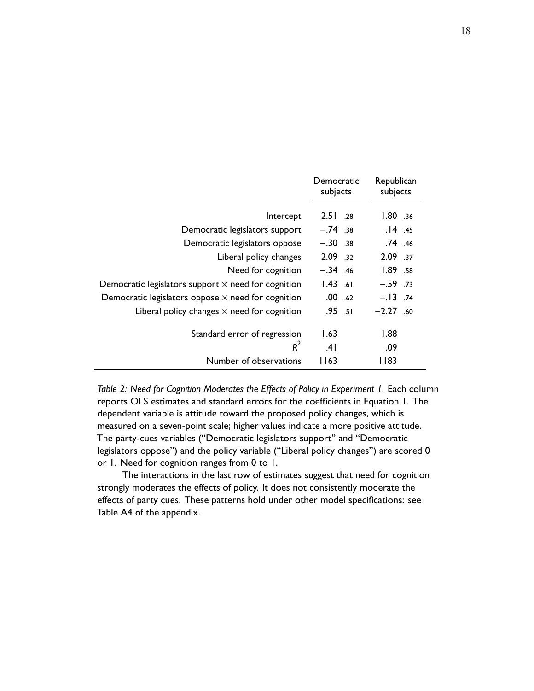<span id="page-17-0"></span>

|                                                            | Democratic<br>subjects | Republican<br>subjects |
|------------------------------------------------------------|------------------------|------------------------|
| Intercept                                                  | $2.51 \t .28$          | 1.80 .36               |
| Democratic legislators support                             | $-.74$ .38             | $.14$ .45              |
| Democratic legislators oppose                              | $-.30.38$              | .74 .46                |
| Liberal policy changes                                     | 2.09 .32               | 2.09 .37               |
| Need for cognition                                         | $-.34$ .46             | 1.89.58                |
| Democratic legislators support $\times$ need for cognition | $1.43$ .61             | $-.59$ .73             |
| Democratic legislators oppose $\times$ need for cognition  | $.00$ .62              | $-.13-.74$             |
| Liberal policy changes $\times$ need for cognition         | $.95 - .51$            | $-2.27$ .60            |
| Standard error of regression                               | 1.63                   | 1.88                   |
| $R^2$                                                      | .41                    | .09                    |
| Number of observations                                     | I I 63                 | I 183                  |

*Table 2: Need for Cognition Moderates the Effects of Policy in Experiment 1.* Each column reports OLS estimates and standard errors for the coefficients in [Equation 1.](#page-16-0) The dependent variable is attitude toward the proposed policy changes, which is measured on a seven-point scale; higher values indicate a more positive attitude. The party-cues variables ("Democratic legislators support" and "Democratic legislators oppose") and the policy variable ("Liberal policy changes") are scored 0 or 1. Need for cognition ranges from 0 to 1.

The interactions in the last row of estimates suggest that need for cognition strongly moderates the effects of policy. It does not consistently moderate the effects of party cues. These patterns hold under other model specifications: see [Table A4](#page-87-0) of the appendix.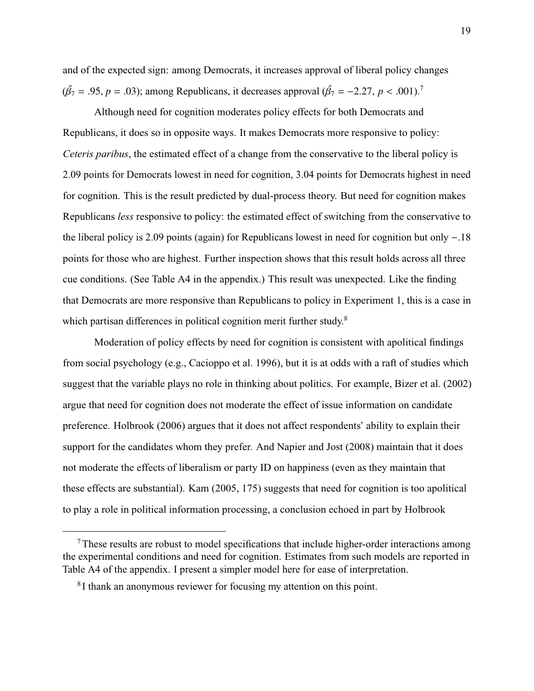and of the expected sign: among Democrats, it increases approval of liberal policy changes  $(\hat{\beta_7} = .95, p = .03)$ ; among Republicans, it decreases approval  $(\hat{\beta_7} = -2.27, p < .001)$ .<sup>7</sup>

Although need for cognition moderates policy effects for both Democrats and Republicans, it does so in opposite ways. It makes Democrats more responsive to policy: *Ceteris paribus*, the estimated effect of a change from the conservative to the liberal policy is 2.09 points for Democrats lowest in need for cognition, 3.04 points for Democrats highest in need for cognition. This is the result predicted by dual-process theory. But need for cognition makes Republicans *less* responsive to policy: the estimated effect of switching from the conservative to the liberal policy is 2.09 points (again) for Republicans lowest in need for cognition but only <sup>−</sup>.<sup>18</sup> points for those who are highest. Further inspection shows that this result holds across all three cue conditions. (See [Table A4](#page-87-0) in the appendix.) This result was unexpected. Like the finding that Democrats are more responsive than Republicans to policy in Experiment 1, this is a case in which partisan differences in political cognition merit further study.<sup>8</sup>

Moderation of policy effects by need for cognition is consistent with apolitical findings from social psychology (e.g., [Cacioppo et al.](#page-47-6) [1996\)](#page-47-6), but it is at odds with a raft of studies which suggest that the variable plays no role in thinking about politics. For example, [Bizer et al.](#page-46-3) [\(2002\)](#page-46-3) argue that need for cognition does not moderate the effect of issue information on candidate preference. [Holbrook](#page-48-5) [\(2006\)](#page-48-5) argues that it does not affect respondents' ability to explain their support for the candidates whom they prefer. And [Napier and Jost](#page-51-5) [\(2008\)](#page-51-5) maintain that it does not moderate the effects of liberalism or party ID on happiness (even as they maintain that these effects are substantial). [Kam](#page-49-4) [\(2005,](#page-49-4) 175) suggests that need for cognition is too apolitical to play a role in political information processing, a conclusion echoed in part by [Holbrook](#page-48-5)

<sup>7</sup>These results are robust to model specifications that include higher-order interactions among the experimental conditions and need for cognition. Estimates from such models are reported in [Table A4](#page-87-0) of the appendix. I present a simpler model here for ease of interpretation.

<sup>&</sup>lt;sup>8</sup>I thank an anonymous reviewer for focusing my attention on this point.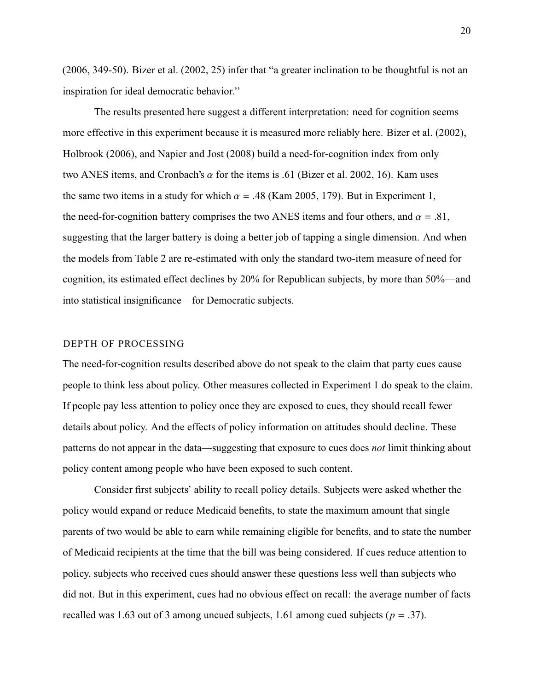[\(2006,](#page-48-5) 349-50). [Bizer et al.](#page-46-3) [\(2002,](#page-46-3) 25) infer that "a greater inclination to be thoughtful is not an inspiration for ideal democratic behavior.''

The results presented here suggest a different interpretation: need for cognition seems more effective in this experiment because it is measured more reliably here. [Bizer et al.](#page-46-3) [\(2002\)](#page-46-3), [Holbrook](#page-48-5) [\(2006\)](#page-48-5), and [Napier and Jost](#page-51-5) [\(2008\)](#page-51-5) build a need-for-cognition index from only two ANES items, and Cronbach's  $\alpha$  for the items is .61 [\(Bizer et al.](#page-46-3) [2002,](#page-46-3) 16). Kam uses the same two items in a study for which  $\alpha = .48$  [\(Kam](#page-49-4) [2005,](#page-49-4) 179). But in Experiment 1, the need-for-cognition battery comprises the two ANES items and four others, and  $\alpha = .81$ , suggesting that the larger battery is doing a better job of tapping a single dimension. And when the models from [Table 2](#page-17-0) are re-estimated with only the standard two-item measure of need for cognition, its estimated effect declines by 20% for Republican subjects, by more than 50%—and into statistical insignificance—for Democratic subjects.

#### DEPTH OF PROCESSING

The need-for-cognition results described above do not speak to the claim that party cues cause people to think less about policy. Other measures collected in Experiment 1 do speak to the claim. If people pay less attention to policy once they are exposed to cues, they should recall fewer details about policy. And the effects of policy information on attitudes should decline. These patterns do not appear in the data—suggesting that exposure to cues does *not* limit thinking about policy content among people who have been exposed to such content.

Consider first subjects' ability to recall policy details. Subjects were asked whether the policy would expand or reduce Medicaid benefits, to state the maximum amount that single parents of two would be able to earn while remaining eligible for benefits, and to state the number of Medicaid recipients at the time that the bill was being considered. If cues reduce attention to policy, subjects who received cues should answer these questions less well than subjects who did not. But in this experiment, cues had no obvious effect on recall: the average number of facts recalled was 1.63 out of 3 among uncued subjects, 1.61 among cued subjects ( $p = .37$ ).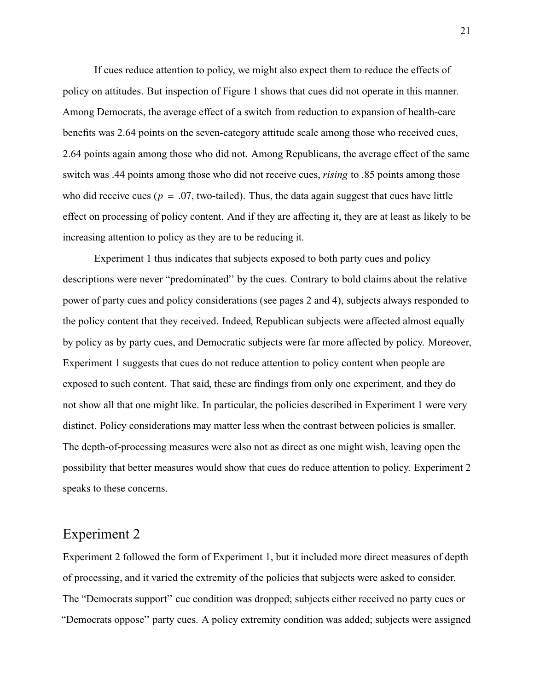If cues reduce attention to policy, we might also expect them to reduce the effects of policy on attitudes. But inspection of [Figure 1](#page-13-0) shows that cues did not operate in this manner. Among Democrats, the average effect of a switch from reduction to expansion of health-care benefits was 2.64 points on the seven-category attitude scale among those who received cues, 2.64 points again among those who did not. Among Republicans, the average effect of the same switch was .44 points among those who did not receive cues, *rising* to .85 points among those who did receive cues ( $p = 0.07$ , two-tailed). Thus, the data again suggest that cues have little effect on processing of policy content. And if they are affecting it, they are at least as likely to be increasing attention to policy as they are to be reducing it.

Experiment 1 thus indicates that subjects exposed to both party cues and policy descriptions were never "predominated'' by the cues. Contrary to bold claims about the relative power of party cues and policy considerations (see pages 2 and 4), subjects always responded to the policy content that they received. Indeed, Republican subjects were affected almost equally by policy as by party cues, and Democratic subjects were far more affected by policy. Moreover, Experiment 1 suggests that cues do not reduce attention to policy content when people are exposed to such content. That said, these are findings from only one experiment, and they do not show all that one might like. In particular, the policies described in Experiment 1 were very distinct. Policy considerations may matter less when the contrast between policies is smaller. The depth-of-processing measures were also not as direct as one might wish, leaving open the possibility that better measures would show that cues do reduce attention to policy. Experiment 2 speaks to these concerns.

# Experiment 2

Experiment 2 followed the form of Experiment 1, but it included more direct measures of depth of processing, and it varied the extremity of the policies that subjects were asked to consider. The "Democrats support'' cue condition was dropped; subjects either received no party cues or "Democrats oppose'' party cues. A policy extremity condition was added; subjects were assigned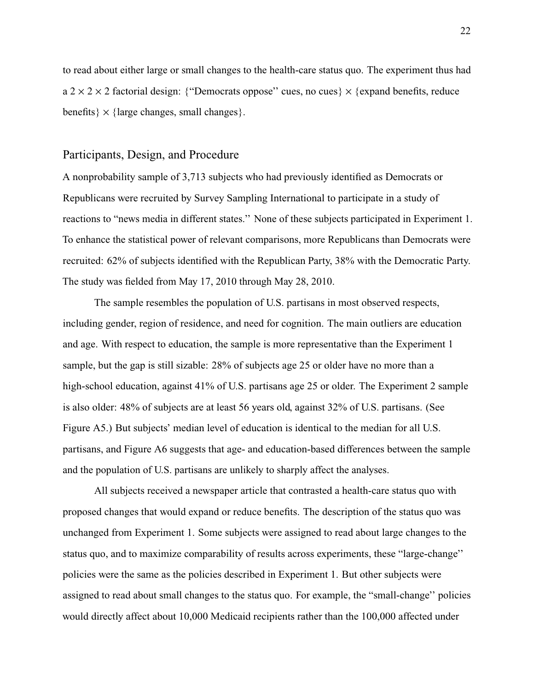to read about either large or small changes to the health-care status quo. The experiment thus had  $a$  2  $\times$  2  $\times$  2 factorial design: {"Democrats oppose" cues, no cues}  $\times$  {expand benefits, reduce benefits  $\{ \times \}$  {large changes, small changes}.

## Participants, Design, and Procedure

A nonprobability sample of 3,713 subjects who had previously identified as Democrats or Republicans were recruited by Survey Sampling International to participate in a study of reactions to "news media in different states.'' None of these subjects participated in Experiment 1. To enhance the statistical power of relevant comparisons, more Republicans than Democrats were recruited: 62% of subjects identified with the Republican Party, 38% with the Democratic Party. The study was fielded from May 17, 2010 through May 28, 2010.

The sample resembles the population of U.S. partisans in most observed respects, including gender, region of residence, and need for cognition. The main outliers are education and age. With respect to education, the sample is more representative than the Experiment 1 sample, but the gap is still sizable: 28% of subjects age 25 or older have no more than a high-school education, against 41% of U.S. partisans age 25 or older. The Experiment 2 sample is also older: 48% of subjects are at least 56 years old, against 32% of U.S. partisans. (See [Figure A5.](#page-106-0)) But subjects' median level of education is identical to the median for all U.S. partisans, and [Figure A6](#page-107-0) suggests that age- and education-based differences between the sample and the population of U.S. partisans are unlikely to sharply affect the analyses.

All subjects received a newspaper article that contrasted a health-care status quo with proposed changes that would expand or reduce benefits. The description of the status quo was unchanged from Experiment 1. Some subjects were assigned to read about large changes to the status quo, and to maximize comparability of results across experiments, these "large-change'' policies were the same as the policies described in Experiment 1. But other subjects were assigned to read about small changes to the status quo. For example, the "small-change'' policies would directly affect about 10,000 Medicaid recipients rather than the 100,000 affected under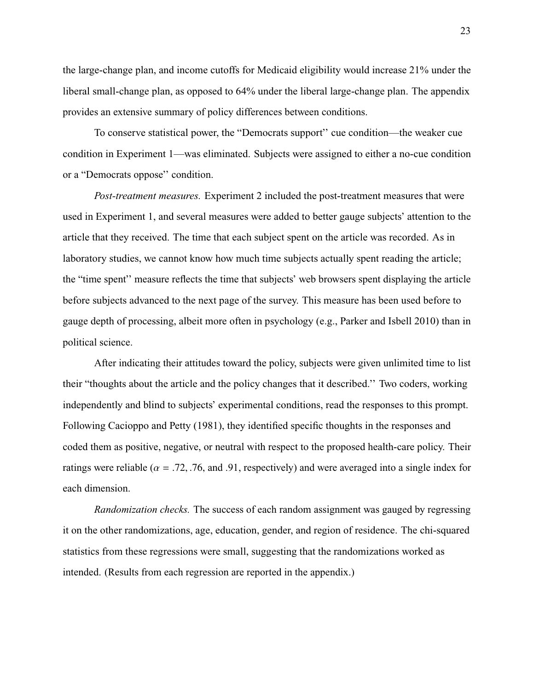the large-change plan, and income cutoffs for Medicaid eligibility would increase 21% under the liberal small-change plan, as opposed to 64% under the liberal large-change plan. The appendix provides an extensive summary of policy differences between conditions.

To conserve statistical power, the "Democrats support'' cue condition—the weaker cue condition in Experiment 1—was eliminated. Subjects were assigned to either a no-cue condition or a "Democrats oppose'' condition.

*Post-treatment measures.* Experiment 2 included the post-treatment measures that were used in Experiment 1, and several measures were added to better gauge subjects' attention to the article that they received. The time that each subject spent on the article was recorded. As in laboratory studies, we cannot know how much time subjects actually spent reading the article; the "time spent'' measure reflects the time that subjects' web browsers spent displaying the article before subjects advanced to the next page of the survey. This measure has been used before to gauge depth of processing, albeit more often in psychology (e.g., [Parker and Isbell](#page-51-6) [2010\)](#page-51-6) than in political science.

After indicating their attitudes toward the policy, subjects were given unlimited time to list their "thoughts about the article and the policy changes that it described.'' Two coders, working independently and blind to subjects' experimental conditions, read the responses to this prompt. Following [Cacioppo and Petty](#page-47-8) [\(1981\)](#page-47-8), they identified specific thoughts in the responses and coded them as positive, negative, or neutral with respect to the proposed health-care policy. Their ratings were reliable ( $\alpha = .72, .76,$  and .91, respectively) and were averaged into a single index for each dimension.

*Randomization checks.* The success of each random assignment was gauged by regressing it on the other randomizations, age, education, gender, and region of residence. The chi-squared statistics from these regressions were small, suggesting that the randomizations worked as intended. (Results from each regression are reported in the appendix.)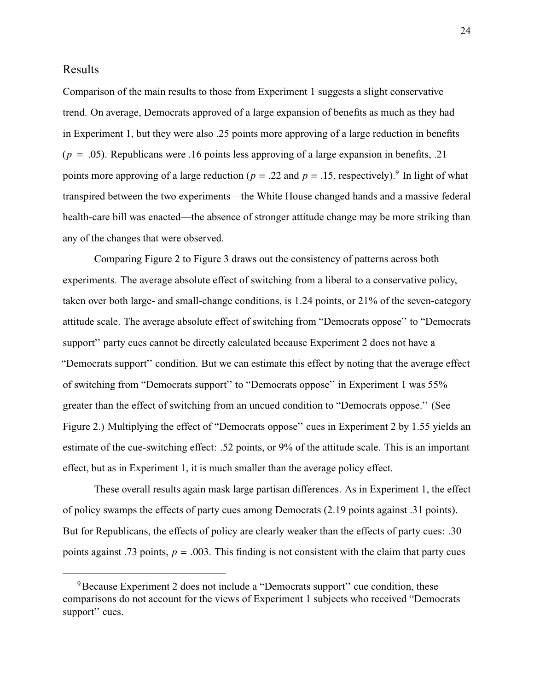## Results

Comparison of the main results to those from Experiment 1 suggests a slight conservative trend. On average, Democrats approved of a large expansion of benefits as much as they had in Experiment 1, but they were also .25 points more approving of a large reduction in benefits  $(p = .05)$ . Republicans were .16 points less approving of a large expansion in benefits, .21 points more approving of a large reduction ( $p = .22$  and  $p = .15$ , respectively).<sup>9</sup> In light of what transpired between the two experiments—the White House changed hands and a massive federal health-care bill was enacted—the absence of stronger attitude change may be more striking than any of the changes that were observed.

Comparing [Figure 2](#page-15-0) to [Figure 3](#page-24-0) draws out the consistency of patterns across both experiments. The average absolute effect of switching from a liberal to a conservative policy, taken over both large- and small-change conditions, is 1.24 points, or 21% of the seven-category attitude scale. The average absolute effect of switching from "Democrats oppose'' to "Democrats support'' party cues cannot be directly calculated because Experiment 2 does not have a "Democrats support'' condition. But we can estimate this effect by noting that the average effect of switching from "Democrats support'' to "Democrats oppose'' in Experiment 1 was 55% greater than the effect of switching from an uncued condition to "Democrats oppose.'' (See [Figure 2.](#page-15-0)) Multiplying the effect of "Democrats oppose'' cues in Experiment 2 by 1.55 yields an estimate of the cue-switching effect: .52 points, or 9% of the attitude scale. This is an important effect, but as in Experiment 1, it is much smaller than the average policy effect.

These overall results again mask large partisan differences. As in Experiment 1, the effect of policy swamps the effects of party cues among Democrats (2.19 points against .31 points). But for Republicans, the effects of policy are clearly weaker than the effects of party cues: .30 points against .73 points,  $p = .003$ . This finding is not consistent with the claim that party cues

<sup>9</sup>Because Experiment 2 does not include a "Democrats support'' cue condition, these comparisons do not account for the views of Experiment 1 subjects who received "Democrats support'' cues.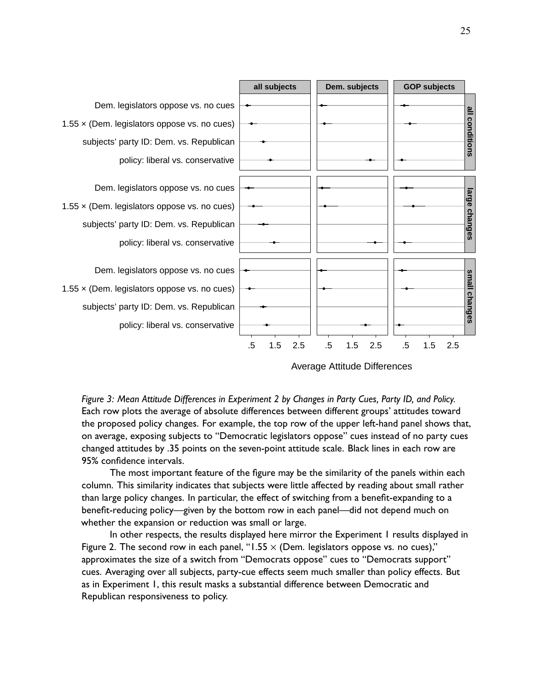<span id="page-24-0"></span>

Average Attitude Differences

*Figure 3: Mean Attitude Differences in Experiment 2 by Changes in Party Cues, Party ID, and Policy.* Each row plots the average of absolute differences between different groups' attitudes toward the proposed policy changes. For example, the top row of the upper left-hand panel shows that, on average, exposing subjects to "Democratic legislators oppose" cues instead of no party cues changed attitudes by .35 points on the seven-point attitude scale. Black lines in each row are 95% confidence intervals.

The most important feature of the figure may be the similarity of the panels within each column. This similarity indicates that subjects were little affected by reading about small rather than large policy changes. In particular, the effect of switching from a benefit-expanding to a benefit-reducing policy—given by the bottom row in each panel—did not depend much on whether the expansion or reduction was small or large.

In other respects, the results displayed here mirror the Experiment 1 results displayed in [Figure 2.](#page-15-0) The second row in each panel, "1.55  $\times$  (Dem. legislators oppose vs. no cues)," approximates the size of a switch from "Democrats oppose" cues to "Democrats support" cues. Averaging over all subjects, party-cue effects seem much smaller than policy effects. But as in Experiment 1, this result masks a substantial difference between Democratic and Republican responsiveness to policy.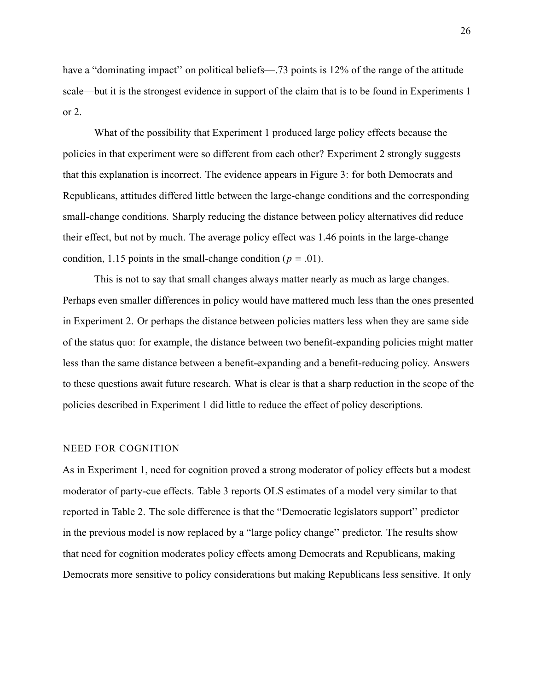have a "dominating impact" on political beliefs—.73 points is 12% of the range of the attitude scale—but it is the strongest evidence in support of the claim that is to be found in Experiments 1 or 2.

What of the possibility that Experiment 1 produced large policy effects because the policies in that experiment were so different from each other? Experiment 2 strongly suggests that this explanation is incorrect. The evidence appears in [Figure 3:](#page-24-0) for both Democrats and Republicans, attitudes differed little between the large-change conditions and the corresponding small-change conditions. Sharply reducing the distance between policy alternatives did reduce their effect, but not by much. The average policy effect was 1.46 points in the large-change condition, 1.15 points in the small-change condition ( $p = .01$ ).

This is not to say that small changes always matter nearly as much as large changes. Perhaps even smaller differences in policy would have mattered much less than the ones presented in Experiment 2. Or perhaps the distance between policies matters less when they are same side of the status quo: for example, the distance between two benefit-expanding policies might matter less than the same distance between a benefit-expanding and a benefit-reducing policy. Answers to these questions await future research. What is clear is that a sharp reduction in the scope of the policies described in Experiment 1 did little to reduce the effect of policy descriptions.

#### NEED FOR COGNITION

As in Experiment 1, need for cognition proved a strong moderator of policy effects but a modest moderator of party-cue effects. [Table 3](#page-26-0) reports OLS estimates of a model very similar to that reported in [Table 2.](#page-17-0) The sole difference is that the "Democratic legislators support'' predictor in the previous model is now replaced by a "large policy change'' predictor. The results show that need for cognition moderates policy effects among Democrats and Republicans, making Democrats more sensitive to policy considerations but making Republicans less sensitive. It only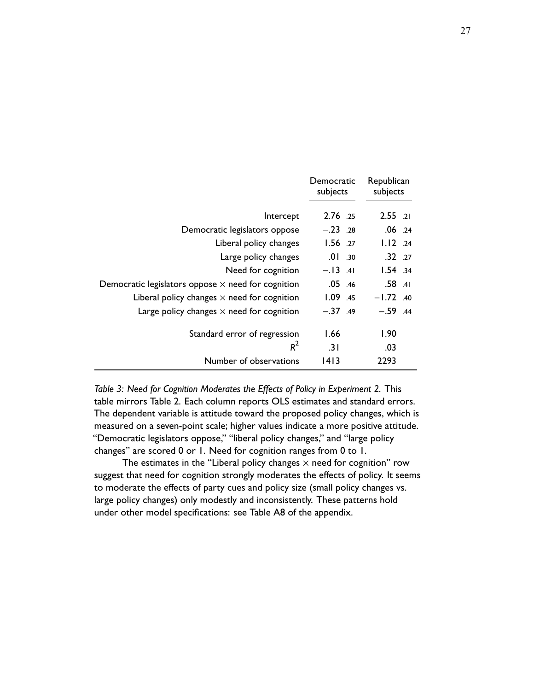<span id="page-26-0"></span>

|                                                           | Democratic<br>subjects | Republican<br>subjects |
|-----------------------------------------------------------|------------------------|------------------------|
| Intercept                                                 | 2.76 .25               | $2.55$ .21             |
| Democratic legislators oppose                             | $-.23$ .28             | $.06$ .24              |
| Liberal policy changes                                    | $1.56$ .27             | $1.12$ .24             |
| Large policy changes                                      | $.01$ $.30$            | $.32 \t .27$           |
| Need for cognition                                        | $-.13$ .41             | 1.54.34                |
| Democratic legislators oppose $\times$ need for cognition | $.05$ .46              | $.58$ $.41$            |
| Liberal policy changes $\times$ need for cognition        | 1.09.45                | $-1.72$ .40            |
| Large policy changes $\times$ need for cognition          | $-.37.49$              | $-.59$ .44             |
| Standard error of regression                              | 1.66                   | 1.90                   |
| $R^2$                                                     | .3 I                   | .03                    |
| Number of observations                                    | 1413                   | 2293                   |

*Table 3: Need for Cognition Moderates the Effects of Policy in Experiment 2.* This table mirrors [Table 2.](#page-17-0) Each column reports OLS estimates and standard errors. The dependent variable is attitude toward the proposed policy changes, which is measured on a seven-point scale; higher values indicate a more positive attitude. "Democratic legislators oppose," "liberal policy changes," and "large policy changes" are scored 0 or 1. Need for cognition ranges from 0 to 1.

The estimates in the "Liberal policy changes  $\times$  need for cognition" row suggest that need for cognition strongly moderates the effects of policy. It seems to moderate the effects of party cues and policy size (small policy changes vs. large policy changes) only modestly and inconsistently. These patterns hold under other model specifications: see [Table A8](#page-110-0) of the appendix.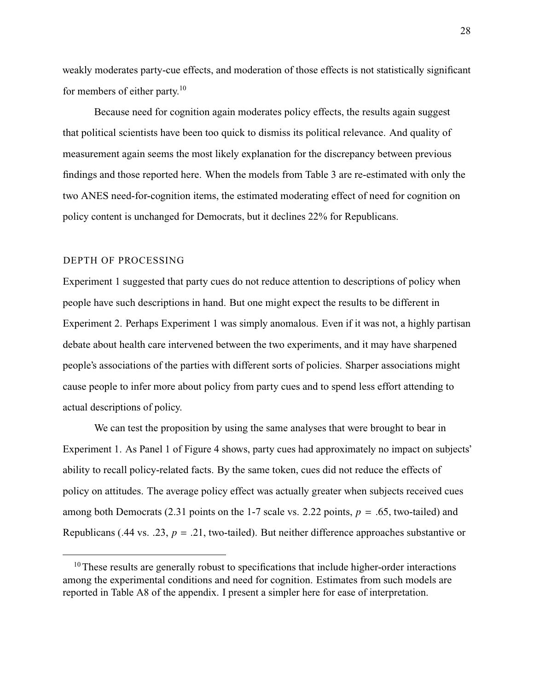weakly moderates party-cue effects, and moderation of those effects is not statistically significant for members of either party.<sup>10</sup>

Because need for cognition again moderates policy effects, the results again suggest that political scientists have been too quick to dismiss its political relevance. And quality of measurement again seems the most likely explanation for the discrepancy between previous findings and those reported here. When the models from [Table 3](#page-26-0) are re-estimated with only the two ANES need-for-cognition items, the estimated moderating effect of need for cognition on policy content is unchanged for Democrats, but it declines 22% for Republicans.

### DEPTH OF PROCESSING

Experiment 1 suggested that party cues do not reduce attention to descriptions of policy when people have such descriptions in hand. But one might expect the results to be different in Experiment 2. Perhaps Experiment 1 was simply anomalous. Even if it was not, a highly partisan debate about health care intervened between the two experiments, and it may have sharpened people's associations of the parties with different sorts of policies. Sharper associations might cause people to infer more about policy from party cues and to spend less effort attending to actual descriptions of policy.

We can test the proposition by using the same analyses that were brought to bear in Experiment 1. As Panel 1 of [Figure 4](#page-29-0) shows, party cues had approximately no impact on subjects' ability to recall policy-related facts. By the same token, cues did not reduce the effects of policy on attitudes. The average policy effect was actually greater when subjects received cues among both Democrats (2.31 points on the 1-7 scale vs. 2.22 points,  $p = .65$ , two-tailed) and Republicans (.44 vs. .23,  $p = .21$ , two-tailed). But neither difference approaches substantive or

<sup>&</sup>lt;sup>10</sup>These results are generally robust to specifications that include higher-order interactions among the experimental conditions and need for cognition. Estimates from such models are reported in [Table A8](#page-110-0) of the appendix. I present a simpler here for ease of interpretation.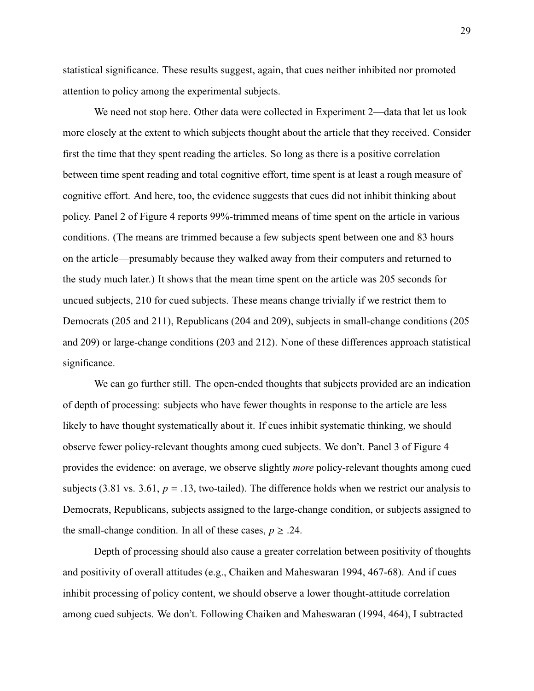statistical significance. These results suggest, again, that cues neither inhibited nor promoted attention to policy among the experimental subjects.

We need not stop here. Other data were collected in Experiment 2—data that let us look more closely at the extent to which subjects thought about the article that they received. Consider first the time that they spent reading the articles. So long as there is a positive correlation between time spent reading and total cognitive effort, time spent is at least a rough measure of cognitive effort. And here, too, the evidence suggests that cues did not inhibit thinking about policy. Panel 2 of [Figure 4](#page-29-0) reports 99%-trimmed means of time spent on the article in various conditions. (The means are trimmed because a few subjects spent between one and 83 hours on the article—presumably because they walked away from their computers and returned to the study much later.) It shows that the mean time spent on the article was 205 seconds for uncued subjects, 210 for cued subjects. These means change trivially if we restrict them to Democrats (205 and 211), Republicans (204 and 209), subjects in small-change conditions (205 and 209) or large-change conditions (203 and 212). None of these differences approach statistical significance.

We can go further still. The open-ended thoughts that subjects provided are an indication of depth of processing: subjects who have fewer thoughts in response to the article are less likely to have thought systematically about it. If cues inhibit systematic thinking, we should observe fewer policy-relevant thoughts among cued subjects. We don't. Panel 3 of [Figure 4](#page-29-0) provides the evidence: on average, we observe slightly *more* policy-relevant thoughts among cued subjects (3.81 vs. 3.61,  $p = .13$ , two-tailed). The difference holds when we restrict our analysis to Democrats, Republicans, subjects assigned to the large-change condition, or subjects assigned to the small-change condition. In all of these cases,  $p \geq .24$ .

Depth of processing should also cause a greater correlation between positivity of thoughts and positivity of overall attitudes (e.g., [Chaiken and Maheswaran](#page-47-7) [1994,](#page-47-7) 467-68). And if cues inhibit processing of policy content, we should observe a lower thought-attitude correlation among cued subjects. We don't. Following [Chaiken and Maheswaran](#page-47-7) [\(1994,](#page-47-7) 464), I subtracted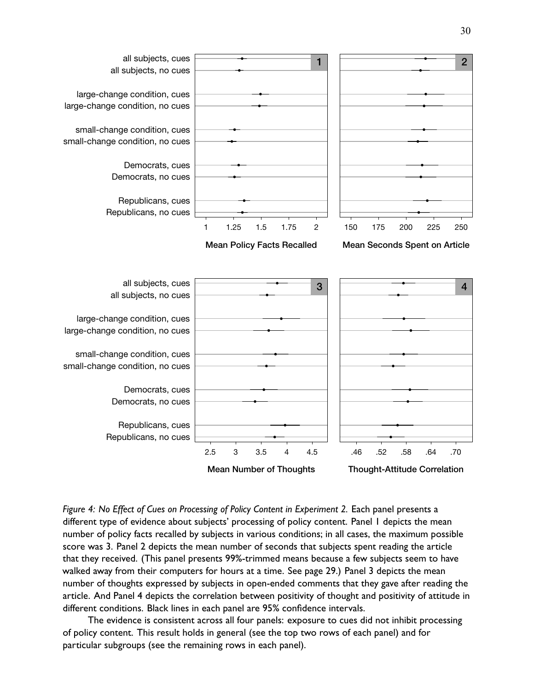<span id="page-29-0"></span>

*Figure 4: No Effect of Cues on Processing of Policy Content in Experiment 2.* Each panel presents a different type of evidence about subjects' processing of policy content. Panel 1 depicts the mean number of policy facts recalled by subjects in various conditions; in all cases, the maximum possible score was 3. Panel 2 depicts the mean number of seconds that subjects spent reading the article that they received. (This panel presents 99%-trimmed means because a few subjects seem to have walked away from their computers for hours at a time. See [page 29.](#page-29-0)) Panel 3 depicts the mean number of thoughts expressed by subjects in open-ended comments that they gave after reading the article. And Panel 4 depicts the correlation between positivity of thought and positivity of attitude in different conditions. Black lines in each panel are 95% confidence intervals.

The evidence is consistent across all four panels: exposure to cues did not inhibit processing of policy content. This result holds in general (see the top two rows of each panel) and for particular subgroups (see the remaining rows in each panel).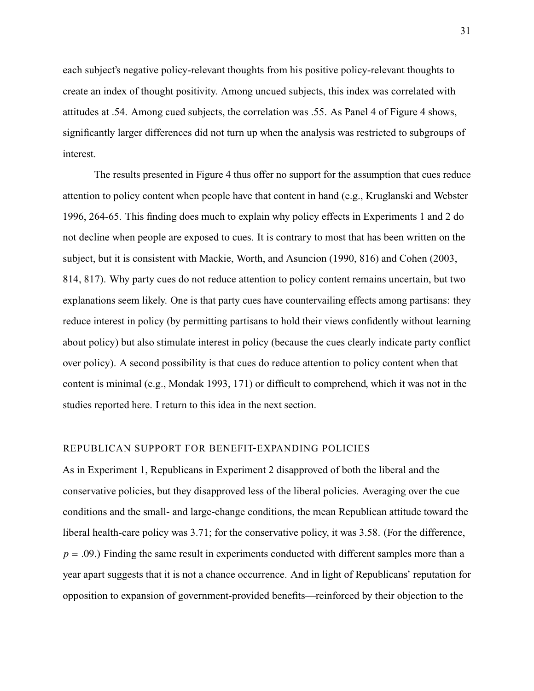each subject's negative policy-relevant thoughts from his positive policy-relevant thoughts to create an index of thought positivity. Among uncued subjects, this index was correlated with attitudes at .54. Among cued subjects, the correlation was .55. As Panel 4 of [Figure 4](#page-29-0) shows, significantly larger differences did not turn up when the analysis was restricted to subgroups of interest.

The results presented in [Figure 4](#page-29-0) thus offer no support for the assumption that cues reduce attention to policy content when people have that content in hand (e.g., [Kruglanski and Webster](#page-49-5) [1996,](#page-49-5) 264-65. This finding does much to explain why policy effects in Experiments 1 and 2 do not decline when people are exposed to cues. It is contrary to most that has been written on the subject, but it is consistent with [Mackie, Worth, and Asuncion](#page-50-7) [\(1990,](#page-50-7) 816) and [Cohen](#page-47-1) [\(2003,](#page-47-1) 814, 817). Why party cues do not reduce attention to policy content remains uncertain, but two explanations seem likely. One is that party cues have countervailing effects among partisans: they reduce interest in policy (by permitting partisans to hold their views confidently without learning about policy) but also stimulate interest in policy (because the cues clearly indicate party conflict over policy). A second possibility is that cues do reduce attention to policy content when that content is minimal (e.g., [Mondak](#page-51-4) [1993,](#page-51-4) 171) or difficult to comprehend, which it was not in the studies reported here. I return to this idea in the next section.

### REPUBLICAN SUPPORT FOR BENEFIT-EXPANDING POLICIES

As in Experiment 1, Republicans in Experiment 2 disapproved of both the liberal and the conservative policies, but they disapproved less of the liberal policies. Averaging over the cue conditions and the small- and large-change conditions, the mean Republican attitude toward the liberal health-care policy was 3.71; for the conservative policy, it was 3.58. (For the difference,  $p = .09$ .) Finding the same result in experiments conducted with different samples more than a year apart suggests that it is not a chance occurrence. And in light of Republicans' reputation for opposition to expansion of government-provided benefits—reinforced by their objection to the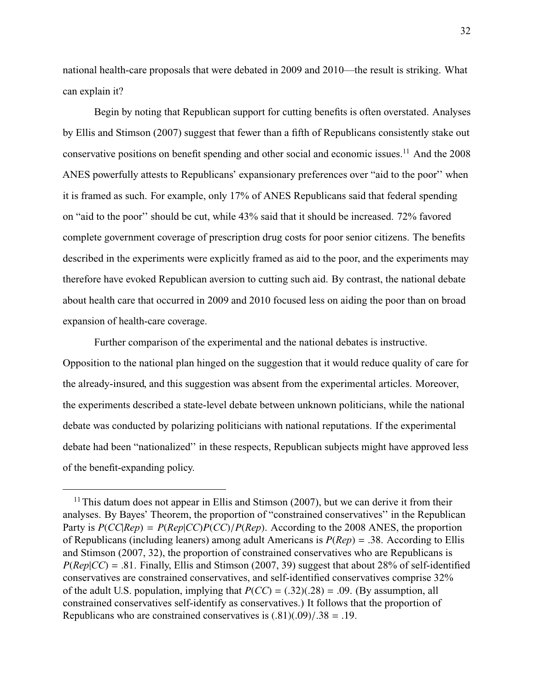national health-care proposals that were debated in 2009 and 2010—the result is striking. What can explain it?

Begin by noting that Republican support for cutting benefits is often overstated. Analyses by [Ellis and Stimson](#page-48-6) [\(2007\)](#page-48-6) suggest that fewer than a fifth of Republicans consistently stake out conservative positions on benefit spending and other social and economic issues.<sup>11</sup> And the 2008 ANES powerfully attests to Republicans' expansionary preferences over "aid to the poor'' when it is framed as such. For example, only 17% of ANES Republicans said that federal spending on "aid to the poor'' should be cut, while 43% said that it should be increased. 72% favored complete government coverage of prescription drug costs for poor senior citizens. The benefits described in the experiments were explicitly framed as aid to the poor, and the experiments may therefore have evoked Republican aversion to cutting such aid. By contrast, the national debate about health care that occurred in 2009 and 2010 focused less on aiding the poor than on broad expansion of health-care coverage.

Further comparison of the experimental and the national debates is instructive. Opposition to the national plan hinged on the suggestion that it would reduce quality of care for the already-insured, and this suggestion was absent from the experimental articles. Moreover, the experiments described a state-level debate between unknown politicians, while the national debate was conducted by polarizing politicians with national reputations. If the experimental debate had been "nationalized'' in these respects, Republican subjects might have approved less of the benefit-expanding policy.

 $11$ This datum does not appear in [Ellis and Stimson](#page-48-6) [\(2007\)](#page-48-6), but we can derive it from their analyses. By Bayes' Theorem, the proportion of "constrained conservatives'' in the Republican Party is  $P(CC|Rep) = P(Rep|CC)P(CC)/P(Rep)$ . According to the 2008 ANES, the proportion of Republicans (including leaners) among adult Americans is *<sup>P</sup>*(*Rep*) <sup>=</sup> .38. According to [Ellis](#page-48-6) [and Stimson](#page-48-6) [\(2007,](#page-48-6) 32), the proportion of constrained conservatives who are Republicans is  $P(\text{Rep}|CC) = .81$ . Finally, [Ellis and Stimson](#page-48-6) [\(2007,](#page-48-6) 39) suggest that about 28% of self-identified conservatives are constrained conservatives, and self-identified conservatives comprise 32% of the adult U.S. population, implying that  $P(CC) = (.32)(.28) = .09$ . (By assumption, all constrained conservatives self-identify as conservatives.) It follows that the proportion of Republicans who are constrained conservatives is  $(.81)(.09)/.38 = .19$ .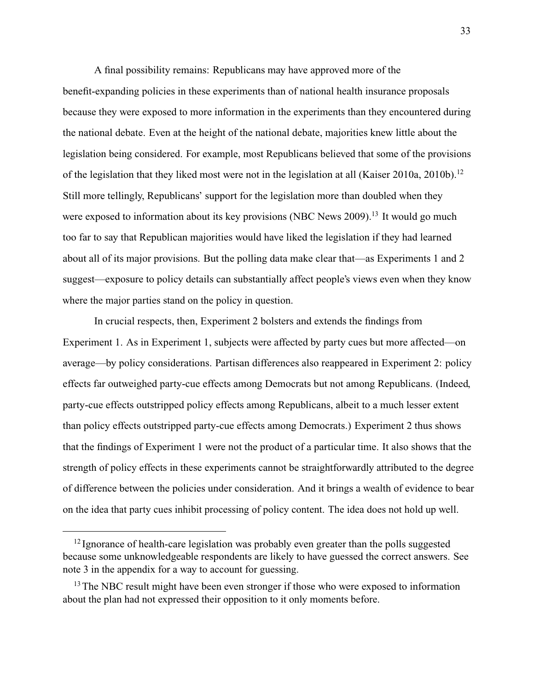A final possibility remains: Republicans may have approved more of the benefit-expanding policies in these experiments than of national health insurance proposals because they were exposed to more information in the experiments than they encountered during the national debate. Even at the height of the national debate, majorities knew little about the legislation being considered. For example, most Republicans believed that some of the provisions of the legislation that they liked most were not in the legislation at all (Kaiser [2010a,](#page-49-6) [2010b\)](#page-49-7).<sup>12</sup> Still more tellingly, Republicans' support for the legislation more than doubled when they were exposed to information about its key provisions [\(NBC News](#page-51-7) [2009\)](#page-51-7).<sup>13</sup> It would go much too far to say that Republican majorities would have liked the legislation if they had learned about all of its major provisions. But the polling data make clear that—as Experiments 1 and 2 suggest—exposure to policy details can substantially affect people's views even when they know where the major parties stand on the policy in question.

In crucial respects, then, Experiment 2 bolsters and extends the findings from Experiment 1. As in Experiment 1, subjects were affected by party cues but more affected—on average—by policy considerations. Partisan differences also reappeared in Experiment 2: policy effects far outweighed party-cue effects among Democrats but not among Republicans. (Indeed, party-cue effects outstripped policy effects among Republicans, albeit to a much lesser extent than policy effects outstripped party-cue effects among Democrats.) Experiment 2 thus shows that the findings of Experiment 1 were not the product of a particular time. It also shows that the strength of policy effects in these experiments cannot be straightforwardly attributed to the degree of difference between the policies under consideration. And it brings a wealth of evidence to bear on the idea that party cues inhibit processing of policy content. The idea does not hold up well.

<sup>&</sup>lt;sup>12</sup> Ignorance of health-care legislation was probably even greater than the polls suggested because some unknowledgeable respondents are likely to have guessed the correct answers. See note [3](#page-88-0) in the appendix for a way to account for guessing.

<sup>&</sup>lt;sup>13</sup>The NBC result might have been even stronger if those who were exposed to information about the plan had not expressed their opposition to it only moments before.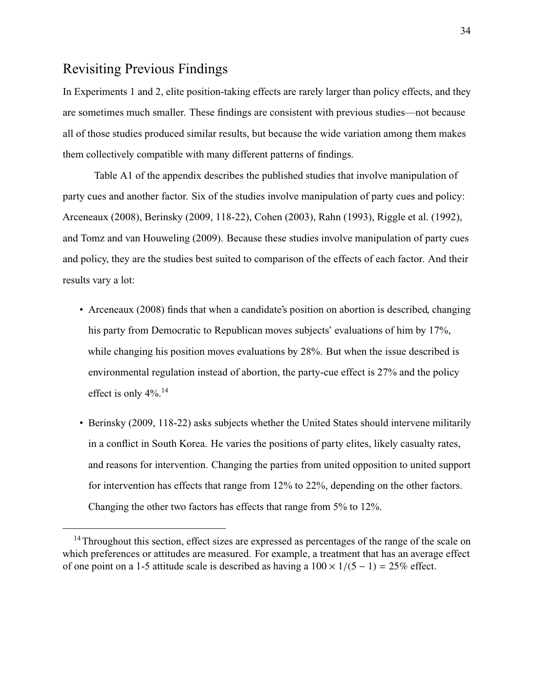# Revisiting Previous Findings

In Experiments 1 and 2, elite position-taking effects are rarely larger than policy effects, and they are sometimes much smaller. These findings are consistent with previous studies—not because all of those studies produced similar results, but because the wide variation among them makes them collectively compatible with many different patterns of findings.

[Table A1](#page-57-0) of the appendix describes the published studies that involve manipulation of party cues and another factor. Six of the studies involve manipulation of party cues and policy: [Arceneaux](#page-46-4) [\(2008\)](#page-46-4), [Berinsky](#page-46-5) [\(2009,](#page-46-5) 118-22), [Cohen](#page-47-1) [\(2003\)](#page-47-1), [Rahn](#page-52-0) [\(1993\)](#page-52-0), [Riggle et al.](#page-52-3) [\(1992\)](#page-52-3), and [Tomz and van Houweling](#page-52-4) [\(2009\)](#page-52-4). Because these studies involve manipulation of party cues and policy, they are the studies best suited to comparison of the effects of each factor. And their results vary a lot:

- [Arceneaux](#page-46-4) [\(2008\)](#page-46-4) finds that when a candidate's position on abortion is described, changing his party from Democratic to Republican moves subjects' evaluations of him by 17%, while changing his position moves evaluations by 28%. But when the issue described is environmental regulation instead of abortion, the party-cue effect is 27% and the policy effect is only 4%.<sup>14</sup>
- [Berinsky](#page-46-5) [\(2009,](#page-46-5) 118-22) asks subjects whether the United States should intervene militarily in a conflict in South Korea. He varies the positions of party elites, likely casualty rates, and reasons for intervention. Changing the parties from united opposition to united support for intervention has effects that range from 12% to 22%, depending on the other factors. Changing the other two factors has effects that range from 5% to 12%.

<sup>&</sup>lt;sup>14</sup>Throughout this section, effect sizes are expressed as percentages of the range of the scale on which preferences or attitudes are measured. For example, a treatment that has an average effect of one point on a 1-5 attitude scale is described as having a  $100 \times 1/(5 - 1) = 25\%$  effect.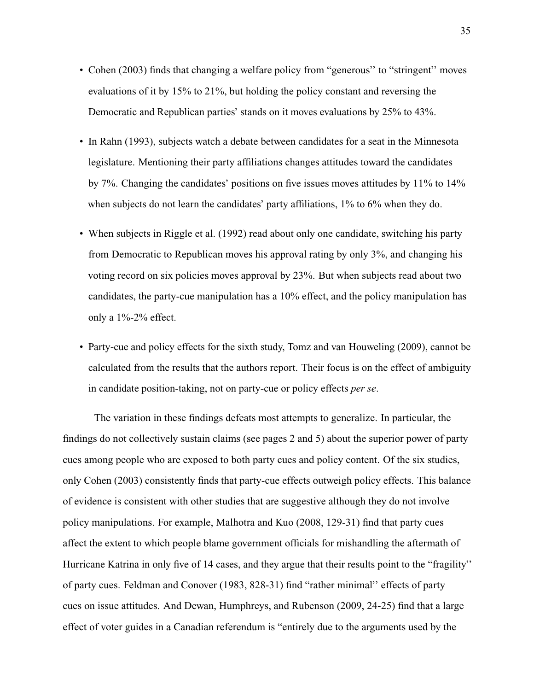- [Cohen](#page-47-1) [\(2003\)](#page-47-1) finds that changing a welfare policy from "generous'' to "stringent'' moves evaluations of it by 15% to 21%, but holding the policy constant and reversing the Democratic and Republican parties' stands on it moves evaluations by 25% to 43%.
- In [Rahn](#page-52-0) [\(1993\)](#page-52-0), subjects watch a debate between candidates for a seat in the Minnesota legislature. Mentioning their party affiliations changes attitudes toward the candidates by 7%. Changing the candidates' positions on five issues moves attitudes by 11% to 14% when subjects do not learn the candidates' party affiliations, 1% to 6% when they do.
- When subjects in [Riggle et al.](#page-52-3) [\(1992\)](#page-52-3) read about only one candidate, switching his party from Democratic to Republican moves his approval rating by only 3%, and changing his voting record on six policies moves approval by 23%. But when subjects read about two candidates, the party-cue manipulation has a 10% effect, and the policy manipulation has only a 1%-2% effect.
- Party-cue and policy effects for the sixth study, [Tomz and van Houweling](#page-52-4) [\(2009\)](#page-52-4), cannot be calculated from the results that the authors report. Their focus is on the effect of ambiguity in candidate position-taking, not on party-cue or policy effects *per se*.

The variation in these findings defeats most attempts to generalize. In particular, the findings do not collectively sustain claims (see pages [2](#page-0-1) and [5\)](#page-3-0) about the superior power of party cues among people who are exposed to both party cues and policy content. Of the six studies, only [Cohen](#page-47-1) [\(2003\)](#page-47-1) consistently finds that party-cue effects outweigh policy effects. This balance of evidence is consistent with other studies that are suggestive although they do not involve policy manipulations. For example, [Malhotra and Kuo](#page-50-8) [\(2008,](#page-50-8) 129-31) find that party cues affect the extent to which people blame government officials for mishandling the aftermath of Hurricane Katrina in only five of 14 cases, and they argue that their results point to the "fragility'' of party cues. [Feldman and Conover](#page-48-7) [\(1983,](#page-48-7) 828-31) find "rather minimal'' effects of party cues on issue attitudes. And [Dewan, Humphreys, and Rubenson](#page-48-8) [\(2009,](#page-48-8) 24-25) find that a large effect of voter guides in a Canadian referendum is "entirely due to the arguments used by the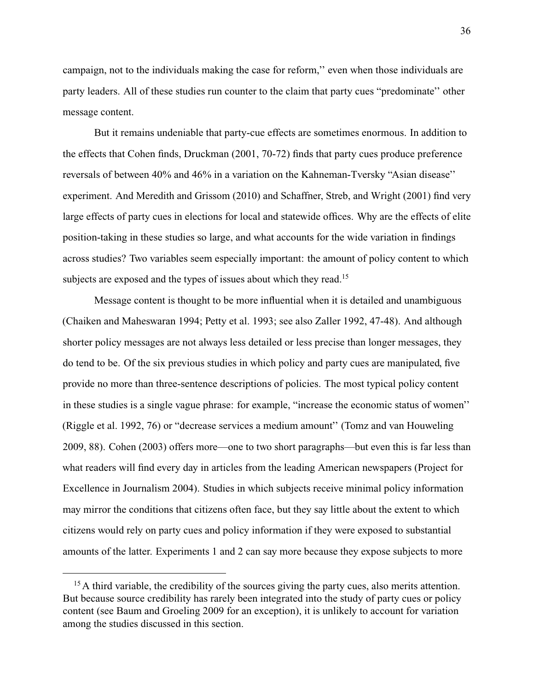campaign, not to the individuals making the case for reform,'' even when those individuals are party leaders. All of these studies run counter to the claim that party cues "predominate'' other message content.

But it remains undeniable that party-cue effects are sometimes enormous. In addition to the effects that Cohen finds, [Druckman](#page-48-9) [\(2001,](#page-48-9) 70-72) finds that party cues produce preference reversals of between 40% and 46% in a variation on the Kahneman-Tversky "Asian disease'' experiment. And [Meredith and Grissom](#page-51-8) [\(2010\)](#page-51-8) and [Schaffner, Streb, and Wright](#page-52-7) [\(2001\)](#page-52-7) find very large effects of party cues in elections for local and statewide offices. Why are the effects of elite position-taking in these studies so large, and what accounts for the wide variation in findings across studies? Two variables seem especially important: the amount of policy content to which subjects are exposed and the types of issues about which they read.<sup>15</sup>

Message content is thought to be more influential when it is detailed and unambiguous [\(Chaiken and Maheswaran](#page-47-7) [1994;](#page-47-7) [Petty et al.](#page-51-3) [1993;](#page-51-3) see also [Zaller](#page-53-0) [1992,](#page-53-0) 47-48). And although shorter policy messages are not always less detailed or less precise than longer messages, they do tend to be. Of the six previous studies in which policy and party cues are manipulated, five provide no more than three-sentence descriptions of policies. The most typical policy content in these studies is a single vague phrase: for example, "increase the economic status of women'' [\(Riggle et al.](#page-52-3) [1992,](#page-52-3) 76) or "decrease services a medium amount'' [\(Tomz and van Houweling](#page-52-4) [2009,](#page-52-4) 88). [Cohen](#page-47-1) [\(2003\)](#page-47-1) offers more—one to two short paragraphs—but even this is far less than what readers will find every day in articles from the leading American newspapers [\(Project for](#page-52-6) [Excellence in Journalism](#page-52-6) [2004\)](#page-52-6). Studies in which subjects receive minimal policy information may mirror the conditions that citizens often face, but they say little about the extent to which citizens would rely on party cues and policy information if they were exposed to substantial amounts of the latter. Experiments 1 and 2 can say more because they expose subjects to more

<sup>&</sup>lt;sup>15</sup>A third variable, the credibility of the sources giving the party cues, also merits attention. But because source credibility has rarely been integrated into the study of party cues or policy content (see [Baum and Groeling](#page-46-6) [2009](#page-46-6) for an exception), it is unlikely to account for variation among the studies discussed in this section.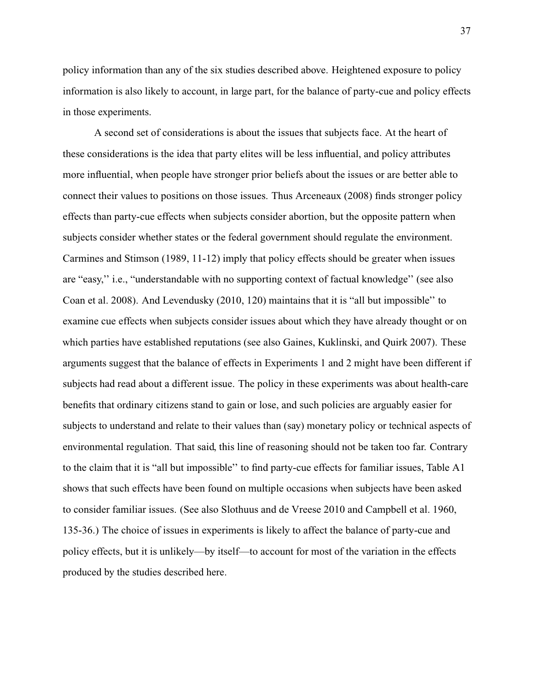policy information than any of the six studies described above. Heightened exposure to policy information is also likely to account, in large part, for the balance of party-cue and policy effects in those experiments.

A second set of considerations is about the issues that subjects face. At the heart of these considerations is the idea that party elites will be less influential, and policy attributes more influential, when people have stronger prior beliefs about the issues or are better able to connect their values to positions on those issues. Thus [Arceneaux](#page-46-0) [\(2008\)](#page-46-0) finds stronger policy effects than party-cue effects when subjects consider abortion, but the opposite pattern when subjects consider whether states or the federal government should regulate the environment. [Carmines and Stimson](#page-47-0) [\(1989,](#page-47-0) 11-12) imply that policy effects should be greater when issues are "easy,'' i.e., "understandable with no supporting context of factual knowledge'' (see also [Coan et al.](#page-47-1) [2008\)](#page-47-1). And [Levendusky](#page-50-0) [\(2010,](#page-50-0) 120) maintains that it is "all but impossible'' to examine cue effects when subjects consider issues about which they have already thought or on which parties have established reputations (see also [Gaines, Kuklinski, and Quirk](#page-48-0) [2007\)](#page-48-0). These arguments suggest that the balance of effects in Experiments 1 and 2 might have been different if subjects had read about a different issue. The policy in these experiments was about health-care benefits that ordinary citizens stand to gain or lose, and such policies are arguably easier for subjects to understand and relate to their values than (say) monetary policy or technical aspects of environmental regulation. That said, this line of reasoning should not be taken too far. Contrary to the claim that it is "all but impossible'' to find party-cue effects for familiar issues, [Table A1](#page-57-0) shows that such effects have been found on multiple occasions when subjects have been asked to consider familiar issues. (See also [Slothuus and de Vreese](#page-52-0) [2010](#page-52-0) and [Campbell et al.](#page-47-2) [1960,](#page-47-2) 135-36.) The choice of issues in experiments is likely to affect the balance of party-cue and policy effects, but it is unlikely—by itself—to account for most of the variation in the effects produced by the studies described here.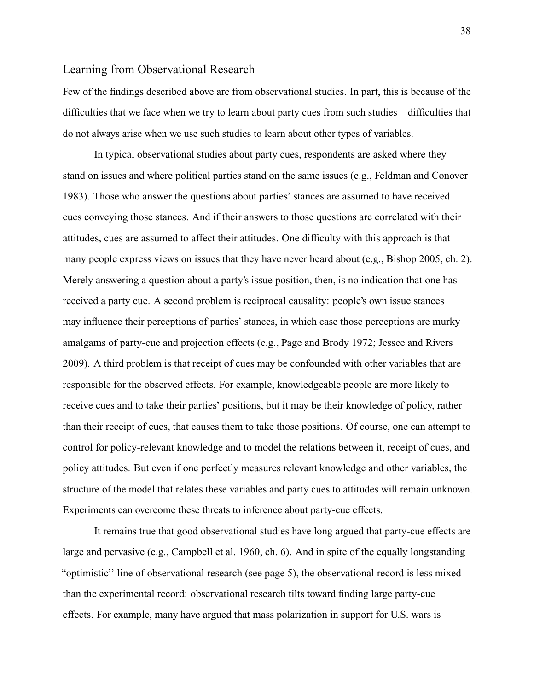## <span id="page-37-0"></span>Learning from Observational Research

Few of the findings described above are from observational studies. In part, this is because of the difficulties that we face when we try to learn about party cues from such studies—difficulties that do not always arise when we use such studies to learn about other types of variables.

In typical observational studies about party cues, respondents are asked where they stand on issues and where political parties stand on the same issues (e.g., [Feldman and Conover](#page-48-1) [1983\)](#page-48-1). Those who answer the questions about parties' stances are assumed to have received cues conveying those stances. And if their answers to those questions are correlated with their attitudes, cues are assumed to affect their attitudes. One difficulty with this approach is that many people express views on issues that they have never heard about (e.g., [Bishop](#page-46-1) [2005,](#page-46-1) ch. 2). Merely answering a question about a party's issue position, then, is no indication that one has received a party cue. A second problem is reciprocal causality: people's own issue stances may influence their perceptions of parties' stances, in which case those perceptions are murky amalgams of party-cue and projection effects (e.g., [Page and Brody](#page-51-0) [1972;](#page-51-0) [Jessee and Rivers](#page-49-0) [2009\)](#page-49-0). A third problem is that receipt of cues may be confounded with other variables that are responsible for the observed effects. For example, knowledgeable people are more likely to receive cues and to take their parties' positions, but it may be their knowledge of policy, rather than their receipt of cues, that causes them to take those positions. Of course, one can attempt to control for policy-relevant knowledge and to model the relations between it, receipt of cues, and policy attitudes. But even if one perfectly measures relevant knowledge and other variables, the structure of the model that relates these variables and party cues to attitudes will remain unknown. Experiments can overcome these threats to inference about party-cue effects.

It remains true that good observational studies have long argued that party-cue effects are large and pervasive (e.g., [Campbell et al.](#page-47-2) [1960,](#page-47-2) ch. 6). And in spite of the equally longstanding "optimistic'' line of observational research (see [page 5\)](#page-3-0), the observational record is less mixed than the experimental record: observational research tilts toward finding large party-cue effects. For example, many have argued that mass polarization in support for U.S. wars is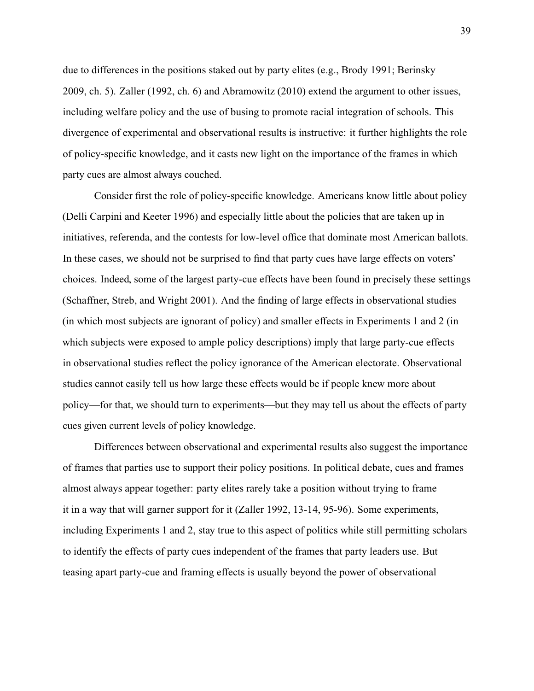due to differences in the positions staked out by party elites (e.g., [Brody](#page-47-3) [1991;](#page-47-3) [Berinsky](#page-46-2) [2009,](#page-46-2) ch. 5). [Zaller](#page-53-0) [\(1992,](#page-53-0) ch. 6) and [Abramowitz](#page-46-3) [\(2010\)](#page-46-3) extend the argument to other issues, including welfare policy and the use of busing to promote racial integration of schools. This divergence of experimental and observational results is instructive: it further highlights the role of policy-specific knowledge, and it casts new light on the importance of the frames in which party cues are almost always couched.

Consider first the role of policy-specific knowledge. Americans know little about policy [\(Delli Carpini and Keeter](#page-48-2) [1996\)](#page-48-2) and especially little about the policies that are taken up in initiatives, referenda, and the contests for low-level office that dominate most American ballots. In these cases, we should not be surprised to find that party cues have large effects on voters' choices. Indeed, some of the largest party-cue effects have been found in precisely these settings [\(Schaffner, Streb, and Wright](#page-52-1) [2001\)](#page-52-1). And the finding of large effects in observational studies (in which most subjects are ignorant of policy) and smaller effects in Experiments 1 and 2 (in which subjects were exposed to ample policy descriptions) imply that large party-cue effects in observational studies reflect the policy ignorance of the American electorate. Observational studies cannot easily tell us how large these effects would be if people knew more about policy—for that, we should turn to experiments—but they may tell us about the effects of party cues given current levels of policy knowledge.

Differences between observational and experimental results also suggest the importance of frames that parties use to support their policy positions. In political debate, cues and frames almost always appear together: party elites rarely take a position without trying to frame it in a way that will garner support for it [\(Zaller](#page-53-0) [1992,](#page-53-0) 13-14, 95-96). Some experiments, including Experiments 1 and 2, stay true to this aspect of politics while still permitting scholars to identify the effects of party cues independent of the frames that party leaders use. But teasing apart party-cue and framing effects is usually beyond the power of observational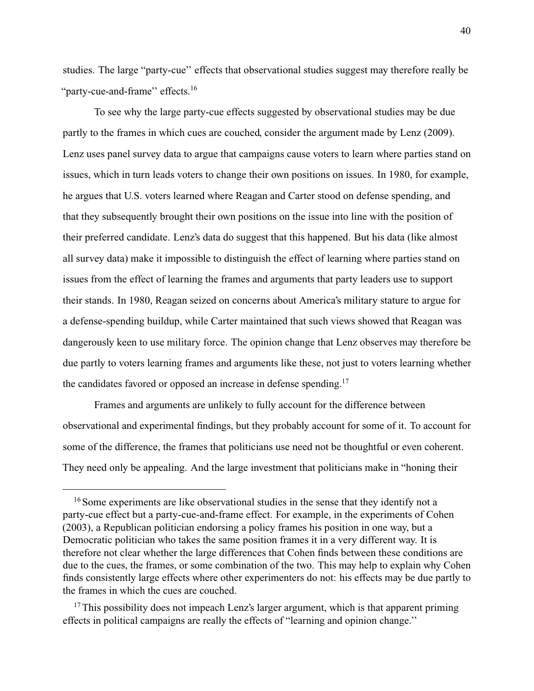studies. The large "party-cue'' effects that observational studies suggest may therefore really be "party-cue-and-frame" effects.<sup>16</sup>

To see why the large party-cue effects suggested by observational studies may be due partly to the frames in which cues are couched, consider the argument made by [Lenz](#page-50-1) [\(2009\)](#page-50-1). Lenz uses panel survey data to argue that campaigns cause voters to learn where parties stand on issues, which in turn leads voters to change their own positions on issues. In 1980, for example, he argues that U.S. voters learned where Reagan and Carter stood on defense spending, and that they subsequently brought their own positions on the issue into line with the position of their preferred candidate. Lenz's data do suggest that this happened. But his data (like almost all survey data) make it impossible to distinguish the effect of learning where parties stand on issues from the effect of learning the frames and arguments that party leaders use to support their stands. In 1980, Reagan seized on concerns about America's military stature to argue for a defense-spending buildup, while Carter maintained that such views showed that Reagan was dangerously keen to use military force. The opinion change that Lenz observes may therefore be due partly to voters learning frames and arguments like these, not just to voters learning whether the candidates favored or opposed an increase in defense spending.<sup>17</sup>

Frames and arguments are unlikely to fully account for the difference between observational and experimental findings, but they probably account for some of it. To account for some of the difference, the frames that politicians use need not be thoughtful or even coherent. They need only be appealing. And the large investment that politicians make in "honing their

<sup>&</sup>lt;sup>16</sup> Some experiments are like observational studies in the sense that they identify not a party-cue effect but a party-cue-and-frame effect. For example, in the experiments of [Cohen](#page-47-4) [\(2003\)](#page-47-4), a Republican politician endorsing a policy frames his position in one way, but a Democratic politician who takes the same position frames it in a very different way. It is therefore not clear whether the large differences that Cohen finds between these conditions are due to the cues, the frames, or some combination of the two. This may help to explain why Cohen finds consistently large effects where other experimenters do not: his effects may be due partly to the frames in which the cues are couched.

 $17$ This possibility does not impeach Lenz's larger argument, which is that apparent priming effects in political campaigns are really the effects of "learning and opinion change.''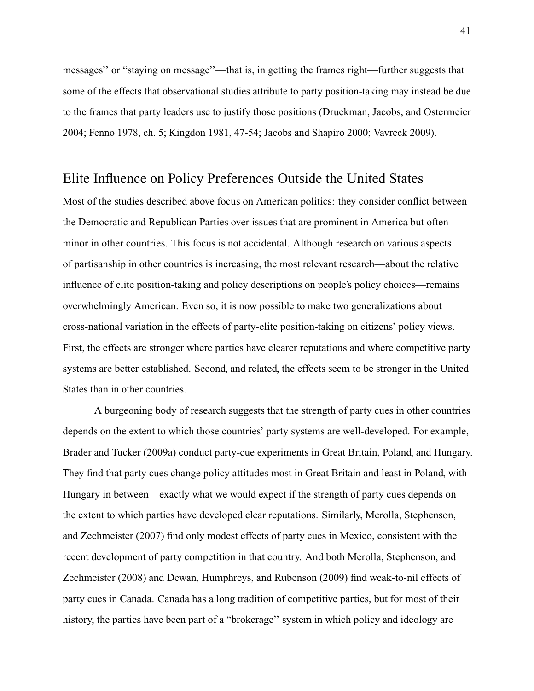messages'' or "staying on message''—that is, in getting the frames right—further suggests that some of the effects that observational studies attribute to party position-taking may instead be due to the frames that party leaders use to justify those positions [\(Druckman, Jacobs, and Ostermeier](#page-48-3) [2004;](#page-48-3) [Fenno](#page-48-4) [1978,](#page-48-4) ch. 5; [Kingdon](#page-49-1) [1981,](#page-49-1) 47-54; [Jacobs and Shapiro](#page-49-2) [2000;](#page-49-2) [Vavreck](#page-53-1) [2009\)](#page-53-1).

## Elite Influence on Policy Preferences Outside the United States

Most of the studies described above focus on American politics: they consider conflict between the Democratic and Republican Parties over issues that are prominent in America but often minor in other countries. This focus is not accidental. Although research on various aspects of partisanship in other countries is increasing, the most relevant research—about the relative influence of elite position-taking and policy descriptions on people's policy choices—remains overwhelmingly American. Even so, it is now possible to make two generalizations about cross-national variation in the effects of party-elite position-taking on citizens' policy views. First, the effects are stronger where parties have clearer reputations and where competitive party systems are better established. Second, and related, the effects seem to be stronger in the United States than in other countries.

A burgeoning body of research suggests that the strength of party cues in other countries depends on the extent to which those countries' party systems are well-developed. For example, [Brader and Tucker](#page-46-4) [\(2009a\)](#page-46-4) conduct party-cue experiments in Great Britain, Poland, and Hungary. They find that party cues change policy attitudes most in Great Britain and least in Poland, with Hungary in between—exactly what we would expect if the strength of party cues depends on the extent to which parties have developed clear reputations. Similarly, [Merolla, Stephenson,](#page-51-1) [and Zechmeister](#page-51-1) [\(2007\)](#page-51-1) find only modest effects of party cues in Mexico, consistent with the recent development of party competition in that country. And both [Merolla, Stephenson, and](#page-51-2) [Zechmeister](#page-51-2) [\(2008\)](#page-51-2) and [Dewan, Humphreys, and Rubenson](#page-48-5) [\(2009\)](#page-48-5) find weak-to-nil effects of party cues in Canada. Canada has a long tradition of competitive parties, but for most of their history, the parties have been part of a "brokerage'' system in which policy and ideology are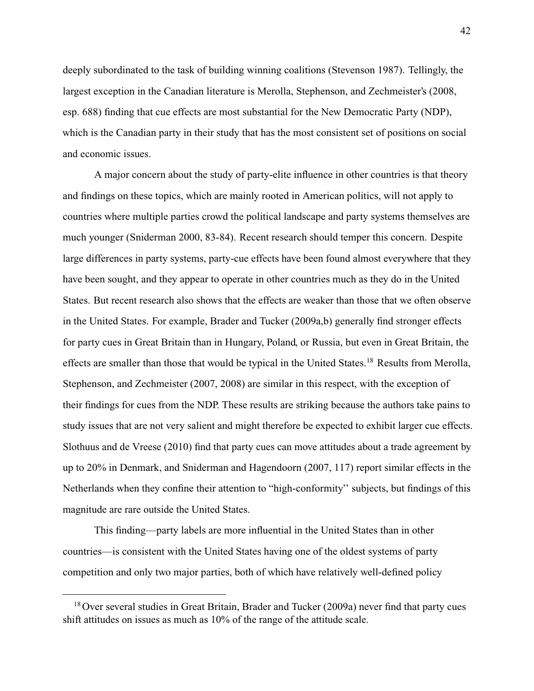deeply subordinated to the task of building winning coalitions [\(Stevenson](#page-52-2) [1987\)](#page-52-2). Tellingly, the largest exception in the Canadian literature is [Merolla, Stephenson, and Zechmeister'](#page-51-2)s (2008, esp. 688) finding that cue effects are most substantial for the New Democratic Party (NDP), which is the Canadian party in their study that has the most consistent set of positions on social and economic issues.

A major concern about the study of party-elite influence in other countries is that theory and findings on these topics, which are mainly rooted in American politics, will not apply to countries where multiple parties crowd the political landscape and party systems themselves are much younger [\(Sniderman](#page-52-3) [2000,](#page-52-3) 83-84). Recent research should temper this concern. Despite large differences in party systems, party-cue effects have been found almost everywhere that they have been sought, and they appear to operate in other countries much as they do in the United States. But recent research also shows that the effects are weaker than those that we often observe in the United States. For example, [Brader and Tucker](#page-46-4) [\(2009a,](#page-46-4)[b\)](#page-46-5) generally find stronger effects for party cues in Great Britain than in Hungary, Poland, or Russia, but even in Great Britain, the effects are smaller than those that would be typical in the United States.<sup>18</sup> Results from [Merolla,](#page-51-1) [Stephenson, and Zechmeister](#page-51-1) [\(2007,](#page-51-1) [2008\)](#page-51-2) are similar in this respect, with the exception of their findings for cues from the NDP. These results are striking because the authors take pains to study issues that are not very salient and might therefore be expected to exhibit larger cue effects. [Slothuus and de Vreese](#page-52-0) [\(2010\)](#page-52-0) find that party cues can move attitudes about a trade agreement by up to 20% in Denmark, and [Sniderman and Hagendoorn](#page-52-4) [\(2007,](#page-52-4) 117) report similar effects in the Netherlands when they confine their attention to "high-conformity'' subjects, but findings of this magnitude are rare outside the United States.

This finding—party labels are more influential in the United States than in other countries—is consistent with the United States having one of the oldest systems of party competition and only two major parties, both of which have relatively well-defined policy

<sup>&</sup>lt;sup>18</sup> Over several studies in Great Britain, [Brader and Tucker](#page-46-4) [\(2009a\)](#page-46-4) never find that party cues shift attitudes on issues as much as 10% of the range of the attitude scale.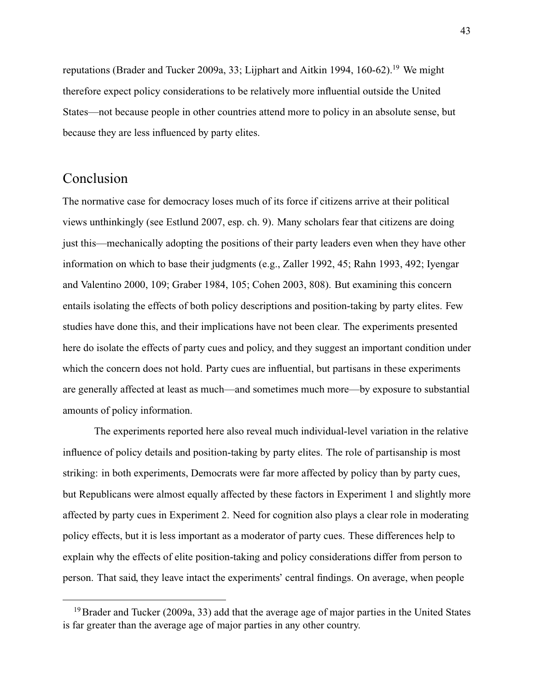reputations [\(Brader and Tucker](#page-46-4) [2009a,](#page-46-4) 33; [Lijphart and Aitkin](#page-50-2) [1994,](#page-50-2) 160-62).<sup>19</sup> We might therefore expect policy considerations to be relatively more influential outside the United States—not because people in other countries attend more to policy in an absolute sense, but because they are less influenced by party elites.

## Conclusion

The normative case for democracy loses much of its force if citizens arrive at their political views unthinkingly (see [Estlund](#page-48-6) [2007,](#page-48-6) esp. ch. 9). Many scholars fear that citizens are doing just this—mechanically adopting the positions of their party leaders even when they have other information on which to base their judgments (e.g., [Zaller](#page-53-0) [1992,](#page-53-0) 45; [Rahn](#page-52-5) [1993,](#page-52-5) 492; [Iyengar](#page-49-3) [and Valentino](#page-49-3) [2000,](#page-49-3) 109; [Graber](#page-48-7) [1984,](#page-48-7) 105; [Cohen](#page-47-4) [2003,](#page-47-4) 808). But examining this concern entails isolating the effects of both policy descriptions and position-taking by party elites. Few studies have done this, and their implications have not been clear. The experiments presented here do isolate the effects of party cues and policy, and they suggest an important condition under which the concern does not hold. Party cues are influential, but partisans in these experiments are generally affected at least as much—and sometimes much more—by exposure to substantial amounts of policy information.

The experiments reported here also reveal much individual-level variation in the relative influence of policy details and position-taking by party elites. The role of partisanship is most striking: in both experiments, Democrats were far more affected by policy than by party cues, but Republicans were almost equally affected by these factors in Experiment 1 and slightly more affected by party cues in Experiment 2. Need for cognition also plays a clear role in moderating policy effects, but it is less important as a moderator of party cues. These differences help to explain why the effects of elite position-taking and policy considerations differ from person to person. That said, they leave intact the experiments' central findings. On average, when people

<sup>&</sup>lt;sup>19</sup> [Brader and Tucker](#page-46-4) [\(2009a,](#page-46-4) 33) add that the average age of major parties in the United States is far greater than the average age of major parties in any other country.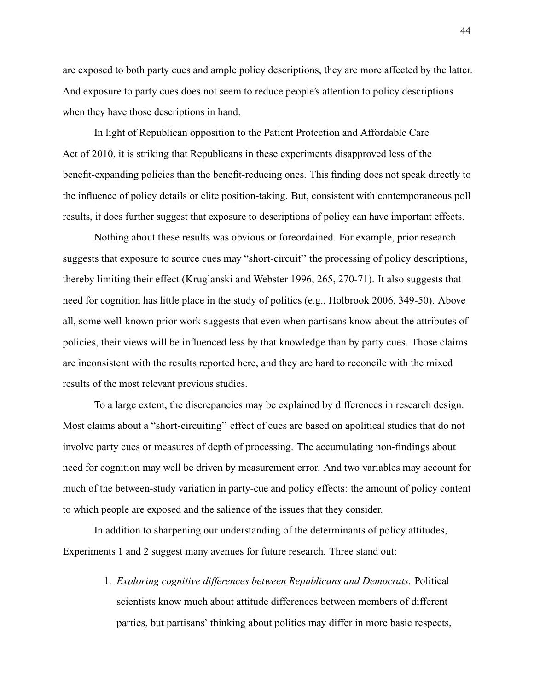are exposed to both party cues and ample policy descriptions, they are more affected by the latter. And exposure to party cues does not seem to reduce people's attention to policy descriptions when they have those descriptions in hand.

In light of Republican opposition to the Patient Protection and Affordable Care Act of 2010, it is striking that Republicans in these experiments disapproved less of the benefit-expanding policies than the benefit-reducing ones. This finding does not speak directly to the influence of policy details or elite position-taking. But, consistent with contemporaneous poll results, it does further suggest that exposure to descriptions of policy can have important effects.

Nothing about these results was obvious or foreordained. For example, prior research suggests that exposure to source cues may "short-circuit'' the processing of policy descriptions, thereby limiting their effect [\(Kruglanski and Webster](#page-49-4) [1996,](#page-49-4) 265, 270-71). It also suggests that need for cognition has little place in the study of politics (e.g., [Holbrook](#page-48-8) [2006,](#page-48-8) 349-50). Above all, some well-known prior work suggests that even when partisans know about the attributes of policies, their views will be influenced less by that knowledge than by party cues. Those claims are inconsistent with the results reported here, and they are hard to reconcile with the mixed results of the most relevant previous studies.

To a large extent, the discrepancies may be explained by differences in research design. Most claims about a "short-circuiting'' effect of cues are based on apolitical studies that do not involve party cues or measures of depth of processing. The accumulating non-findings about need for cognition may well be driven by measurement error. And two variables may account for much of the between-study variation in party-cue and policy effects: the amount of policy content to which people are exposed and the salience of the issues that they consider.

In addition to sharpening our understanding of the determinants of policy attitudes, Experiments 1 and 2 suggest many avenues for future research. Three stand out:

> 1. *Exploring cognitive differences between Republicans and Democrats.* Political scientists know much about attitude differences between members of different parties, but partisans' thinking about politics may differ in more basic respects,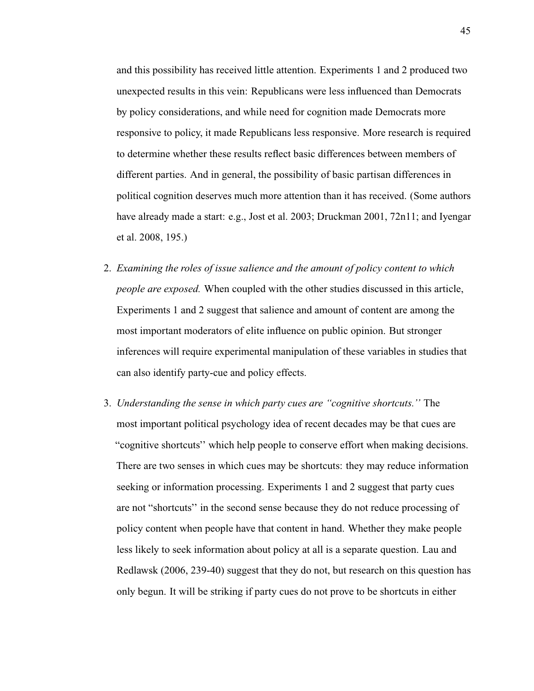and this possibility has received little attention. Experiments 1 and 2 produced two unexpected results in this vein: Republicans were less influenced than Democrats by policy considerations, and while need for cognition made Democrats more responsive to policy, it made Republicans less responsive. More research is required to determine whether these results reflect basic differences between members of different parties. And in general, the possibility of basic partisan differences in political cognition deserves much more attention than it has received. (Some authors have already made a start: e.g., [Jost et al.](#page-49-5) [2003;](#page-49-5) [Druckman](#page-48-9) [2001,](#page-48-9) 72n11; and [Iyengar](#page-49-6) [et al.](#page-49-6) [2008,](#page-49-6) 195.)

- 2. *Examining the roles of issue salience and the amount of policy content to which people are exposed.* When coupled with the other studies discussed in this article, Experiments 1 and 2 suggest that salience and amount of content are among the most important moderators of elite influence on public opinion. But stronger inferences will require experimental manipulation of these variables in studies that can also identify party-cue and policy effects.
- 3. *Understanding the sense in which party cues are "cognitive shortcuts.''* The most important political psychology idea of recent decades may be that cues are "cognitive shortcuts'' which help people to conserve effort when making decisions. There are two senses in which cues may be shortcuts: they may reduce information seeking or information processing. Experiments 1 and 2 suggest that party cues are not "shortcuts'' in the second sense because they do not reduce processing of policy content when people have that content in hand. Whether they make people less likely to seek information about policy at all is a separate question. [Lau and](#page-50-3) [Redlawsk](#page-50-3) [\(2006,](#page-50-3) 239-40) suggest that they do not, but research on this question has only begun. It will be striking if party cues do not prove to be shortcuts in either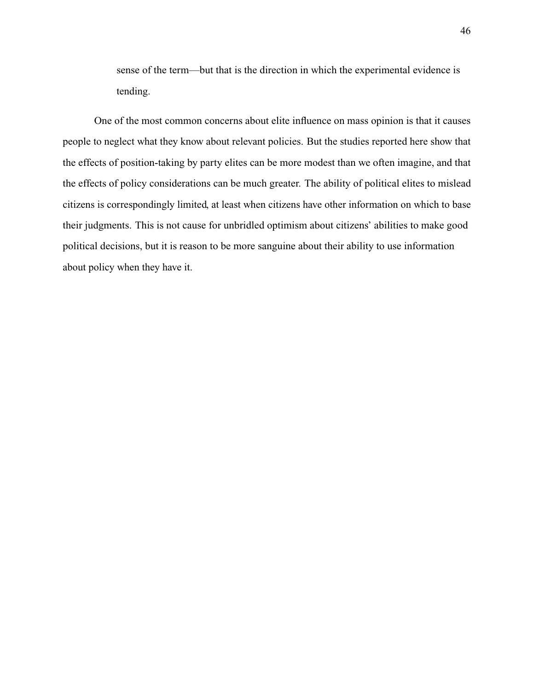sense of the term—but that is the direction in which the experimental evidence is tending.

One of the most common concerns about elite influence on mass opinion is that it causes people to neglect what they know about relevant policies. But the studies reported here show that the effects of position-taking by party elites can be more modest than we often imagine, and that the effects of policy considerations can be much greater. The ability of political elites to mislead citizens is correspondingly limited, at least when citizens have other information on which to base their judgments. This is not cause for unbridled optimism about citizens' abilities to make good political decisions, but it is reason to be more sanguine about their ability to use information about policy when they have it.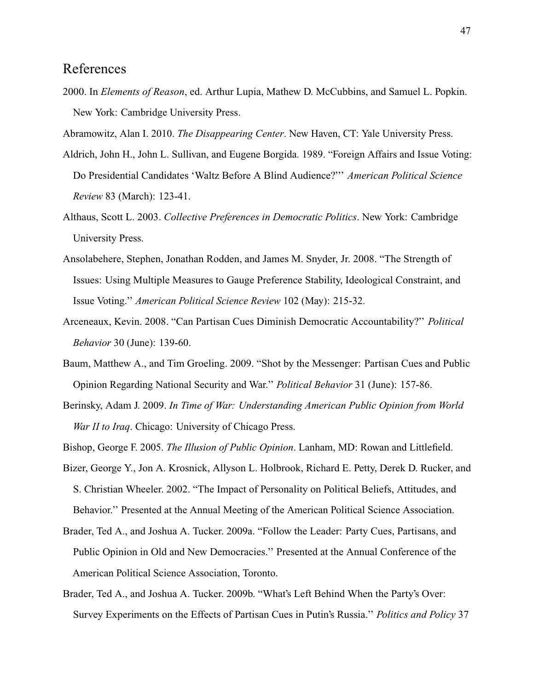## <span id="page-46-8"></span><span id="page-46-7"></span><span id="page-46-6"></span>References

2000. In *Elements of Reason*, ed. Arthur Lupia, Mathew D. McCubbins, and Samuel L. Popkin. New York: Cambridge University Press.

<span id="page-46-3"></span>Abramowitz, Alan I. 2010. *The Disappearing Center*. New Haven, CT: Yale University Press.

- Aldrich, John H., John L. Sullivan, and Eugene Borgida. 1989. "Foreign Affairs and Issue Voting: Do Presidential Candidates 'Waltz Before A Blind Audience?''' *American Political Science Review* 83 (March): 123-41.
- Althaus, Scott L. 2003. *Collective Preferences in Democratic Politics*. New York: Cambridge University Press.
- Ansolabehere, Stephen, Jonathan Rodden, and James M. Snyder, Jr. 2008. "The Strength of Issues: Using Multiple Measures to Gauge Preference Stability, Ideological Constraint, and Issue Voting.'' *American Political Science Review* 102 (May): 215-32.
- <span id="page-46-0"></span>Arceneaux, Kevin. 2008. "Can Partisan Cues Diminish Democratic Accountability?'' *Political Behavior* 30 (June): 139-60.
- Baum, Matthew A., and Tim Groeling. 2009. "Shot by the Messenger: Partisan Cues and Public Opinion Regarding National Security and War.'' *Political Behavior* 31 (June): 157-86.
- <span id="page-46-2"></span>Berinsky, Adam J. 2009. *In Time of War: Understanding American Public Opinion from World War II to Iraq*. Chicago: University of Chicago Press.
- <span id="page-46-1"></span>Bishop, George F. 2005. *The Illusion of Public Opinion*. Lanham, MD: Rowan and Littlefield.
- Bizer, George Y., Jon A. Krosnick, Allyson L. Holbrook, Richard E. Petty, Derek D. Rucker, and S. Christian Wheeler. 2002. "The Impact of Personality on Political Beliefs, Attitudes, and Behavior.'' Presented at the Annual Meeting of the American Political Science Association.
- <span id="page-46-4"></span>Brader, Ted A., and Joshua A. Tucker. 2009a. "Follow the Leader: Party Cues, Partisans, and Public Opinion in Old and New Democracies.'' Presented at the Annual Conference of the American Political Science Association, Toronto.
- <span id="page-46-5"></span>Brader, Ted A., and Joshua A. Tucker. 2009b. "What's Left Behind When the Party's Over: Survey Experiments on the Effects of Partisan Cues in Putin's Russia.'' *Politics and Policy* 37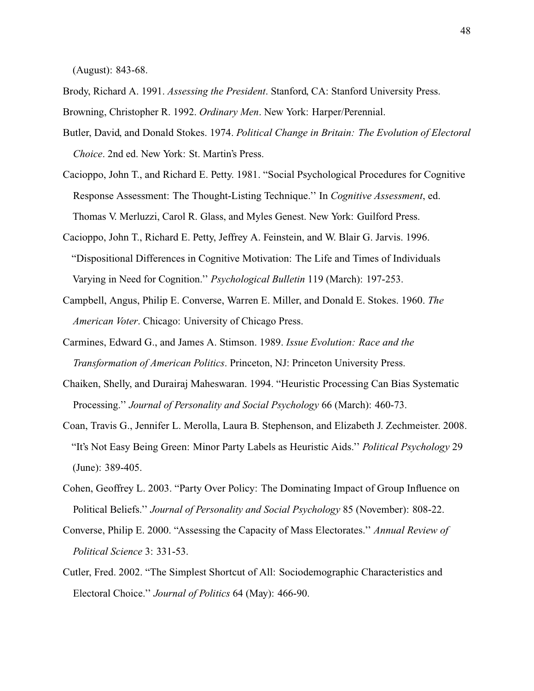<span id="page-47-5"></span>(August): 843-68.

- <span id="page-47-3"></span>Brody, Richard A. 1991. *Assessing the President*. Stanford, CA: Stanford University Press.
- Browning, Christopher R. 1992. *Ordinary Men*. New York: Harper/Perennial.
- Butler, David, and Donald Stokes. 1974. *Political Change in Britain: The Evolution of Electoral Choice*. 2nd ed. New York: St. Martin's Press.
- Cacioppo, John T., and Richard E. Petty. 1981. "Social Psychological Procedures for Cognitive Response Assessment: The Thought-Listing Technique.'' In *Cognitive Assessment*, ed. Thomas V. Merluzzi, Carol R. Glass, and Myles Genest. New York: Guilford Press.
- Cacioppo, John T., Richard E. Petty, Jeffrey A. Feinstein, and W. Blair G. Jarvis. 1996. "Dispositional Differences in Cognitive Motivation: The Life and Times of Individuals Varying in Need for Cognition.'' *Psychological Bulletin* 119 (March): 197-253.
- <span id="page-47-2"></span>Campbell, Angus, Philip E. Converse, Warren E. Miller, and Donald E. Stokes. 1960. *The American Voter*. Chicago: University of Chicago Press.
- <span id="page-47-0"></span>Carmines, Edward G., and James A. Stimson. 1989. *Issue Evolution: Race and the Transformation of American Politics*. Princeton, NJ: Princeton University Press.
- Chaiken, Shelly, and Durairaj Maheswaran. 1994. "Heuristic Processing Can Bias Systematic Processing.'' *Journal of Personality and Social Psychology* 66 (March): 460-73.
- <span id="page-47-1"></span>Coan, Travis G., Jennifer L. Merolla, Laura B. Stephenson, and Elizabeth J. Zechmeister. 2008. "It's Not Easy Being Green: Minor Party Labels as Heuristic Aids.'' *Political Psychology* 29 (June): 389-405.
- <span id="page-47-4"></span>Cohen, Geoffrey L. 2003. "Party Over Policy: The Dominating Impact of Group Influence on Political Beliefs.'' *Journal of Personality and Social Psychology* 85 (November): 808-22.
- Converse, Philip E. 2000. "Assessing the Capacity of Mass Electorates.'' *Annual Review of Political Science* 3: 331-53.
- Cutler, Fred. 2002. "The Simplest Shortcut of All: Sociodemographic Characteristics and Electoral Choice.'' *Journal of Politics* 64 (May): 466-90.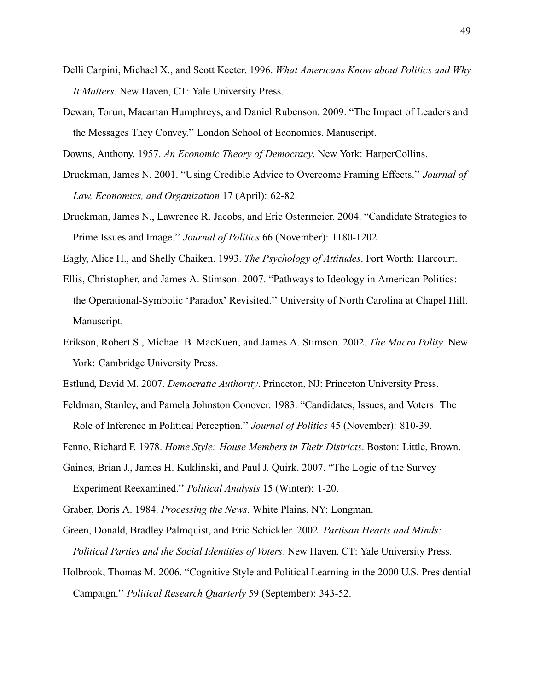- <span id="page-48-10"></span><span id="page-48-2"></span>Delli Carpini, Michael X., and Scott Keeter. 1996. *What Americans Know about Politics and Why It Matters*. New Haven, CT: Yale University Press.
- <span id="page-48-5"></span>Dewan, Torun, Macartan Humphreys, and Daniel Rubenson. 2009. "The Impact of Leaders and the Messages They Convey.'' London School of Economics. Manuscript.

<span id="page-48-9"></span>Downs, Anthony. 1957. *An Economic Theory of Democracy*. New York: HarperCollins.

- Druckman, James N. 2001. "Using Credible Advice to Overcome Framing Effects.'' *Journal of Law, Economics, and Organization* 17 (April): 62-82.
- <span id="page-48-3"></span>Druckman, James N., Lawrence R. Jacobs, and Eric Ostermeier. 2004. "Candidate Strategies to Prime Issues and Image.'' *Journal of Politics* 66 (November): 1180-1202.

Eagly, Alice H., and Shelly Chaiken. 1993. *The Psychology of Attitudes*. Fort Worth: Harcourt.

- Ellis, Christopher, and James A. Stimson. 2007. "Pathways to Ideology in American Politics: the Operational-Symbolic 'Paradox' Revisited.'' University of North Carolina at Chapel Hill. Manuscript.
- Erikson, Robert S., Michael B. MacKuen, and James A. Stimson. 2002. *The Macro Polity*. New York: Cambridge University Press.

<span id="page-48-6"></span><span id="page-48-1"></span>Estlund, David M. 2007. *Democratic Authority*. Princeton, NJ: Princeton University Press.

Feldman, Stanley, and Pamela Johnston Conover. 1983. "Candidates, Issues, and Voters: The Role of Inference in Political Perception.'' *Journal of Politics* 45 (November): 810-39.

<span id="page-48-4"></span><span id="page-48-0"></span>Fenno, Richard F. 1978. *Home Style: House Members in Their Districts*. Boston: Little, Brown.

Gaines, Brian J., James H. Kuklinski, and Paul J. Quirk. 2007. "The Logic of the Survey Experiment Reexamined.'' *Political Analysis* 15 (Winter): 1-20.

<span id="page-48-7"></span>Graber, Doris A. 1984. *Processing the News*. White Plains, NY: Longman.

Green, Donald, Bradley Palmquist, and Eric Schickler. 2002. *Partisan Hearts and Minds: Political Parties and the Social Identities of Voters*. New Haven, CT: Yale University Press.

<span id="page-48-8"></span>Holbrook, Thomas M. 2006. "Cognitive Style and Political Learning in the 2000 U.S. Presidential Campaign.'' *Political Research Quarterly* 59 (September): 343-52.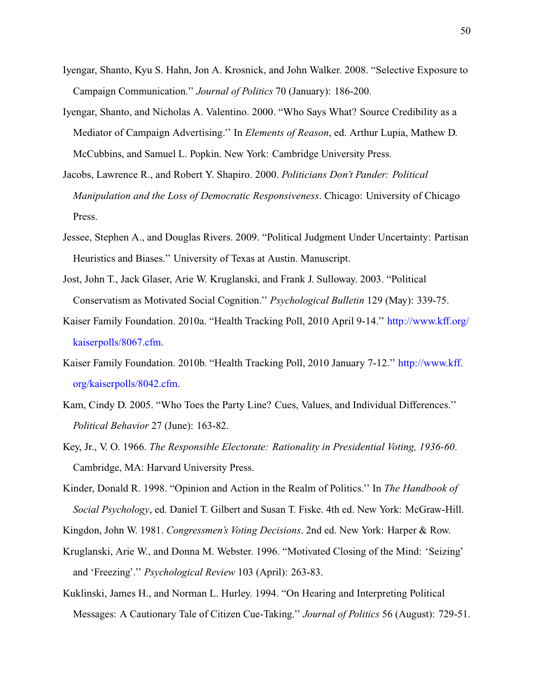- <span id="page-49-6"></span>Iyengar, Shanto, Kyu S. Hahn, Jon A. Krosnick, and John Walker. 2008. "Selective Exposure to Campaign Communication.'' *Journal of Politics* 70 (January): 186-200.
- <span id="page-49-3"></span>Iyengar, Shanto, and Nicholas A. Valentino. 2000. "Who Says What? Source Credibility as a Mediator of Campaign Advertising.'' In *Elements of Reason*, ed. Arthur Lupia, Mathew D. McCubbins, and Samuel L. Popkin. New York: Cambridge University Press.
- <span id="page-49-2"></span>Jacobs, Lawrence R., and Robert Y. Shapiro. 2000. *Politicians Don't Pander: Political Manipulation and the Loss of Democratic Responsiveness*. Chicago: University of Chicago Press.
- <span id="page-49-0"></span>Jessee, Stephen A., and Douglas Rivers. 2009. "Political Judgment Under Uncertainty: Partisan Heuristics and Biases.'' University of Texas at Austin. Manuscript.
- <span id="page-49-5"></span>Jost, John T., Jack Glaser, Arie W. Kruglanski, and Frank J. Sulloway. 2003. "Political Conservatism as Motivated Social Cognition.'' *Psychological Bulletin* 129 (May): 339-75.
- Kaiser Family Foundation. 2010a. "Health Tracking Poll, 2010 April 9-14.'' [http://www.kff.org/](http://www.kff.org/kaiserpolls/8067.cfm) [kaiserpolls/8067.cfm.](http://www.kff.org/kaiserpolls/8067.cfm)
- Kaiser Family Foundation. 2010b. "Health Tracking Poll, 2010 January 7-12.'' [http://www.kff.](http://www.kff.org/kaiserpolls/8042.cfm) [org/kaiserpolls/8042.cfm.](http://www.kff.org/kaiserpolls/8042.cfm)
- Kam, Cindy D. 2005. "Who Toes the Party Line? Cues, Values, and Individual Differences.'' *Political Behavior* 27 (June): 163-82.
- Key, Jr., V. O. 1966. *The Responsible Electorate: Rationality in Presidential Voting, 1936-60*. Cambridge, MA: Harvard University Press.
- Kinder, Donald R. 1998. "Opinion and Action in the Realm of Politics.'' In *The Handbook of Social Psychology*, ed. Daniel T. Gilbert and Susan T. Fiske. 4th ed. New York: McGraw-Hill.
- <span id="page-49-4"></span><span id="page-49-1"></span>Kingdon, John W. 1981. *Congressmen's Voting Decisions*. 2nd ed. New York: Harper & Row.
- Kruglanski, Arie W., and Donna M. Webster. 1996. "Motivated Closing of the Mind: 'Seizing' and 'Freezing'.'' *Psychological Review* 103 (April): 263-83.
- Kuklinski, James H., and Norman L. Hurley. 1994. "On Hearing and Interpreting Political Messages: A Cautionary Tale of Citizen Cue-Taking.'' *Journal of Politics* 56 (August): 729-51.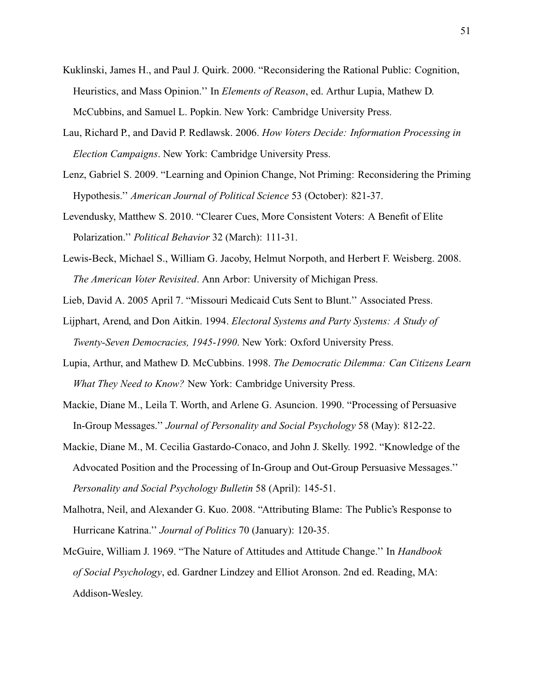- <span id="page-50-4"></span>Kuklinski, James H., and Paul J. Quirk. 2000. "Reconsidering the Rational Public: Cognition, Heuristics, and Mass Opinion.'' In *Elements of Reason*, ed. Arthur Lupia, Mathew D. McCubbins, and Samuel L. Popkin. New York: Cambridge University Press.
- <span id="page-50-3"></span>Lau, Richard P., and David P. Redlawsk. 2006. *How Voters Decide: Information Processing in Election Campaigns*. New York: Cambridge University Press.
- <span id="page-50-1"></span>Lenz, Gabriel S. 2009. "Learning and Opinion Change, Not Priming: Reconsidering the Priming Hypothesis.'' *American Journal of Political Science* 53 (October): 821-37.
- <span id="page-50-0"></span>Levendusky, Matthew S. 2010. "Clearer Cues, More Consistent Voters: A Benefit of Elite Polarization.'' *Political Behavior* 32 (March): 111-31.
- Lewis-Beck, Michael S., William G. Jacoby, Helmut Norpoth, and Herbert F. Weisberg. 2008. *The American Voter Revisited*. Ann Arbor: University of Michigan Press.
- <span id="page-50-5"></span><span id="page-50-2"></span>Lieb, David A. 2005 April 7. "Missouri Medicaid Cuts Sent to Blunt.'' Associated Press.
- Lijphart, Arend, and Don Aitkin. 1994. *Electoral Systems and Party Systems: A Study of Twenty-Seven Democracies, 1945-1990*. New York: Oxford University Press.
- Lupia, Arthur, and Mathew D. McCubbins. 1998. *The Democratic Dilemma: Can Citizens Learn What They Need to Know?* New York: Cambridge University Press.
- Mackie, Diane M., Leila T. Worth, and Arlene G. Asuncion. 1990. "Processing of Persuasive In-Group Messages.'' *Journal of Personality and Social Psychology* 58 (May): 812-22.
- Mackie, Diane M., M. Cecilia Gastardo-Conaco, and John J. Skelly. 1992. "Knowledge of the Advocated Position and the Processing of In-Group and Out-Group Persuasive Messages.'' *Personality and Social Psychology Bulletin* 58 (April): 145-51.
- Malhotra, Neil, and Alexander G. Kuo. 2008. "Attributing Blame: The Public's Response to Hurricane Katrina.'' *Journal of Politics* 70 (January): 120-35.
- McGuire, William J. 1969. "The Nature of Attitudes and Attitude Change.'' In *Handbook of Social Psychology*, ed. Gardner Lindzey and Elliot Aronson. 2nd ed. Reading, MA: Addison-Wesley.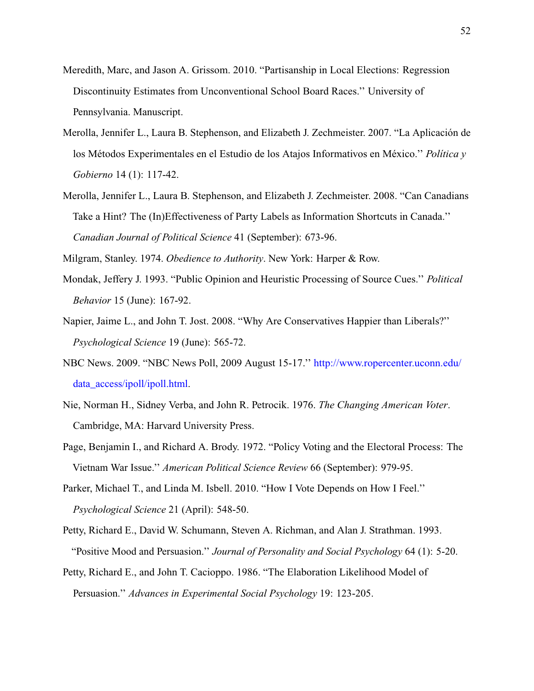- Meredith, Marc, and Jason A. Grissom. 2010. "Partisanship in Local Elections: Regression Discontinuity Estimates from Unconventional School Board Races.'' University of Pennsylvania. Manuscript.
- <span id="page-51-1"></span>Merolla, Jennifer L., Laura B. Stephenson, and Elizabeth J. Zechmeister. 2007. "La Aplicación de los Métodos Experimentales en el Estudio de los Atajos Informativos en México.'' *Política y Gobierno* 14 (1): 117-42.
- <span id="page-51-2"></span>Merolla, Jennifer L., Laura B. Stephenson, and Elizabeth J. Zechmeister. 2008. "Can Canadians Take a Hint? The (In)Effectiveness of Party Labels as Information Shortcuts in Canada.'' *Canadian Journal of Political Science* 41 (September): 673-96.

Milgram, Stanley. 1974. *Obedience to Authority*. New York: Harper & Row.

- Mondak, Jeffery J. 1993. "Public Opinion and Heuristic Processing of Source Cues.'' *Political Behavior* 15 (June): 167-92.
- Napier, Jaime L., and John T. Jost. 2008. "Why Are Conservatives Happier than Liberals?'' *Psychological Science* 19 (June): 565-72.
- NBC News. 2009. "NBC News Poll, 2009 August 15-17.'' [http://www.ropercenter.uconn.edu/](http://www.ropercenter.uconn.edu/data_access/ipoll/ipoll.html) [data\\_access/ipoll/ipoll.html.](http://www.ropercenter.uconn.edu/data_access/ipoll/ipoll.html)
- Nie, Norman H., Sidney Verba, and John R. Petrocik. 1976. *The Changing American Voter*. Cambridge, MA: Harvard University Press.
- <span id="page-51-0"></span>Page, Benjamin I., and Richard A. Brody. 1972. "Policy Voting and the Electoral Process: The Vietnam War Issue.'' *American Political Science Review* 66 (September): 979-95.
- Parker, Michael T., and Linda M. Isbell. 2010. "How I Vote Depends on How I Feel.'' *Psychological Science* 21 (April): 548-50.
- Petty, Richard E., David W. Schumann, Steven A. Richman, and Alan J. Strathman. 1993. "Positive Mood and Persuasion.'' *Journal of Personality and Social Psychology* 64 (1): 5-20.
- Petty, Richard E., and John T. Cacioppo. 1986. "The Elaboration Likelihood Model of Persuasion.'' *Advances in Experimental Social Psychology* 19: 123-205.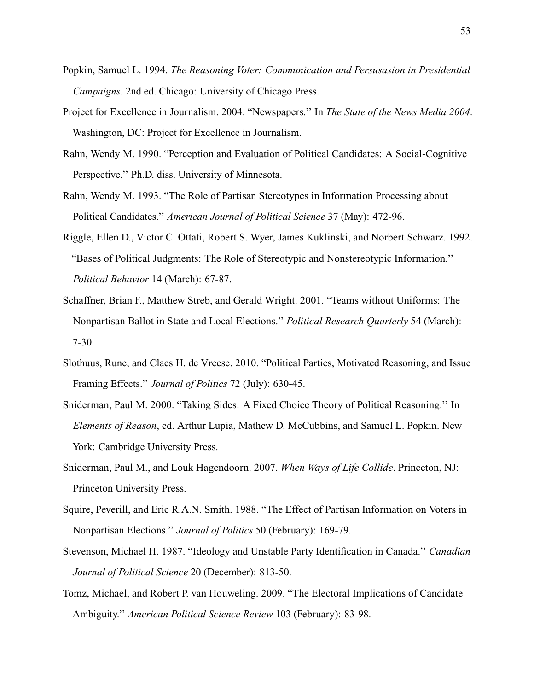- <span id="page-52-9"></span><span id="page-52-8"></span><span id="page-52-7"></span><span id="page-52-6"></span>Popkin, Samuel L. 1994. *The Reasoning Voter: Communication and Persusasion in Presidential Campaigns*. 2nd ed. Chicago: University of Chicago Press.
- Project for Excellence in Journalism. 2004. "Newspapers.'' In *The State of the News Media 2004*. Washington, DC: Project for Excellence in Journalism.
- Rahn, Wendy M. 1990. "Perception and Evaluation of Political Candidates: A Social-Cognitive Perspective.'' Ph.D. diss. University of Minnesota.
- <span id="page-52-5"></span>Rahn, Wendy M. 1993. "The Role of Partisan Stereotypes in Information Processing about Political Candidates.'' *American Journal of Political Science* 37 (May): 472-96.
- Riggle, Ellen D., Victor C. Ottati, Robert S. Wyer, James Kuklinski, and Norbert Schwarz. 1992. "Bases of Political Judgments: The Role of Stereotypic and Nonstereotypic Information.'' *Political Behavior* 14 (March): 67-87.
- <span id="page-52-1"></span>Schaffner, Brian F., Matthew Streb, and Gerald Wright. 2001. "Teams without Uniforms: The Nonpartisan Ballot in State and Local Elections.'' *Political Research Quarterly* 54 (March): 7-30.
- <span id="page-52-0"></span>Slothuus, Rune, and Claes H. de Vreese. 2010. "Political Parties, Motivated Reasoning, and Issue Framing Effects.'' *Journal of Politics* 72 (July): 630-45.
- <span id="page-52-3"></span>Sniderman, Paul M. 2000. "Taking Sides: A Fixed Choice Theory of Political Reasoning.'' In *Elements of Reason*, ed. Arthur Lupia, Mathew D. McCubbins, and Samuel L. Popkin. New York: Cambridge University Press.
- <span id="page-52-4"></span>Sniderman, Paul M., and Louk Hagendoorn. 2007. *When Ways of Life Collide*. Princeton, NJ: Princeton University Press.
- Squire, Peverill, and Eric R.A.N. Smith. 1988. "The Effect of Partisan Information on Voters in Nonpartisan Elections.'' *Journal of Politics* 50 (February): 169-79.
- <span id="page-52-2"></span>Stevenson, Michael H. 1987. "Ideology and Unstable Party Identification in Canada.'' *Canadian Journal of Political Science* 20 (December): 813-50.
- Tomz, Michael, and Robert P. van Houweling. 2009. "The Electoral Implications of Candidate Ambiguity.'' *American Political Science Review* 103 (February): 83-98.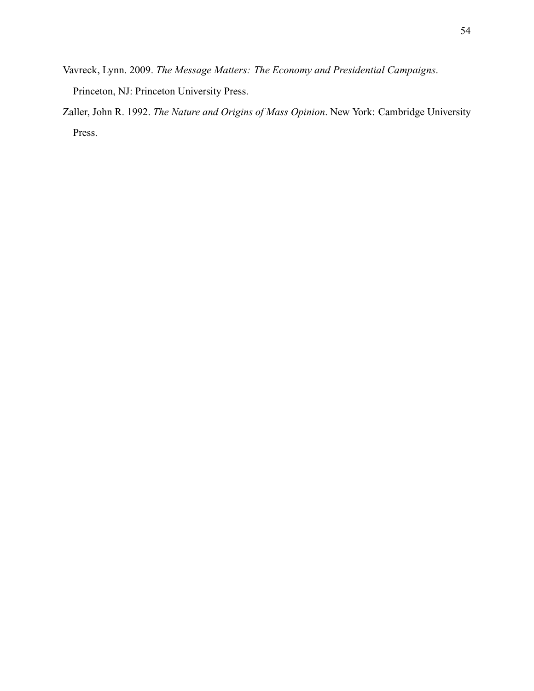- <span id="page-53-1"></span>Vavreck, Lynn. 2009. *The Message Matters: The Economy and Presidential Campaigns*. Princeton, NJ: Princeton University Press.
- <span id="page-53-0"></span>Zaller, John R. 1992. *The Nature and Origins of Mass Opinion*. New York: Cambridge University Press.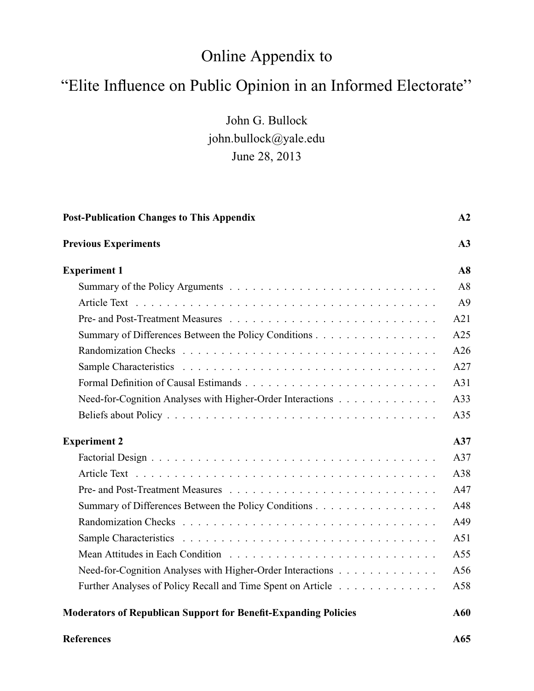# Online Appendix to

# "Elite Influence on Public Opinion in an Informed Electorate''

John G. Bullock john.bullock@yale.edu June 28, 2013

| <b>Post-Publication Changes to This Appendix</b>                       | A2             |
|------------------------------------------------------------------------|----------------|
| <b>Previous Experiments</b>                                            | A3             |
| <b>Experiment 1</b>                                                    | A8             |
|                                                                        | A8             |
|                                                                        | A <sup>9</sup> |
|                                                                        | A21            |
| Summary of Differences Between the Policy Conditions                   | A25            |
|                                                                        | A26            |
|                                                                        | A27            |
|                                                                        | A31            |
| Need-for-Cognition Analyses with Higher-Order Interactions             | A33            |
|                                                                        | A35            |
| <b>Experiment 2</b>                                                    | A37            |
|                                                                        | A37            |
|                                                                        | A38            |
|                                                                        | A47            |
| Summary of Differences Between the Policy Conditions                   | A48            |
|                                                                        | A49            |
|                                                                        | A51            |
|                                                                        | A55            |
| Need-for-Cognition Analyses with Higher-Order Interactions             | A56            |
| Further Analyses of Policy Recall and Time Spent on Article            | A58            |
| <b>Moderators of Republican Support for Benefit-Expanding Policies</b> | A60            |

#### **[References](#page-117-0) A65**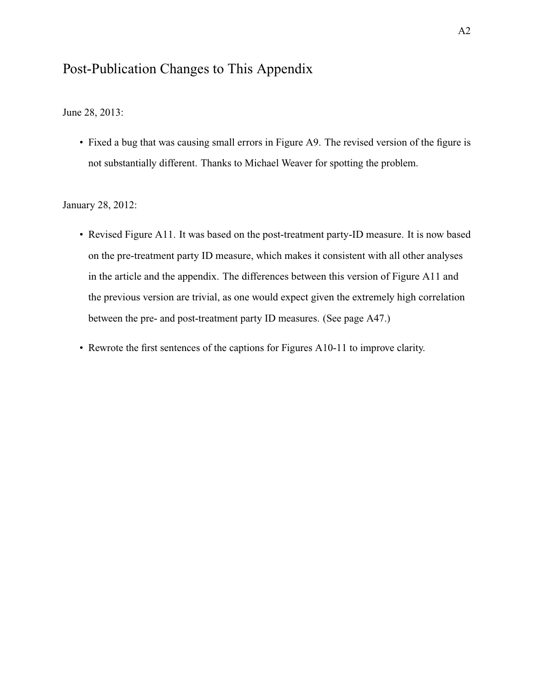# <span id="page-55-0"></span>Post-Publication Changes to This Appendix

June 28, 2013:

• Fixed a bug that was causing small errors in Figure A9. The revised version of the figure is not substantially different. Thanks to Michael Weaver for spotting the problem.

January 28, 2012:

- Revised Figure A11. It was based on the post-treatment party-ID measure. It is now based on the pre-treatment party ID measure, which makes it consistent with all other analyses in the article and the appendix. The differences between this version of Figure A11 and the previous version are trivial, as one would expect given the extremely high correlation between the pre- and post-treatment party ID measures. (See [page A47.](#page-100-0))
- Rewrote the first sentences of the captions for Figures A10-11 to improve clarity.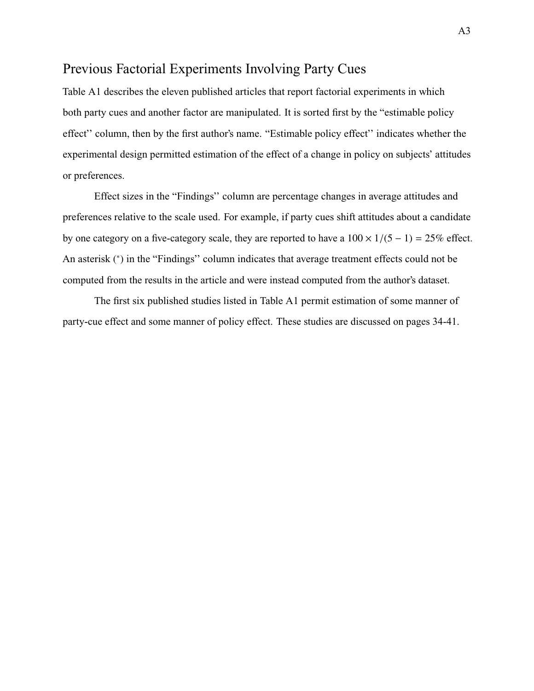## <span id="page-56-0"></span>Previous Factorial Experiments Involving Party Cues

<span id="page-56-1"></span>[Table A1](#page-57-0) describes the eleven published articles that report factorial experiments in which both party cues and another factor are manipulated. It is sorted first by the "estimable policy effect'' column, then by the first author's name. "Estimable policy effect'' indicates whether the experimental design permitted estimation of the effect of a change in policy on subjects' attitudes or preferences.

Effect sizes in the "Findings'' column are percentage changes in average attitudes and preferences relative to the scale used. For example, if party cues shift attitudes about a candidate by one category on a five-category scale, they are reported to have a  $100 \times 1/(5 - 1) = 25\%$  effect. An asterisk (\*) in the "Findings" column indicates that average treatment effects could not be computed from the results in the article and were instead computed from the author's dataset.

The first six published studies listed in [Table A1](#page-57-0) permit estimation of some manner of party-cue effect and some manner of policy effect. These studies are discussed on pages [34](#page-33-0)[-41.](#page-37-0)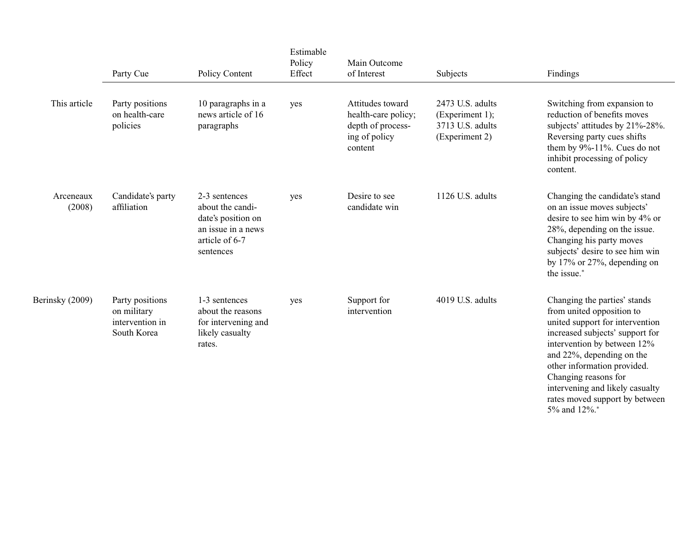|                     | Party Cue                                                        | Policy Content                                                                                               | Estimable<br>Policy<br>Effect | Main Outcome<br>of Interest                                                              | Subjects                                                                  | Findings                                                                                                                                                                                                                                                                                                                |
|---------------------|------------------------------------------------------------------|--------------------------------------------------------------------------------------------------------------|-------------------------------|------------------------------------------------------------------------------------------|---------------------------------------------------------------------------|-------------------------------------------------------------------------------------------------------------------------------------------------------------------------------------------------------------------------------------------------------------------------------------------------------------------------|
| This article        | Party positions<br>on health-care<br>policies                    | 10 paragraphs in a<br>news article of 16<br>paragraphs                                                       | yes                           | Attitudes toward<br>health-care policy;<br>depth of process-<br>ing of policy<br>content | 2473 U.S. adults<br>(Experiment 1);<br>3713 U.S. adults<br>(Experiment 2) | Switching from expansion to<br>reduction of benefits moves<br>subjects' attitudes by 21%-28%.<br>Reversing party cues shifts<br>them by $9\% - 11\%$ . Cues do not<br>inhibit processing of policy<br>content.                                                                                                          |
| Arceneaux<br>(2008) | Candidate's party<br>affiliation                                 | 2-3 sentences<br>about the candi-<br>date's position on<br>an issue in a news<br>article of 6-7<br>sentences | yes                           | Desire to see<br>candidate win                                                           | 1126 U.S. adults                                                          | Changing the candidate's stand<br>on an issue moves subjects'<br>desire to see him win by 4% or<br>28%, depending on the issue.<br>Changing his party moves<br>subjects' desire to see him win<br>by 17% or 27%, depending on<br>the issue.*                                                                            |
| Berinsky (2009)     | Party positions<br>on military<br>intervention in<br>South Korea | 1-3 sentences<br>about the reasons<br>for intervening and<br>likely casualty<br>rates.                       | yes                           | Support for<br>intervention                                                              | 4019 U.S. adults                                                          | Changing the parties' stands<br>from united opposition to<br>united support for intervention<br>increased subjects' support for<br>intervention by between 12%<br>and 22%, depending on the<br>other information provided.<br>Changing reasons for<br>intervening and likely casualty<br>rates moved support by between |

<span id="page-57-0"></span>5% and 12%.<sup>∗</sup>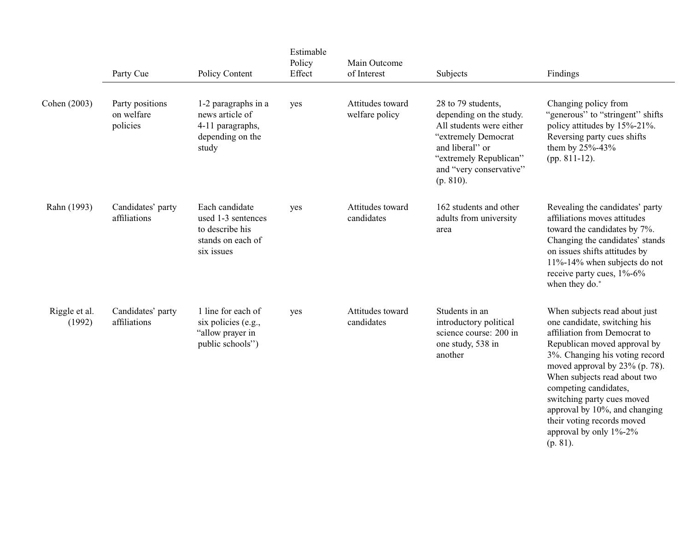|                         | Party Cue                                 | Policy Content                                                                             | Estimable<br>Policy<br>Effect | Main Outcome<br>of Interest        | Subjects                                                                                                                                                                              | Findings                                                                                                                                                                                                                                                                                                                                                                                         |
|-------------------------|-------------------------------------------|--------------------------------------------------------------------------------------------|-------------------------------|------------------------------------|---------------------------------------------------------------------------------------------------------------------------------------------------------------------------------------|--------------------------------------------------------------------------------------------------------------------------------------------------------------------------------------------------------------------------------------------------------------------------------------------------------------------------------------------------------------------------------------------------|
| Cohen (2003)            | Party positions<br>on welfare<br>policies | 1-2 paragraphs in a<br>news article of<br>4-11 paragraphs,<br>depending on the<br>study    | yes                           | Attitudes toward<br>welfare policy | 28 to 79 students,<br>depending on the study.<br>All students were either<br>"extremely Democrat<br>and liberal" or<br>"extremely Republican"<br>and "very conservative"<br>(p. 810). | Changing policy from<br>"generous" to "stringent" shifts<br>policy attitudes by 15%-21%.<br>Reversing party cues shifts<br>them by 25%-43%<br>(pp. $811-12$ ).                                                                                                                                                                                                                                   |
| Rahn (1993)             | Candidates' party<br>affiliations         | Each candidate<br>used 1-3 sentences<br>to describe his<br>stands on each of<br>six issues | yes                           | Attitudes toward<br>candidates     | 162 students and other<br>adults from university<br>area                                                                                                                              | Revealing the candidates' party<br>affiliations moves attitudes<br>toward the candidates by 7%.<br>Changing the candidates' stands<br>on issues shifts attitudes by<br>11%-14% when subjects do not<br>receive party cues, 1%-6%<br>when they do.*                                                                                                                                               |
| Riggle et al.<br>(1992) | Candidates' party<br>affiliations         | 1 line for each of<br>six policies (e.g.,<br>"allow prayer in<br>public schools")          | yes                           | Attitudes toward<br>candidates     | Students in an<br>introductory political<br>science course: 200 in<br>one study, 538 in<br>another                                                                                    | When subjects read about just<br>one candidate, switching his<br>affiliation from Democrat to<br>Republican moved approval by<br>3%. Changing his voting record<br>moved approval by 23% (p. 78).<br>When subjects read about two<br>competing candidates,<br>switching party cues moved<br>approval by 10%, and changing<br>their voting records moved<br>approval by only 1%-2%<br>$(p. 81)$ . |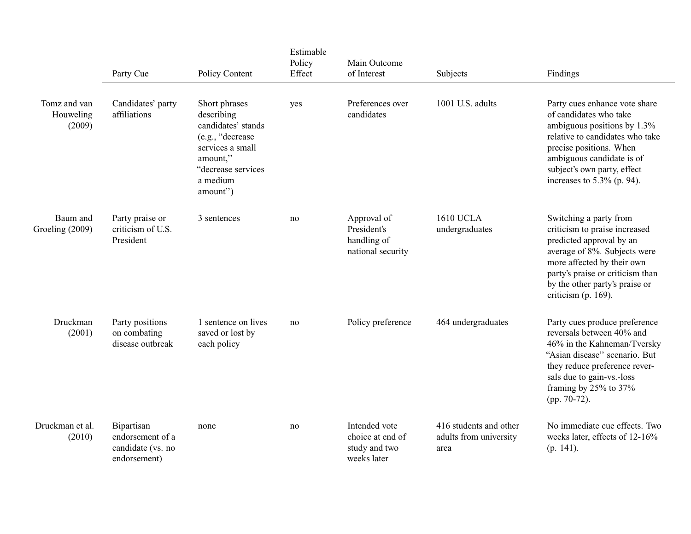|                                     | Party Cue                                                           | Policy Content                                                                                                                                      | Estimable<br>Policy<br>Effect | Main Outcome<br>of Interest                                       | Subjects                                                 | Findings                                                                                                                                                                                                                                          |
|-------------------------------------|---------------------------------------------------------------------|-----------------------------------------------------------------------------------------------------------------------------------------------------|-------------------------------|-------------------------------------------------------------------|----------------------------------------------------------|---------------------------------------------------------------------------------------------------------------------------------------------------------------------------------------------------------------------------------------------------|
| Tomz and van<br>Houweling<br>(2009) | Candidates' party<br>affiliations                                   | Short phrases<br>describing<br>candidates' stands<br>(e.g., "decrease<br>services a small<br>amount,"<br>"decrease services<br>a medium<br>amount") | yes                           | Preferences over<br>candidates                                    | 1001 U.S. adults                                         | Party cues enhance vote share<br>of candidates who take<br>ambiguous positions by 1.3%<br>relative to candidates who take<br>precise positions. When<br>ambiguous candidate is of<br>subject's own party, effect<br>increases to $5.3\%$ (p. 94). |
| Baum and<br>Groeling (2009)         | Party praise or<br>criticism of U.S.<br>President                   | 3 sentences                                                                                                                                         | no                            | Approval of<br>President's<br>handling of<br>national security    | <b>1610 UCLA</b><br>undergraduates                       | Switching a party from<br>criticism to praise increased<br>predicted approval by an<br>average of 8%. Subjects were<br>more affected by their own<br>party's praise or criticism than<br>by the other party's praise or<br>criticism (p. 169).    |
| Druckman<br>(2001)                  | Party positions<br>on combating<br>disease outbreak                 | 1 sentence on lives<br>saved or lost by<br>each policy                                                                                              | no                            | Policy preference                                                 | 464 undergraduates                                       | Party cues produce preference<br>reversals between 40% and<br>46% in the Kahneman/Tversky<br>"Asian disease" scenario. But<br>they reduce preference rever-<br>sals due to gain-vs.-loss<br>framing by 25% to 37%<br>(pp. 70-72).                 |
| Druckman et al.<br>(2010)           | Bipartisan<br>endorsement of a<br>candidate (vs. no<br>endorsement) | none                                                                                                                                                | no                            | Intended vote<br>choice at end of<br>study and two<br>weeks later | 416 students and other<br>adults from university<br>area | No immediate cue effects. Two<br>weeks later, effects of 12-16%<br>$(p. 141)$ .                                                                                                                                                                   |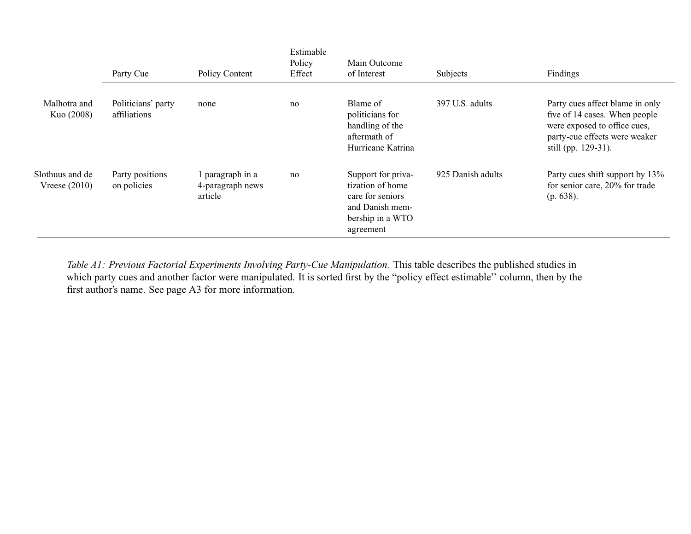|                                    | Party Cue                          | Policy Content                                  | Estimable<br>Policy<br>Effect | Main Outcome<br>of Interest                                                                                    | Subjects          | Findings                                                                                                                                                 |
|------------------------------------|------------------------------------|-------------------------------------------------|-------------------------------|----------------------------------------------------------------------------------------------------------------|-------------------|----------------------------------------------------------------------------------------------------------------------------------------------------------|
| Malhotra and<br>Kuo (2008)         | Politicians' party<br>affiliations | none                                            | no                            | Blame of<br>politicians for<br>handling of the<br>aftermath of<br>Hurricane Katrina                            | 397 U.S. adults   | Party cues affect blame in only<br>five of 14 cases. When people<br>were exposed to office cues,<br>party-cue effects were weaker<br>still (pp. 129-31). |
| Slothuus and de<br>Vreese $(2010)$ | Party positions<br>on policies     | 1 paragraph in a<br>4-paragraph news<br>article | no                            | Support for priva-<br>tization of home<br>care for seniors<br>and Danish mem-<br>bership in a WTO<br>agreement | 925 Danish adults | Party cues shift support by 13%<br>for senior care, 20% for trade<br>(p. 638).                                                                           |

Table A1: Previous Factorial Experiments Involving Party-Cue Manipulation. This table describes the published studies in which party cues and another factor were manipulated. It is sorted first by the "policy effect estimable'' column, then by thefirst author's name. See [page](#page-56-1) A3 for more information.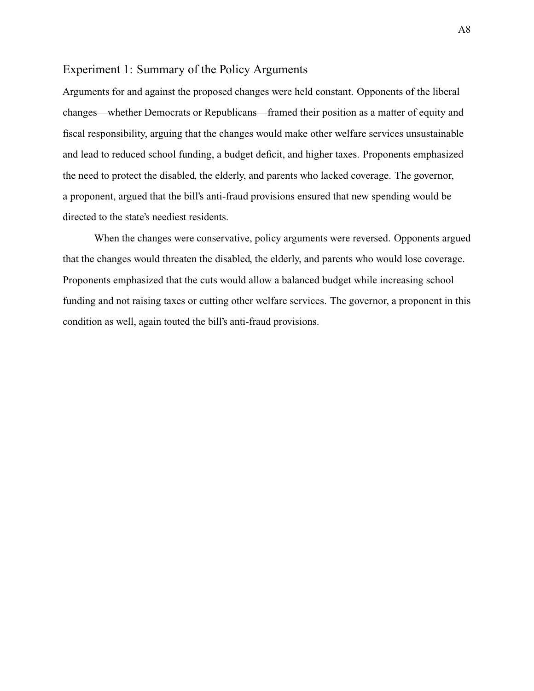## <span id="page-61-1"></span><span id="page-61-0"></span>Experiment 1: Summary of the Policy Arguments

Arguments for and against the proposed changes were held constant. Opponents of the liberal changes—whether Democrats or Republicans—framed their position as a matter of equity and fiscal responsibility, arguing that the changes would make other welfare services unsustainable and lead to reduced school funding, a budget deficit, and higher taxes. Proponents emphasized the need to protect the disabled, the elderly, and parents who lacked coverage. The governor, a proponent, argued that the bill's anti-fraud provisions ensured that new spending would be directed to the state's neediest residents.

When the changes were conservative, policy arguments were reversed. Opponents argued that the changes would threaten the disabled, the elderly, and parents who would lose coverage. Proponents emphasized that the cuts would allow a balanced budget while increasing school funding and not raising taxes or cutting other welfare services. The governor, a proponent in this condition as well, again touted the bill's anti-fraud provisions.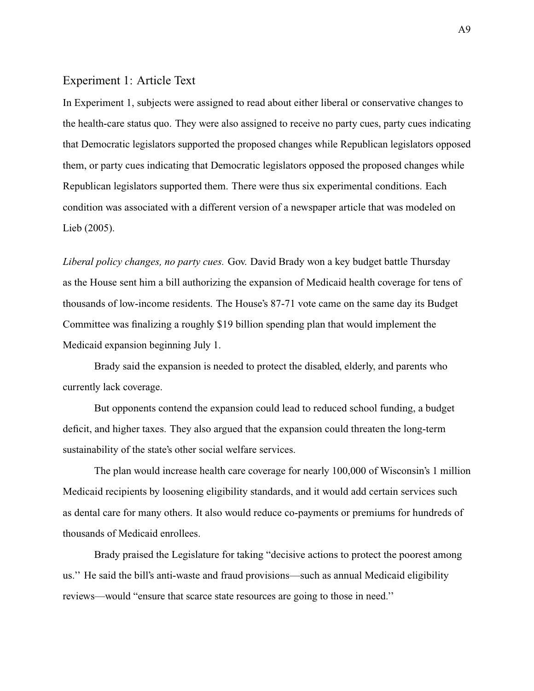## <span id="page-62-0"></span>Experiment 1: Article Text

In Experiment 1, subjects were assigned to read about either liberal or conservative changes to the health-care status quo. They were also assigned to receive no party cues, party cues indicating that Democratic legislators supported the proposed changes while Republican legislators opposed them, or party cues indicating that Democratic legislators opposed the proposed changes while Republican legislators supported them. There were thus six experimental conditions. Each condition was associated with a different version of a newspaper article that was modeled on [Lieb](#page-50-5) (2005).

*Liberal policy changes, no party cues.* Gov. David Brady won a key budget battle Thursday as the House sent him a bill authorizing the expansion of Medicaid health coverage for tens of thousands of low-income residents. The House's 87-71 vote came on the same day its Budget Committee was finalizing a roughly \$19 billion spending plan that would implement the Medicaid expansion beginning July 1.

Brady said the expansion is needed to protect the disabled, elderly, and parents who currently lack coverage.

But opponents contend the expansion could lead to reduced school funding, a budget deficit, and higher taxes. They also argued that the expansion could threaten the long-term sustainability of the state's other social welfare services.

The plan would increase health care coverage for nearly 100,000 of Wisconsin's 1 million Medicaid recipients by loosening eligibility standards, and it would add certain services such as dental care for many others. It also would reduce co-payments or premiums for hundreds of thousands of Medicaid enrollees.

Brady praised the Legislature for taking "decisive actions to protect the poorest among us.'' He said the bill's anti-waste and fraud provisions—such as annual Medicaid eligibility reviews—would "ensure that scarce state resources are going to those in need.''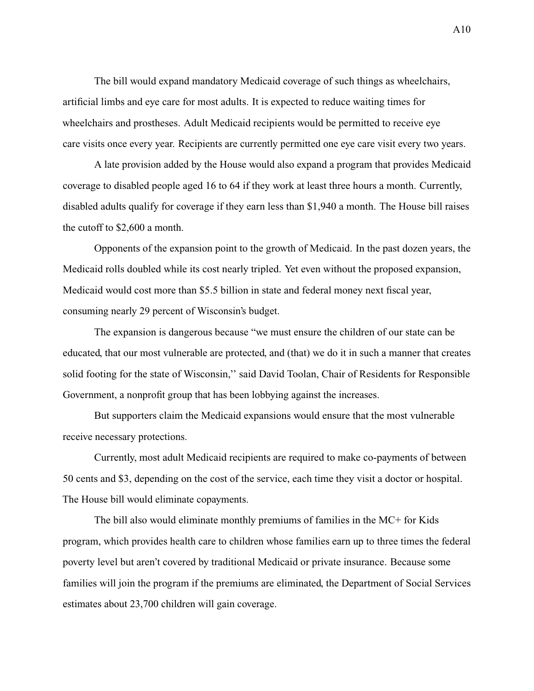The bill would expand mandatory Medicaid coverage of such things as wheelchairs, artificial limbs and eye care for most adults. It is expected to reduce waiting times for wheelchairs and prostheses. Adult Medicaid recipients would be permitted to receive eye care visits once every year. Recipients are currently permitted one eye care visit every two years.

A late provision added by the House would also expand a program that provides Medicaid coverage to disabled people aged 16 to 64 if they work at least three hours a month. Currently, disabled adults qualify for coverage if they earn less than \$1,940 a month. The House bill raises the cutoff to \$2,600 a month.

Opponents of the expansion point to the growth of Medicaid. In the past dozen years, the Medicaid rolls doubled while its cost nearly tripled. Yet even without the proposed expansion, Medicaid would cost more than \$5.5 billion in state and federal money next fiscal year, consuming nearly 29 percent of Wisconsin's budget.

The expansion is dangerous because "we must ensure the children of our state can be educated, that our most vulnerable are protected, and (that) we do it in such a manner that creates solid footing for the state of Wisconsin," said David Toolan, Chair of Residents for Responsible Government, a nonprofit group that has been lobbying against the increases.

But supporters claim the Medicaid expansions would ensure that the most vulnerable receive necessary protections.

Currently, most adult Medicaid recipients are required to make co-payments of between 50 cents and \$3, depending on the cost of the service, each time they visit a doctor or hospital. The House bill would eliminate copayments.

The bill also would eliminate monthly premiums of families in the MC+ for Kids program, which provides health care to children whose families earn up to three times the federal poverty level but aren't covered by traditional Medicaid or private insurance. Because some families will join the program if the premiums are eliminated, the Department of Social Services estimates about 23,700 children will gain coverage.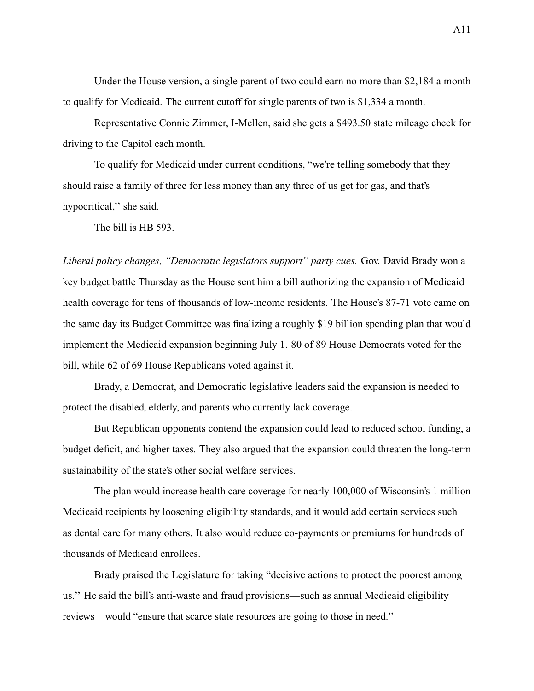Under the House version, a single parent of two could earn no more than \$2,184 a month to qualify for Medicaid. The current cutoff for single parents of two is \$1,334 a month.

Representative Connie Zimmer, I-Mellen, said she gets a \$493.50 state mileage check for driving to the Capitol each month.

To qualify for Medicaid under current conditions, "we're telling somebody that they should raise a family of three for less money than any three of us get for gas, and that's hypocritical,'' she said.

The bill is HB 593.

*Liberal policy changes, "Democratic legislators support'' party cues.* Gov. David Brady won a key budget battle Thursday as the House sent him a bill authorizing the expansion of Medicaid health coverage for tens of thousands of low-income residents. The House's 87-71 vote came on the same day its Budget Committee was finalizing a roughly \$19 billion spending plan that would implement the Medicaid expansion beginning July 1. 80 of 89 House Democrats voted for the bill, while 62 of 69 House Republicans voted against it.

Brady, a Democrat, and Democratic legislative leaders said the expansion is needed to protect the disabled, elderly, and parents who currently lack coverage.

But Republican opponents contend the expansion could lead to reduced school funding, a budget deficit, and higher taxes. They also argued that the expansion could threaten the long-term sustainability of the state's other social welfare services.

The plan would increase health care coverage for nearly 100,000 of Wisconsin's 1 million Medicaid recipients by loosening eligibility standards, and it would add certain services such as dental care for many others. It also would reduce co-payments or premiums for hundreds of thousands of Medicaid enrollees.

Brady praised the Legislature for taking "decisive actions to protect the poorest among us.'' He said the bill's anti-waste and fraud provisions—such as annual Medicaid eligibility reviews—would "ensure that scarce state resources are going to those in need.''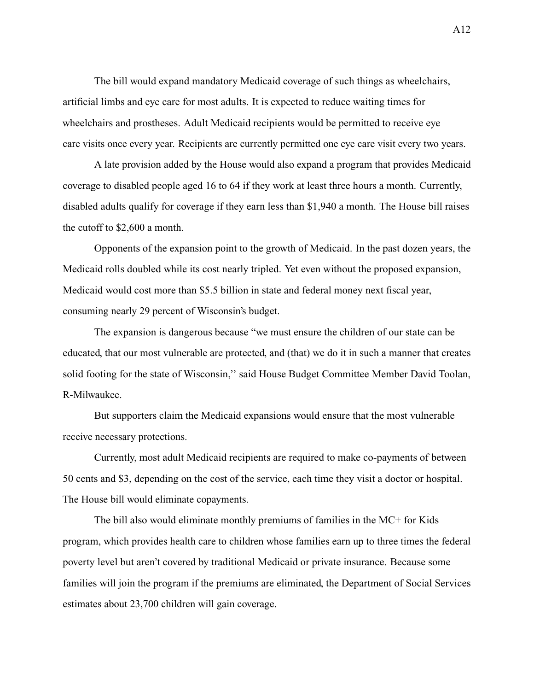The bill would expand mandatory Medicaid coverage of such things as wheelchairs, artificial limbs and eye care for most adults. It is expected to reduce waiting times for wheelchairs and prostheses. Adult Medicaid recipients would be permitted to receive eye care visits once every year. Recipients are currently permitted one eye care visit every two years.

A late provision added by the House would also expand a program that provides Medicaid coverage to disabled people aged 16 to 64 if they work at least three hours a month. Currently, disabled adults qualify for coverage if they earn less than \$1,940 a month. The House bill raises the cutoff to \$2,600 a month.

Opponents of the expansion point to the growth of Medicaid. In the past dozen years, the Medicaid rolls doubled while its cost nearly tripled. Yet even without the proposed expansion, Medicaid would cost more than \$5.5 billion in state and federal money next fiscal year, consuming nearly 29 percent of Wisconsin's budget.

The expansion is dangerous because "we must ensure the children of our state can be educated, that our most vulnerable are protected, and (that) we do it in such a manner that creates solid footing for the state of Wisconsin," said House Budget Committee Member David Toolan, R-Milwaukee.

But supporters claim the Medicaid expansions would ensure that the most vulnerable receive necessary protections.

Currently, most adult Medicaid recipients are required to make co-payments of between 50 cents and \$3, depending on the cost of the service, each time they visit a doctor or hospital. The House bill would eliminate copayments.

The bill also would eliminate monthly premiums of families in the MC+ for Kids program, which provides health care to children whose families earn up to three times the federal poverty level but aren't covered by traditional Medicaid or private insurance. Because some families will join the program if the premiums are eliminated, the Department of Social Services estimates about 23,700 children will gain coverage.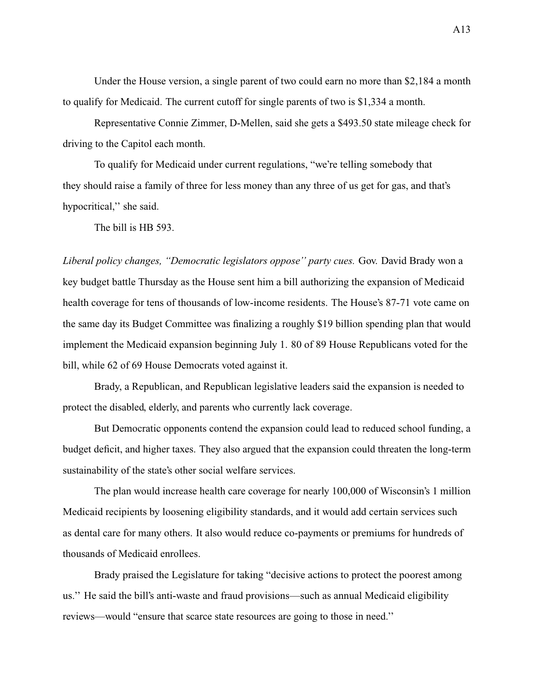Under the House version, a single parent of two could earn no more than \$2,184 a month to qualify for Medicaid. The current cutoff for single parents of two is \$1,334 a month.

Representative Connie Zimmer, D-Mellen, said she gets a \$493.50 state mileage check for driving to the Capitol each month.

To qualify for Medicaid under current regulations, "we're telling somebody that they should raise a family of three for less money than any three of us get for gas, and that's hypocritical,'' she said.

The bill is HB 593.

*Liberal policy changes, "Democratic legislators oppose'' party cues.* Gov. David Brady won a key budget battle Thursday as the House sent him a bill authorizing the expansion of Medicaid health coverage for tens of thousands of low-income residents. The House's 87-71 vote came on the same day its Budget Committee was finalizing a roughly \$19 billion spending plan that would implement the Medicaid expansion beginning July 1. 80 of 89 House Republicans voted for the bill, while 62 of 69 House Democrats voted against it.

Brady, a Republican, and Republican legislative leaders said the expansion is needed to protect the disabled, elderly, and parents who currently lack coverage.

But Democratic opponents contend the expansion could lead to reduced school funding, a budget deficit, and higher taxes. They also argued that the expansion could threaten the long-term sustainability of the state's other social welfare services.

The plan would increase health care coverage for nearly 100,000 of Wisconsin's 1 million Medicaid recipients by loosening eligibility standards, and it would add certain services such as dental care for many others. It also would reduce co-payments or premiums for hundreds of thousands of Medicaid enrollees.

Brady praised the Legislature for taking "decisive actions to protect the poorest among us.'' He said the bill's anti-waste and fraud provisions—such as annual Medicaid eligibility reviews—would "ensure that scarce state resources are going to those in need.''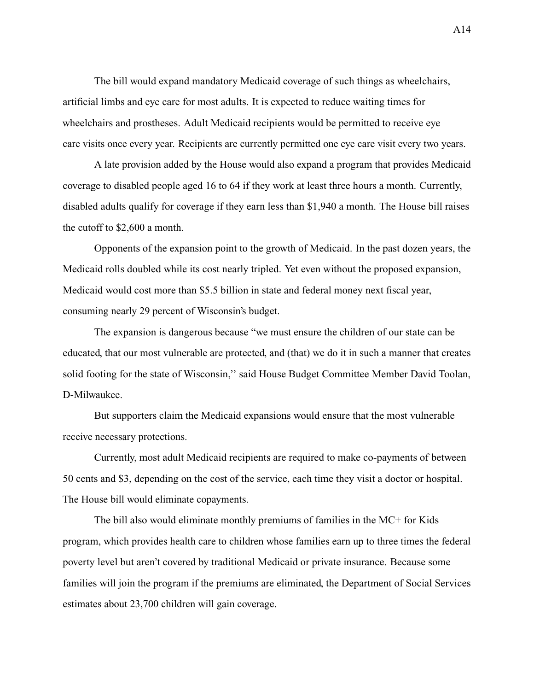The bill would expand mandatory Medicaid coverage of such things as wheelchairs, artificial limbs and eye care for most adults. It is expected to reduce waiting times for wheelchairs and prostheses. Adult Medicaid recipients would be permitted to receive eye care visits once every year. Recipients are currently permitted one eye care visit every two years.

A late provision added by the House would also expand a program that provides Medicaid coverage to disabled people aged 16 to 64 if they work at least three hours a month. Currently, disabled adults qualify for coverage if they earn less than \$1,940 a month. The House bill raises the cutoff to \$2,600 a month.

Opponents of the expansion point to the growth of Medicaid. In the past dozen years, the Medicaid rolls doubled while its cost nearly tripled. Yet even without the proposed expansion, Medicaid would cost more than \$5.5 billion in state and federal money next fiscal year, consuming nearly 29 percent of Wisconsin's budget.

The expansion is dangerous because "we must ensure the children of our state can be educated, that our most vulnerable are protected, and (that) we do it in such a manner that creates solid footing for the state of Wisconsin," said House Budget Committee Member David Toolan, D-Milwaukee.

But supporters claim the Medicaid expansions would ensure that the most vulnerable receive necessary protections.

Currently, most adult Medicaid recipients are required to make co-payments of between 50 cents and \$3, depending on the cost of the service, each time they visit a doctor or hospital. The House bill would eliminate copayments.

The bill also would eliminate monthly premiums of families in the MC+ for Kids program, which provides health care to children whose families earn up to three times the federal poverty level but aren't covered by traditional Medicaid or private insurance. Because some families will join the program if the premiums are eliminated, the Department of Social Services estimates about 23,700 children will gain coverage.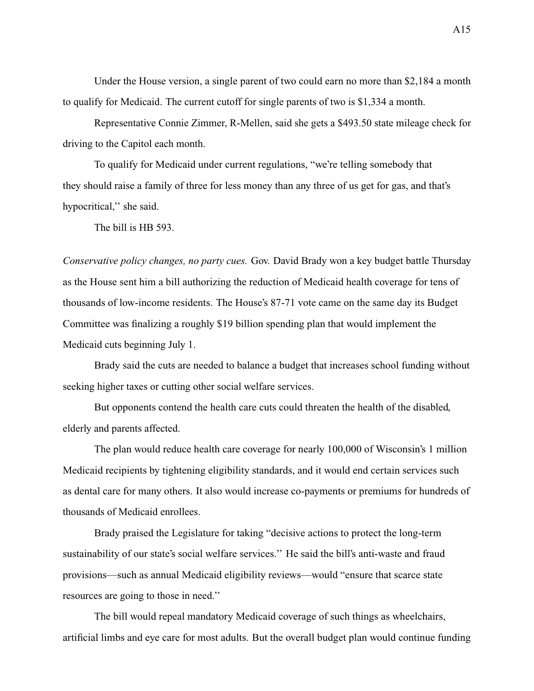Under the House version, a single parent of two could earn no more than \$2,184 a month to qualify for Medicaid. The current cutoff for single parents of two is \$1,334 a month.

Representative Connie Zimmer, R-Mellen, said she gets a \$493.50 state mileage check for driving to the Capitol each month.

To qualify for Medicaid under current regulations, "we're telling somebody that they should raise a family of three for less money than any three of us get for gas, and that's hypocritical,'' she said.

The bill is HB 593.

*Conservative policy changes, no party cues.* Gov. David Brady won a key budget battle Thursday as the House sent him a bill authorizing the reduction of Medicaid health coverage for tens of thousands of low-income residents. The House's 87-71 vote came on the same day its Budget Committee was finalizing a roughly \$19 billion spending plan that would implement the Medicaid cuts beginning July 1.

Brady said the cuts are needed to balance a budget that increases school funding without seeking higher taxes or cutting other social welfare services.

But opponents contend the health care cuts could threaten the health of the disabled, elderly and parents affected.

The plan would reduce health care coverage for nearly 100,000 of Wisconsin's 1 million Medicaid recipients by tightening eligibility standards, and it would end certain services such as dental care for many others. It also would increase co-payments or premiums for hundreds of thousands of Medicaid enrollees.

Brady praised the Legislature for taking "decisive actions to protect the long-term sustainability of our state's social welfare services.'' He said the bill's anti-waste and fraud provisions—such as annual Medicaid eligibility reviews—would "ensure that scarce state resources are going to those in need.''

The bill would repeal mandatory Medicaid coverage of such things as wheelchairs, artificial limbs and eye care for most adults. But the overall budget plan would continue funding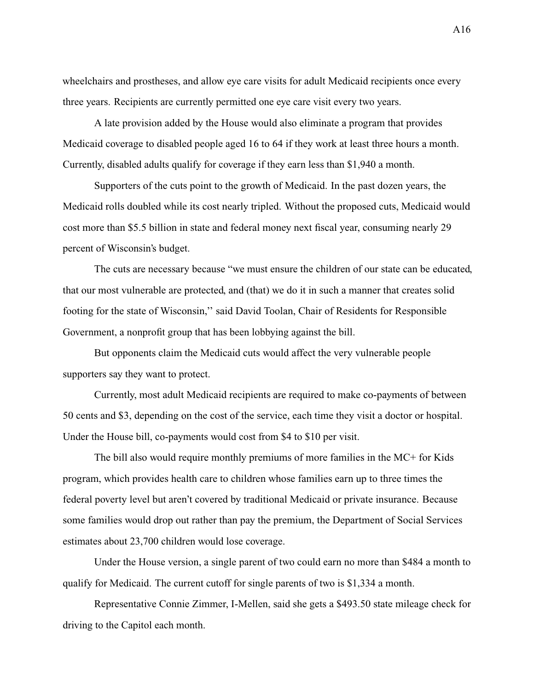wheelchairs and prostheses, and allow eye care visits for adult Medicaid recipients once every three years. Recipients are currently permitted one eye care visit every two years.

A late provision added by the House would also eliminate a program that provides Medicaid coverage to disabled people aged 16 to 64 if they work at least three hours a month. Currently, disabled adults qualify for coverage if they earn less than \$1,940 a month.

Supporters of the cuts point to the growth of Medicaid. In the past dozen years, the Medicaid rolls doubled while its cost nearly tripled. Without the proposed cuts, Medicaid would cost more than \$5.5 billion in state and federal money next fiscal year, consuming nearly 29 percent of Wisconsin's budget.

The cuts are necessary because "we must ensure the children of our state can be educated, that our most vulnerable are protected, and (that) we do it in such a manner that creates solid footing for the state of Wisconsin,'' said David Toolan, Chair of Residents for Responsible Government, a nonprofit group that has been lobbying against the bill.

But opponents claim the Medicaid cuts would affect the very vulnerable people supporters say they want to protect.

Currently, most adult Medicaid recipients are required to make co-payments of between 50 cents and \$3, depending on the cost of the service, each time they visit a doctor or hospital. Under the House bill, co-payments would cost from \$4 to \$10 per visit.

The bill also would require monthly premiums of more families in the MC+ for Kids program, which provides health care to children whose families earn up to three times the federal poverty level but aren't covered by traditional Medicaid or private insurance. Because some families would drop out rather than pay the premium, the Department of Social Services estimates about 23,700 children would lose coverage.

Under the House version, a single parent of two could earn no more than \$484 a month to qualify for Medicaid. The current cutoff for single parents of two is \$1,334 a month.

Representative Connie Zimmer, I-Mellen, said she gets a \$493.50 state mileage check for driving to the Capitol each month.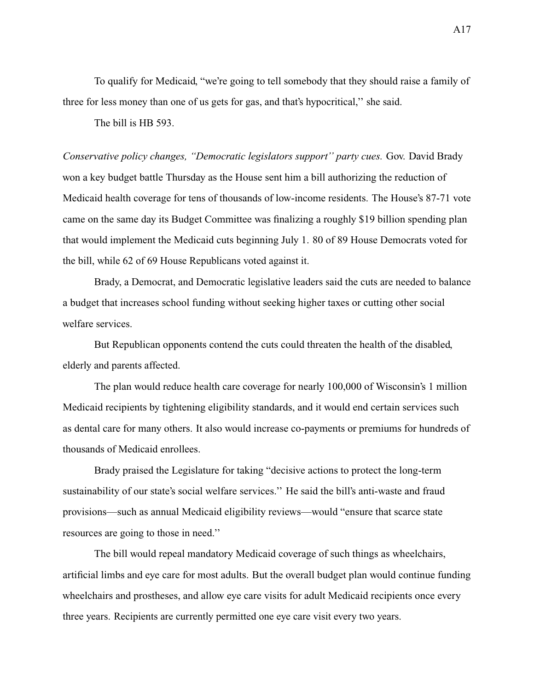To qualify for Medicaid, "we're going to tell somebody that they should raise a family of three for less money than one of us gets for gas, and that's hypocritical,'' she said.

The bill is HB 593.

*Conservative policy changes, "Democratic legislators support'' party cues.* Gov. David Brady won a key budget battle Thursday as the House sent him a bill authorizing the reduction of Medicaid health coverage for tens of thousands of low-income residents. The House's 87-71 vote came on the same day its Budget Committee was finalizing a roughly \$19 billion spending plan that would implement the Medicaid cuts beginning July 1. 80 of 89 House Democrats voted for the bill, while 62 of 69 House Republicans voted against it.

Brady, a Democrat, and Democratic legislative leaders said the cuts are needed to balance a budget that increases school funding without seeking higher taxes or cutting other social welfare services.

But Republican opponents contend the cuts could threaten the health of the disabled, elderly and parents affected.

The plan would reduce health care coverage for nearly 100,000 of Wisconsin's 1 million Medicaid recipients by tightening eligibility standards, and it would end certain services such as dental care for many others. It also would increase co-payments or premiums for hundreds of thousands of Medicaid enrollees.

Brady praised the Legislature for taking "decisive actions to protect the long-term sustainability of our state's social welfare services.'' He said the bill's anti-waste and fraud provisions—such as annual Medicaid eligibility reviews—would "ensure that scarce state resources are going to those in need.''

The bill would repeal mandatory Medicaid coverage of such things as wheelchairs, artificial limbs and eye care for most adults. But the overall budget plan would continue funding wheelchairs and prostheses, and allow eye care visits for adult Medicaid recipients once every three years. Recipients are currently permitted one eye care visit every two years.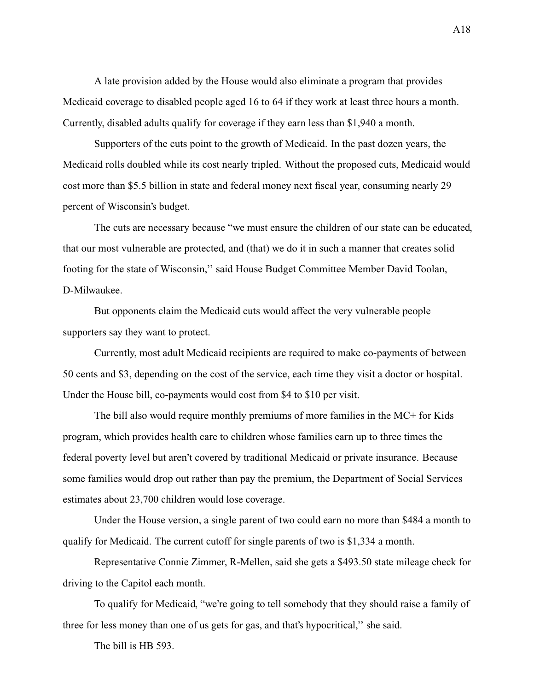A late provision added by the House would also eliminate a program that provides Medicaid coverage to disabled people aged 16 to 64 if they work at least three hours a month. Currently, disabled adults qualify for coverage if they earn less than \$1,940 a month.

Supporters of the cuts point to the growth of Medicaid. In the past dozen years, the Medicaid rolls doubled while its cost nearly tripled. Without the proposed cuts, Medicaid would cost more than \$5.5 billion in state and federal money next fiscal year, consuming nearly 29 percent of Wisconsin's budget.

The cuts are necessary because "we must ensure the children of our state can be educated, that our most vulnerable are protected, and (that) we do it in such a manner that creates solid footing for the state of Wisconsin,'' said House Budget Committee Member David Toolan, D-Milwaukee.

But opponents claim the Medicaid cuts would affect the very vulnerable people supporters say they want to protect.

Currently, most adult Medicaid recipients are required to make co-payments of between 50 cents and \$3, depending on the cost of the service, each time they visit a doctor or hospital. Under the House bill, co-payments would cost from \$4 to \$10 per visit.

The bill also would require monthly premiums of more families in the MC+ for Kids program, which provides health care to children whose families earn up to three times the federal poverty level but aren't covered by traditional Medicaid or private insurance. Because some families would drop out rather than pay the premium, the Department of Social Services estimates about 23,700 children would lose coverage.

Under the House version, a single parent of two could earn no more than \$484 a month to qualify for Medicaid. The current cutoff for single parents of two is \$1,334 a month.

Representative Connie Zimmer, R-Mellen, said she gets a \$493.50 state mileage check for driving to the Capitol each month.

To qualify for Medicaid, "we're going to tell somebody that they should raise a family of three for less money than one of us gets for gas, and that's hypocritical,'' she said.

The bill is HB 593.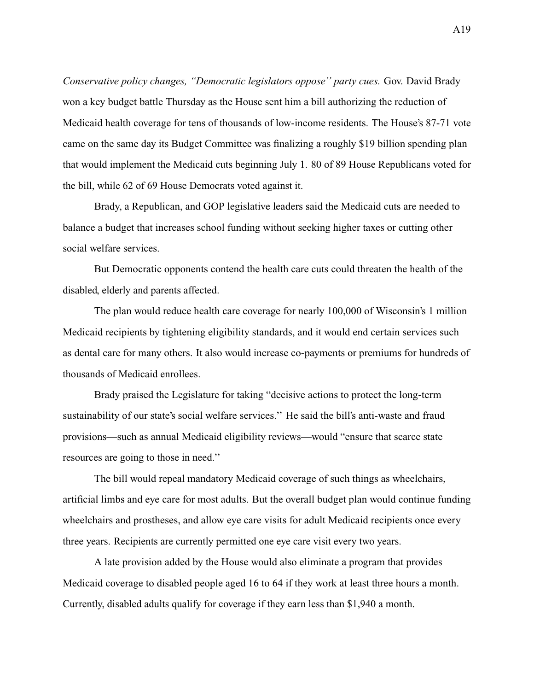*Conservative policy changes, "Democratic legislators oppose'' party cues.* Gov. David Brady won a key budget battle Thursday as the House sent him a bill authorizing the reduction of Medicaid health coverage for tens of thousands of low-income residents. The House's 87-71 vote came on the same day its Budget Committee was finalizing a roughly \$19 billion spending plan that would implement the Medicaid cuts beginning July 1. 80 of 89 House Republicans voted for the bill, while 62 of 69 House Democrats voted against it.

Brady, a Republican, and GOP legislative leaders said the Medicaid cuts are needed to balance a budget that increases school funding without seeking higher taxes or cutting other social welfare services.

But Democratic opponents contend the health care cuts could threaten the health of the disabled, elderly and parents affected.

The plan would reduce health care coverage for nearly 100,000 of Wisconsin's 1 million Medicaid recipients by tightening eligibility standards, and it would end certain services such as dental care for many others. It also would increase co-payments or premiums for hundreds of thousands of Medicaid enrollees.

Brady praised the Legislature for taking "decisive actions to protect the long-term sustainability of our state's social welfare services.'' He said the bill's anti-waste and fraud provisions—such as annual Medicaid eligibility reviews—would "ensure that scarce state resources are going to those in need.''

The bill would repeal mandatory Medicaid coverage of such things as wheelchairs, artificial limbs and eye care for most adults. But the overall budget plan would continue funding wheelchairs and prostheses, and allow eye care visits for adult Medicaid recipients once every three years. Recipients are currently permitted one eye care visit every two years.

A late provision added by the House would also eliminate a program that provides Medicaid coverage to disabled people aged 16 to 64 if they work at least three hours a month. Currently, disabled adults qualify for coverage if they earn less than \$1,940 a month.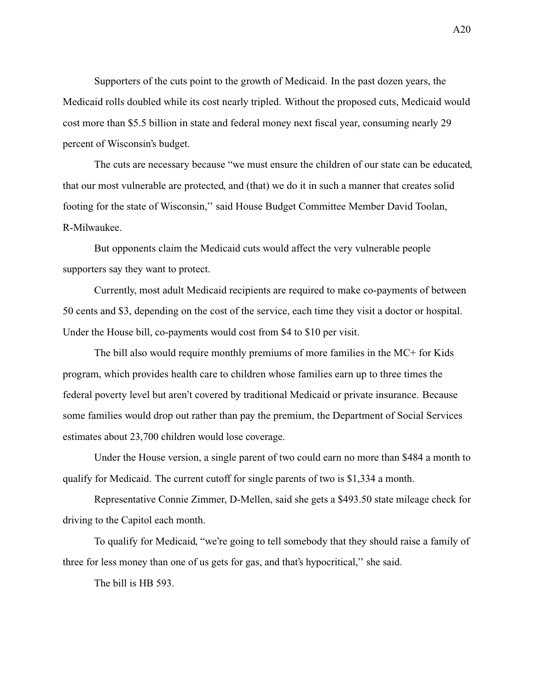Supporters of the cuts point to the growth of Medicaid. In the past dozen years, the Medicaid rolls doubled while its cost nearly tripled. Without the proposed cuts, Medicaid would cost more than \$5.5 billion in state and federal money next fiscal year, consuming nearly 29 percent of Wisconsin's budget.

The cuts are necessary because "we must ensure the children of our state can be educated, that our most vulnerable are protected, and (that) we do it in such a manner that creates solid footing for the state of Wisconsin,'' said House Budget Committee Member David Toolan, R-Milwaukee.

But opponents claim the Medicaid cuts would affect the very vulnerable people supporters say they want to protect.

Currently, most adult Medicaid recipients are required to make co-payments of between 50 cents and \$3, depending on the cost of the service, each time they visit a doctor or hospital. Under the House bill, co-payments would cost from \$4 to \$10 per visit.

The bill also would require monthly premiums of more families in the MC+ for Kids program, which provides health care to children whose families earn up to three times the federal poverty level but aren't covered by traditional Medicaid or private insurance. Because some families would drop out rather than pay the premium, the Department of Social Services estimates about 23,700 children would lose coverage.

Under the House version, a single parent of two could earn no more than \$484 a month to qualify for Medicaid. The current cutoff for single parents of two is \$1,334 a month.

Representative Connie Zimmer, D-Mellen, said she gets a \$493.50 state mileage check for driving to the Capitol each month.

To qualify for Medicaid, "we're going to tell somebody that they should raise a family of three for less money than one of us gets for gas, and that's hypocritical,'' she said.

The bill is HB 593.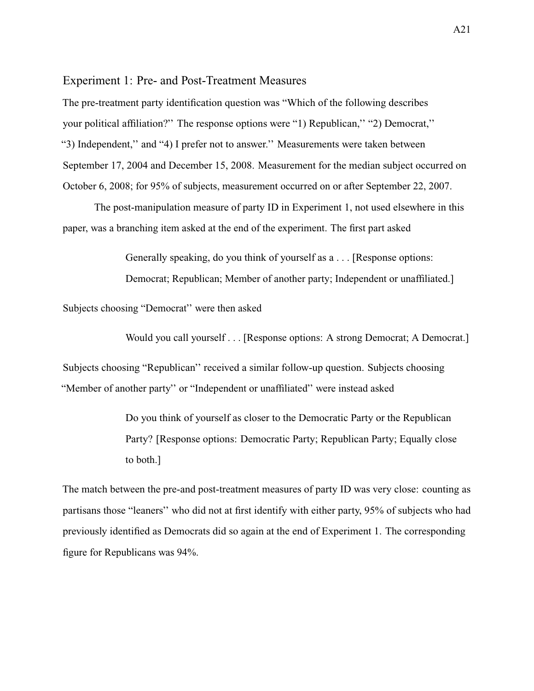### <span id="page-74-0"></span>Experiment 1: Pre- and Post-Treatment Measures

The pre-treatment party identification question was "Which of the following describes your political affiliation?'' The response options were "1) Republican,'' "2) Democrat,'' "3) Independent,'' and "4) I prefer not to answer.'' Measurements were taken between September 17, 2004 and December 15, 2008. Measurement for the median subject occurred on October 6, 2008; for 95% of subjects, measurement occurred on or after September 22, 2007.

The post-manipulation measure of party ID in Experiment 1, not used elsewhere in this paper, was a branching item asked at the end of the experiment. The first part asked

> Generally speaking, do you think of yourself as a . . . [Response options: Democrat; Republican; Member of another party; Independent or unaffiliated.]

Subjects choosing "Democrat'' were then asked

Would you call yourself . . . [Response options: A strong Democrat; A Democrat.]

Subjects choosing "Republican'' received a similar follow-up question. Subjects choosing "Member of another party'' or "Independent or unaffiliated'' were instead asked

> Do you think of yourself as closer to the Democratic Party or the Republican Party? [Response options: Democratic Party; Republican Party; Equally close to both.]

The match between the pre-and post-treatment measures of party ID was very close: counting as partisans those "leaners'' who did not at first identify with either party, 95% of subjects who had previously identified as Democrats did so again at the end of Experiment 1. The corresponding figure for Republicans was 94%.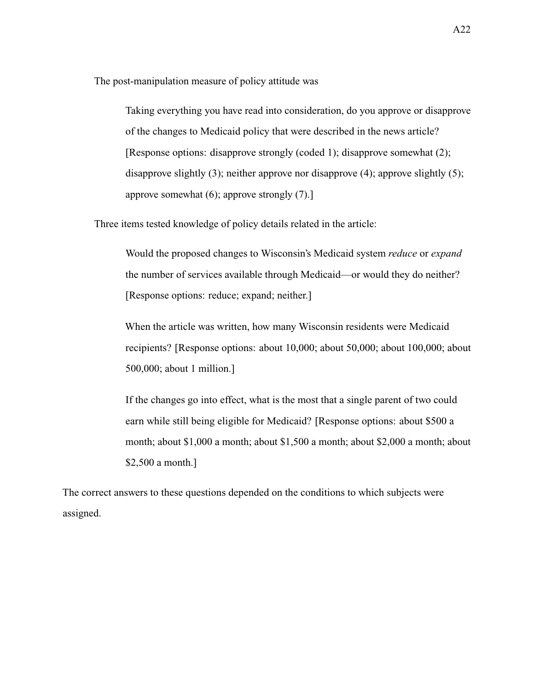The post-manipulation measure of policy attitude was

Taking everything you have read into consideration, do you approve or disapprove of the changes to Medicaid policy that were described in the news article? [Response options: disapprove strongly (coded 1); disapprove somewhat (2); disapprove slightly  $(3)$ ; neither approve nor disapprove  $(4)$ ; approve slightly  $(5)$ ; approve somewhat (6); approve strongly (7).]

Three items tested knowledge of policy details related in the article:

Would the proposed changes to Wisconsin's Medicaid system *reduce* or *expand* the number of services available through Medicaid—or would they do neither? [Response options: reduce; expand; neither.]

When the article was written, how many Wisconsin residents were Medicaid recipients? [Response options: about 10,000; about 50,000; about 100,000; about 500,000; about 1 million.]

If the changes go into effect, what is the most that a single parent of two could earn while still being eligible for Medicaid? [Response options: about \$500 a month; about \$1,000 a month; about \$1,500 a month; about \$2,000 a month; about \$2,500 a month.]

The correct answers to these questions depended on the conditions to which subjects were assigned.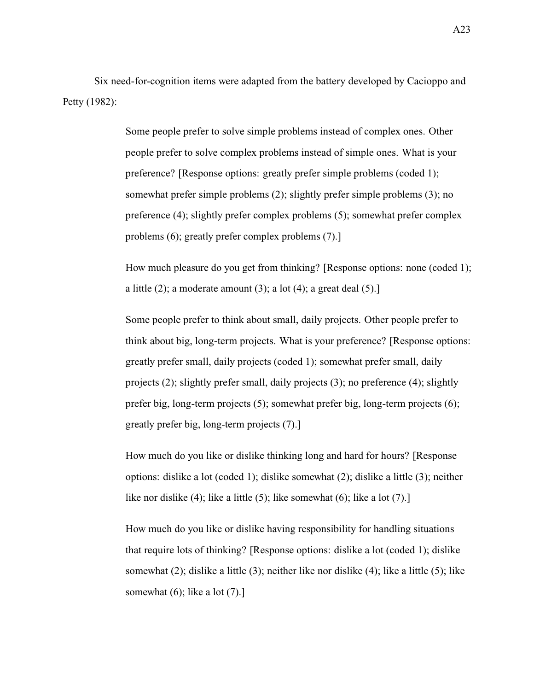Six need-for-cognition items were adapted from the battery developed by [Cacioppo and](#page-118-0) [Petty](#page-118-0) [\(1982\)](#page-118-0):

> Some people prefer to solve simple problems instead of complex ones. Other people prefer to solve complex problems instead of simple ones. What is your preference? [Response options: greatly prefer simple problems (coded 1); somewhat prefer simple problems (2); slightly prefer simple problems (3); no preference (4); slightly prefer complex problems (5); somewhat prefer complex problems (6); greatly prefer complex problems (7).]

How much pleasure do you get from thinking? [Response options: none (coded 1); a little  $(2)$ ; a moderate amount  $(3)$ ; a lot  $(4)$ ; a great deal  $(5)$ .]

Some people prefer to think about small, daily projects. Other people prefer to think about big, long-term projects. What is your preference? [Response options: greatly prefer small, daily projects (coded 1); somewhat prefer small, daily projects (2); slightly prefer small, daily projects (3); no preference (4); slightly prefer big, long-term projects (5); somewhat prefer big, long-term projects (6); greatly prefer big, long-term projects (7).]

How much do you like or dislike thinking long and hard for hours? [Response options: dislike a lot (coded 1); dislike somewhat (2); dislike a little (3); neither like nor dislike (4); like a little (5); like somewhat (6); like a lot (7).

How much do you like or dislike having responsibility for handling situations that require lots of thinking? [Response options: dislike a lot (coded 1); dislike somewhat (2); dislike a little (3); neither like nor dislike (4); like a little (5); like somewhat  $(6)$ ; like a lot  $(7)$ .]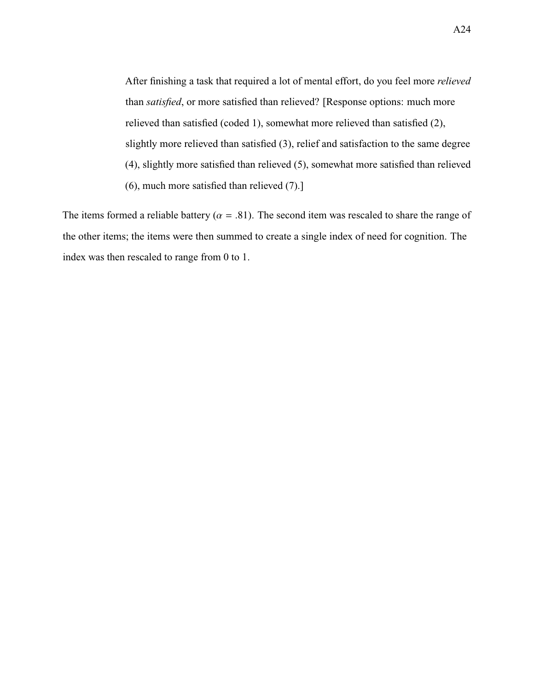After finishing a task that required a lot of mental effort, do you feel more *relieved* than *satisfied*, or more satisfied than relieved? [Response options: much more relieved than satisfied (coded 1), somewhat more relieved than satisfied (2), slightly more relieved than satisfied (3), relief and satisfaction to the same degree (4), slightly more satisfied than relieved (5), somewhat more satisfied than relieved (6), much more satisfied than relieved (7).]

The items formed a reliable battery ( $\alpha = .81$ ). The second item was rescaled to share the range of the other items; the items were then summed to create a single index of need for cognition. The index was then rescaled to range from 0 to 1.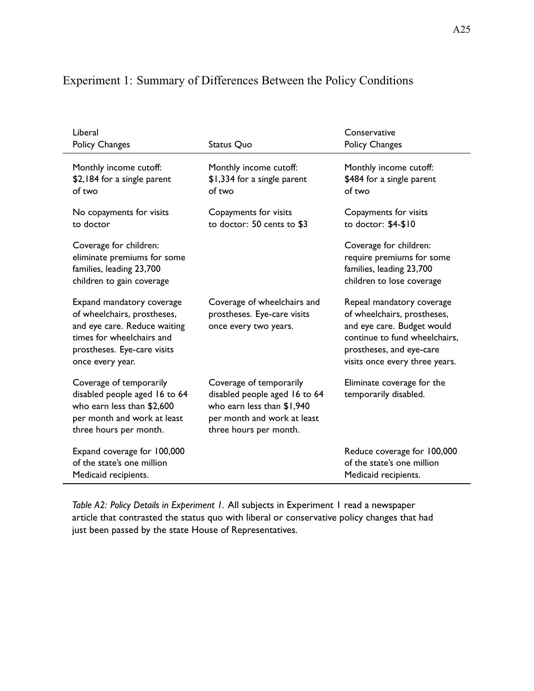| Liberal<br>Policy Changes                                                                                                                                                | Status Quo                                                                                                                                      | Conservative<br>Policy Changes                                                                                                                                                        |
|--------------------------------------------------------------------------------------------------------------------------------------------------------------------------|-------------------------------------------------------------------------------------------------------------------------------------------------|---------------------------------------------------------------------------------------------------------------------------------------------------------------------------------------|
| Monthly income cutoff:<br>\$2,184 for a single parent<br>of two                                                                                                          | Monthly income cutoff:<br>\$1,334 for a single parent<br>of two                                                                                 | Monthly income cutoff:<br>\$484 for a single parent<br>of two                                                                                                                         |
| No copayments for visits<br>to doctor                                                                                                                                    | Copayments for visits<br>to doctor: 50 cents to \$3                                                                                             | Copayments for visits<br>to doctor: \$4-\$10                                                                                                                                          |
| Coverage for children:<br>eliminate premiums for some<br>families, leading 23,700<br>children to gain coverage                                                           |                                                                                                                                                 | Coverage for children:<br>require premiums for some<br>families, leading 23,700<br>children to lose coverage                                                                          |
| Expand mandatory coverage<br>of wheelchairs, prostheses,<br>and eye care. Reduce waiting<br>times for wheelchairs and<br>prostheses. Eye-care visits<br>once every year. | Coverage of wheelchairs and<br>prostheses. Eye-care visits<br>once every two years.                                                             | Repeal mandatory coverage<br>of wheelchairs, prostheses,<br>and eye care. Budget would<br>continue to fund wheelchairs,<br>prostheses, and eye-care<br>visits once every three years. |
| Coverage of temporarily<br>disabled people aged 16 to 64<br>who earn less than \$2,600<br>per month and work at least<br>three hours per month.                          | Coverage of temporarily<br>disabled people aged 16 to 64<br>who earn less than \$1,940<br>per month and work at least<br>three hours per month. | Eliminate coverage for the<br>temporarily disabled.                                                                                                                                   |
| Expand coverage for 100,000<br>of the state's one million<br>Medicaid recipients.                                                                                        |                                                                                                                                                 | Reduce coverage for 100,000<br>of the state's one million<br>Medicaid recipients.                                                                                                     |

# Experiment 1: Summary of Differences Between the Policy Conditions

*Table A2: Policy Details in Experiment 1.* All subjects in Experiment 1 read a newspaper article that contrasted the status quo with liberal or conservative policy changes that had just been passed by the state House of Representatives.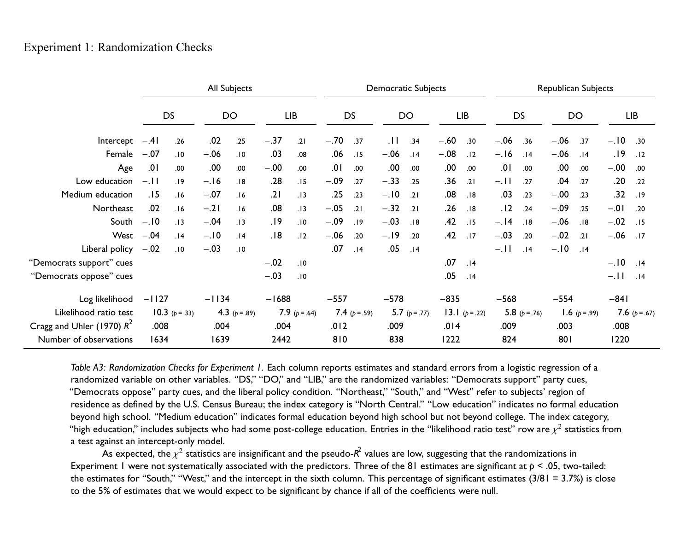|                              | All Subjects |                |         |               |         | <b>Democratic Subjects</b> |        |               |        | <b>Republican Subjects</b> |        |                |        |               |        |               |         |                   |
|------------------------------|--------------|----------------|---------|---------------|---------|----------------------------|--------|---------------|--------|----------------------------|--------|----------------|--------|---------------|--------|---------------|---------|-------------------|
|                              |              | DS             |         | DO            |         | <b>LIB</b>                 |        | DS            |        | DO                         |        | <b>LIB</b>     |        | <b>DS</b>     |        | DO            |         | <b>LIB</b>        |
| Intercept                    | $-.41$       | .26            | .02     | .25           | $-.37$  | .21                        | $-.70$ | .37           | .11    | .34                        | $-.60$ | .30            | $-.06$ | .36           | $-.06$ | .37           | $-.10$  | .30               |
| Female                       | $-.07$       | .10            | $-.06$  | .10           | .03     | .08                        | .06    | .15           | $-.06$ | .14                        | $-.08$ | .12            | $-.16$ | .14           | $-.06$ | .14           | .19     | .12               |
| Age                          | .01          | .00            | .00     | .00           | $-.00$  | .00                        | .01    | .00           | .00    | .00                        | .00    | .00            | .01    | .00           | .00    | .00           | $-.00$  | .00               |
| Low education                | $-.11$       | .19            | $-.16$  | .18           | .28     | .15                        | $-.09$ | .27           | $-.33$ | .25                        | .36    | .21            | $-.11$ | .27           | .04    | .27           | .20     | .22               |
| Medium education             | .15          | .16            | $-.07$  | .16           | .21     | .13                        | .25    | .23           | $-.10$ | .21                        | .08    | .18            | .03    | .23           | $-.00$ | .23           | .32     | .19               |
| Northeast                    | .02          | .16            | $-.21$  | .16           | .08     | .13                        | $-.05$ | .21           | $-.32$ | .21                        | .26    | .18            | .12    | .24           | $-.09$ | .25           | $-0.01$ | .20               |
| South                        | $-.10$       | .13            | $-.04$  | .13           | .19     | .10                        | $-.09$ | .19           | $-.03$ | .18                        | .42    | .15            | $-.14$ | .18           | $-.06$ | .18           | $-.02$  | .15               |
| West $-.04$                  |              | .14            | $-.10$  | .14           | .18     | .12                        | $-.06$ | .20           | $-.19$ | .20                        | .42    | .17            | $-.03$ | .20           | $-.02$ | .21           | $-.06$  | .17               |
| Liberal policy $-0.02$       |              | .10            | $-.03$  | .10           |         |                            | .07    | .14           | .05    | .14                        |        |                | $-.11$ | .14           | $-.10$ | .14           |         |                   |
| "Democrats support" cues     |              |                |         |               | $-.02$  | .10                        |        |               |        |                            | .07    | .14            |        |               |        |               | $-.10$  | .14               |
| "Democrats oppose" cues      |              |                |         |               | $-.03$  | .10                        |        |               |        |                            | .05    | .14            |        |               |        |               | $-.11$  | .14               |
| Log likelihood               | $-1127$      |                | $-1134$ |               | $-1688$ |                            | $-557$ |               | $-578$ |                            | $-835$ |                | $-568$ |               | $-554$ |               | $-841$  |                   |
| Likelihood ratio test        |              | 10.3 $(p=.33)$ |         | 4.3 $(p=.89)$ |         | 7.9 $(p=.64)$              |        | 7.4 $(p=.59)$ |        | 5.7 $(p=.77)$              |        | 13.1 $(p=.22)$ |        | 5.8 $(p=.76)$ |        | 1.6 $(p=.99)$ |         | 7.6 ( $p = .67$ ) |
| Cragg and Uhler (1970) $R^2$ | .008         |                | .004    |               | .004    |                            | .012   |               | .009   |                            | .014   |                | .009   |               | .003   |               | .008    |                   |
| Number of observations       | 1634         |                | 1639    |               | 2442    |                            | 810    |               | 838    |                            | 1222   |                | 824    |               | 801    |               | 1220    |                   |

*Table A3: Randomization Checks for Experiment 1.* Each column reports estimates and standard errors from <sup>a</sup> logistic regression of <sup>a</sup>randomized variable on other variables. "DS," "DO," and "LIB," are the randomized variables: "Democrats support" party cues, "Democrats oppose" party cues, and the liberal policy condition. "Northeast," "South," and "West" refer to subjects' region ofresidence as defined by the U.S. Census Bureau; the index category is "North Central." "Low education" indicates no formal educationbeyond high school. "Medium education" indicates formal education beyond high school but not beyond college. The index category, "high education," includes subjects who had some post-college education. Entries in the "likelihood ratio test" row are  $\chi^2$  statistics from <sup>a</sup> test against an intercept-only model.

As expected, the  $\chi^2$  statistics are insignificant and the pseudo- $R^2$  values are low, suggesting that the randomizations in Experiment 1 were not systematically associated with the predictors. Three of the 81 estimates are significant at *p* <sup>&</sup>lt; .05, two-tailed: the estimates for "South," "West," and the intercept in the sixth column. This percentage of significant estimates (3/81 <sup>=</sup> 3.7%) is closeto the 5% of estimates that we would expec<sup>t</sup> to be significant by chance if all of the coefficients were null.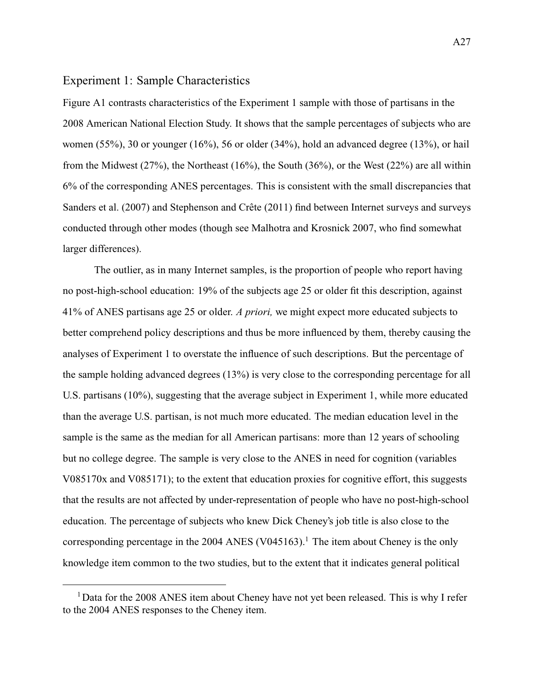### Experiment 1: Sample Characteristics

[Figure A1](#page-81-0) contrasts characteristics of the Experiment 1 sample with those of partisans in the 2008 American National Election Study. It shows that the sample percentages of subjects who are women (55%), 30 or younger (16%), 56 or older (34%), hold an advanced degree (13%), or hail from the Midwest (27%), the Northeast (16%), the South (36%), or the West (22%) are all within 6% of the corresponding ANES percentages. This is consistent with the small discrepancies that [Sanders et al.](#page-119-0) [\(2007\)](#page-119-0) and [Stephenson and Crête](#page-120-0) [\(2011\)](#page-120-0) find between Internet surveys and surveys conducted through other modes (though see [Malhotra and Krosnick](#page-119-1) [2007,](#page-119-1) who find somewhat larger differences).

The outlier, as in many Internet samples, is the proportion of people who report having no post-high-school education: 19% of the subjects age 25 or older fit this description, against 41% of ANES partisans age 25 or older. *A priori,* we might expect more educated subjects to better comprehend policy descriptions and thus be more influenced by them, thereby causing the analyses of Experiment 1 to overstate the influence of such descriptions. But the percentage of the sample holding advanced degrees (13%) is very close to the corresponding percentage for all U.S. partisans (10%), suggesting that the average subject in Experiment 1, while more educated than the average U.S. partisan, is not much more educated. The median education level in the sample is the same as the median for all American partisans: more than 12 years of schooling but no college degree. The sample is very close to the ANES in need for cognition (variables V085170x and V085171); to the extent that education proxies for cognitive effort, this suggests that the results are not affected by under-representation of people who have no post-high-school education. The percentage of subjects who knew Dick Cheney's job title is also close to the corresponding percentage in the 2004 ANES (V045163).<sup>1</sup> The item about Cheney is the only knowledge item common to the two studies, but to the extent that it indicates general political

<sup>&</sup>lt;sup>1</sup> Data for the 2008 ANES item about Cheney have not yet been released. This is why I refer to the 2004 ANES responses to the Cheney item.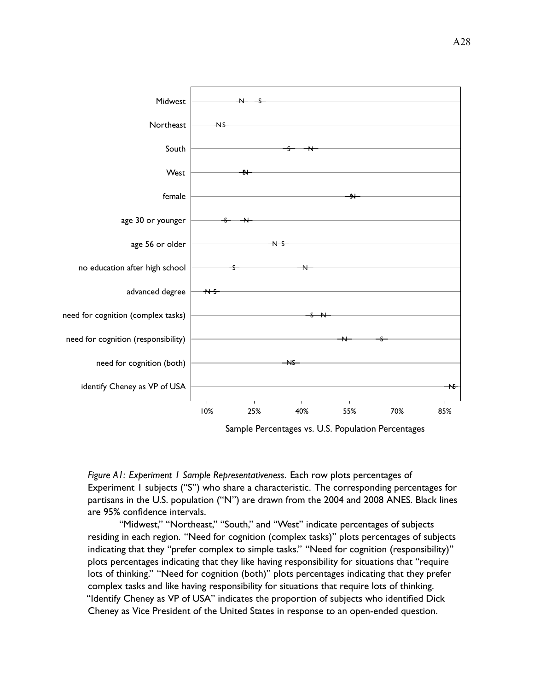<span id="page-81-0"></span>

*Figure A1: Experiment 1 Sample Representativeness.* Each row plots percentages of Experiment 1 subjects ("S") who share a characteristic. The corresponding percentages for partisans in the U.S. population ("N") are drawn from the 2004 and 2008 ANES. Black lines are 95% confidence intervals.

"Midwest," "Northeast," "South," and "West" indicate percentages of subjects residing in each region. "Need for cognition (complex tasks)" plots percentages of subjects indicating that they "prefer complex to simple tasks." "Need for cognition (responsibility)" plots percentages indicating that they like having responsibility for situations that "require lots of thinking." "Need for cognition (both)" plots percentages indicating that they prefer complex tasks and like having responsibility for situations that require lots of thinking. "Identify Cheney as VP of USA" indicates the proportion of subjects who identified Dick Cheney as Vice President of the United States in response to an open-ended question.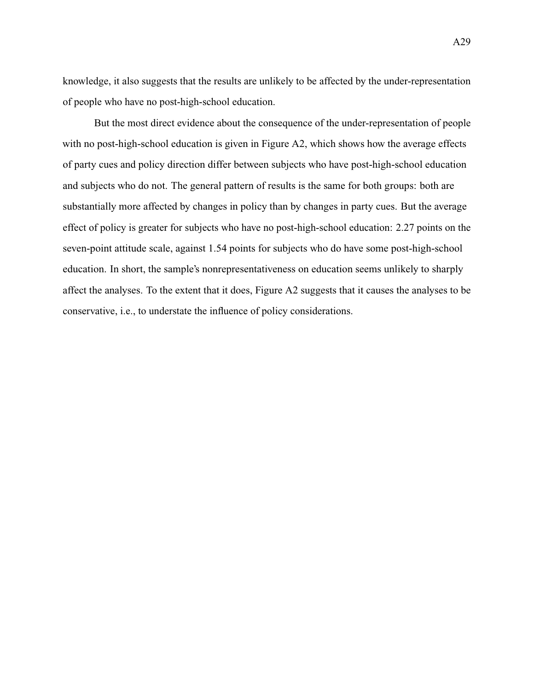knowledge, it also suggests that the results are unlikely to be affected by the under-representation of people who have no post-high-school education.

But the most direct evidence about the consequence of the under-representation of people with no post-high-school education is given in [Figure A2,](#page-83-0) which shows how the average effects of party cues and policy direction differ between subjects who have post-high-school education and subjects who do not. The general pattern of results is the same for both groups: both are substantially more affected by changes in policy than by changes in party cues. But the average effect of policy is greater for subjects who have no post-high-school education: 2.27 points on the seven-point attitude scale, against 1.54 points for subjects who do have some post-high-school education. In short, the sample's nonrepresentativeness on education seems unlikely to sharply affect the analyses. To the extent that it does, [Figure A2](#page-83-0) suggests that it causes the analyses to be conservative, i.e., to understate the influence of policy considerations.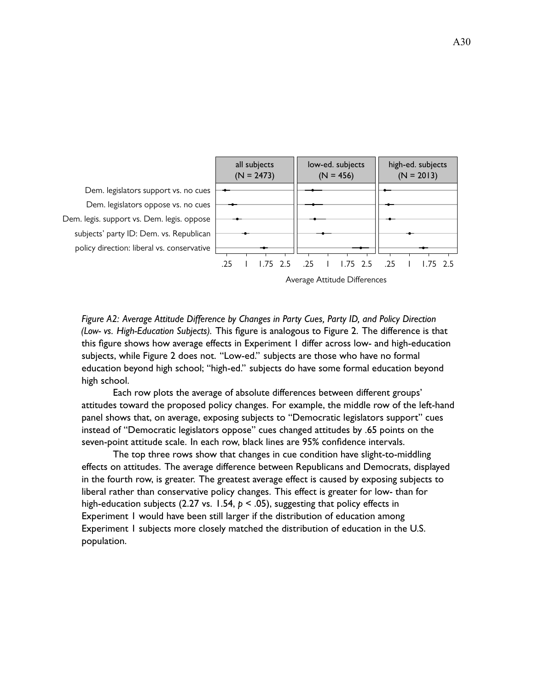<span id="page-83-0"></span>

*Figure A2: Average Attitude Difference by Changes in Party Cues, Party ID, and Policy Direction (Low- vs. High-Education Subjects).* This figure is analogous to [Figure 2.](#page-15-0) The difference is that this figure shows how average effects in Experiment 1 differ across low- and high-education subjects, while [Figure 2](#page-15-0) does not. "Low-ed." subjects are those who have no formal education beyond high school; "high-ed." subjects do have some formal education beyond high school.

Each row plots the average of absolute differences between different groups' attitudes toward the proposed policy changes. For example, the middle row of the left-hand panel shows that, on average, exposing subjects to "Democratic legislators support" cues instead of "Democratic legislators oppose" cues changed attitudes by .65 points on the seven-point attitude scale. In each row, black lines are 95% confidence intervals.

The top three rows show that changes in cue condition have slight-to-middling effects on attitudes. The average difference between Republicans and Democrats, displayed in the fourth row, is greater. The greatest average effect is caused by exposing subjects to liberal rather than conservative policy changes. This effect is greater for low- than for high-education subjects (2.27 vs. 1.54, *p* < .05), suggesting that policy effects in Experiment 1 would have been still larger if the distribution of education among Experiment 1 subjects more closely matched the distribution of education in the U.S. population.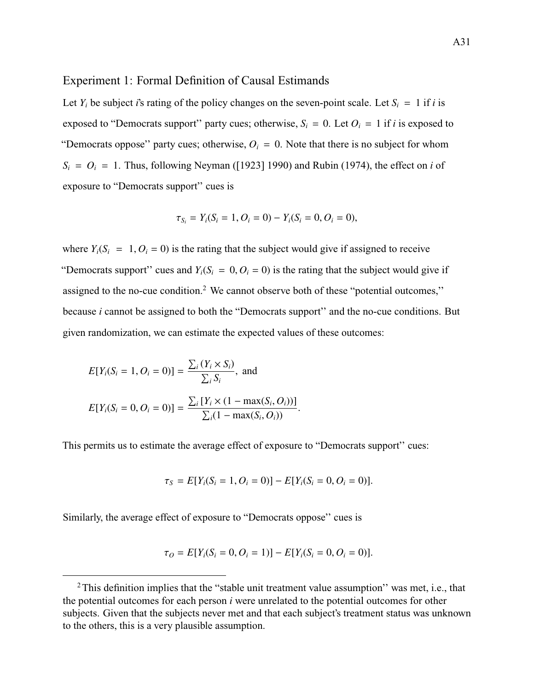#### Experiment 1: Formal Definition of Causal Estimands

Let  $Y_i$  be subject *i*'s rating of the policy changes on the seven-point scale. Let  $S_i = 1$  if *i* is exposed to "Democrats support" party cues; otherwise,  $S_i = 0$ . Let  $O_i = 1$  if *i* is exposed to "Democrats oppose" party cues; otherwise,  $O_i = 0$ . Note that there is no subject for whom  $S_i = O_i = 1$ . Thus, following [Neyman](#page-119-2) [\(\[1923\] 1990\)](#page-119-2) and [Rubin](#page-119-3) [\(1974\)](#page-119-3), the effect on *i* of exposure to "Democrats support'' cues is

$$
\tau_{S_i} = Y_i(S_i = 1, O_i = 0) - Y_i(S_i = 0, O_i = 0),
$$

where  $Y_i(S_i = 1, O_i = 0)$  is the rating that the subject would give if assigned to receive "Democrats support" cues and  $Y_i(S_i = 0, O_i = 0)$  is the rating that the subject would give if assigned to the no-cue condition.<sup>2</sup> We cannot observe both of these "potential outcomes," because *i* cannot be assigned to both the "Democrats support'' and the no-cue conditions. But given randomization, we can estimate the expected values of these outcomes:

$$
E[Y_i(S_i = 1, O_i = 0)] = \frac{\sum_i (Y_i \times S_i)}{\sum_i S_i}, \text{ and}
$$
  

$$
E[Y_i(S_i = 0, O_i = 0)] = \frac{\sum_i [Y_i \times (1 - \max(S_i, O_i))]}{\sum_i (1 - \max(S_i, O_i))}
$$

This permits us to estimate the average effect of exposure to "Democrats support'' cues:

$$
\tau_S = E[Y_i(S_i = 1, O_i = 0)] - E[Y_i(S_i = 0, O_i = 0)].
$$

Similarly, the average effect of exposure to "Democrats oppose'' cues is

$$
\tau_O = E[Y_i(S_i = 0, O_i = 1)] - E[Y_i(S_i = 0, O_i = 0)].
$$

<sup>&</sup>lt;sup>2</sup>This definition implies that the "stable unit treatment value assumption" was met, i.e., that the potential outcomes for each person *i* were unrelated to the potential outcomes for other subjects. Given that the subjects never met and that each subject's treatment status was unknown to the others, this is a very plausible assumption.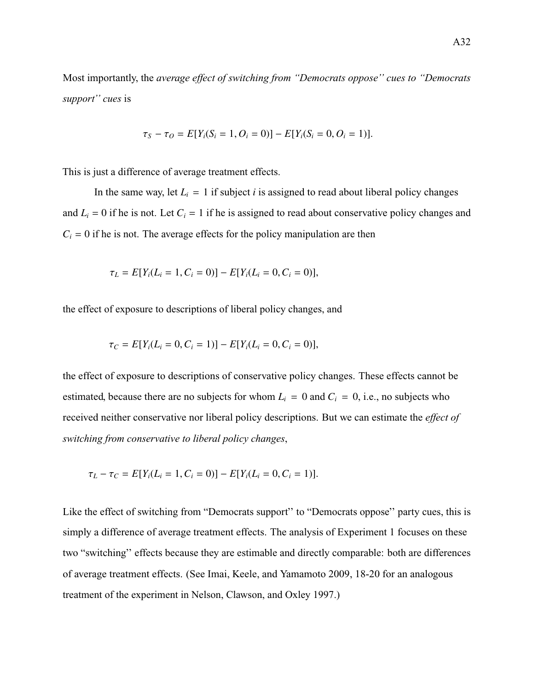Most importantly, the *average effect of switching from "Democrats oppose'' cues to "Democrats support'' cues* is

$$
\tau_S - \tau_O = E[Y_i(S_i = 1, O_i = 0)] - E[Y_i(S_i = 0, O_i = 1)].
$$

This is just a difference of average treatment effects.

In the same way, let  $L_i = 1$  if subject *i* is assigned to read about liberal policy changes and  $L_i = 0$  if he is not. Let  $C_i = 1$  if he is assigned to read about conservative policy changes and  $C_i = 0$  if he is not. The average effects for the policy manipulation are then

$$
\tau_L = E[Y_i(L_i = 1, C_i = 0)] - E[Y_i(L_i = 0, C_i = 0)],
$$

the effect of exposure to descriptions of liberal policy changes, and

$$
\tau_C = E[Y_i(L_i = 0, C_i = 1)] - E[Y_i(L_i = 0, C_i = 0)],
$$

the effect of exposure to descriptions of conservative policy changes. These effects cannot be estimated, because there are no subjects for whom  $L_i = 0$  and  $C_i = 0$ , i.e., no subjects who received neither conservative nor liberal policy descriptions. But we can estimate the *effect of switching from conservative to liberal policy changes*,

$$
\tau_L - \tau_C = E[Y_i(L_i = 1, C_i = 0)] - E[Y_i(L_i = 0, C_i = 1)].
$$

Like the effect of switching from "Democrats support'' to "Democrats oppose'' party cues, this is simply a difference of average treatment effects. The analysis of Experiment 1 focuses on these two "switching'' effects because they are estimable and directly comparable: both are differences of average treatment effects. (See [Imai, Keele, and Yamamoto](#page-118-2) [2009,](#page-118-2) 18-20 for an analogous treatment of the experiment in [Nelson, Clawson, and Oxley](#page-119-4) [1997.](#page-119-4))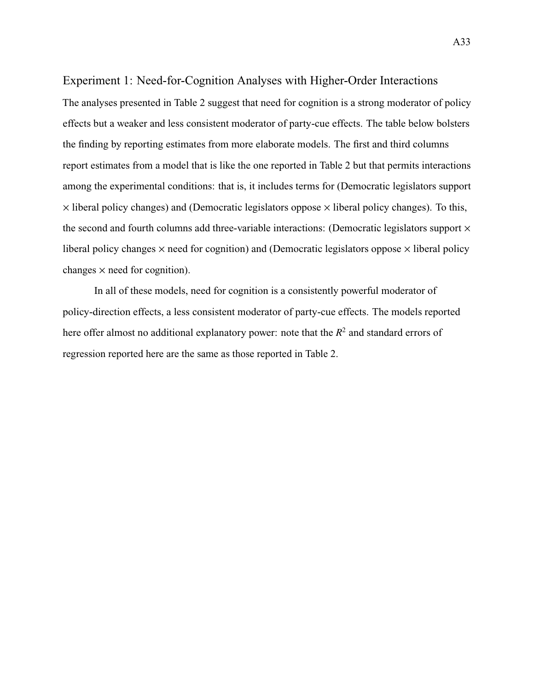# Experiment 1: Need-for-Cognition Analyses with Higher-Order Interactions

The analyses presented in [Table 2](#page-17-0) suggest that need for cognition is a strong moderator of policy effects but a weaker and less consistent moderator of party-cue effects. The table below bolsters the finding by reporting estimates from more elaborate models. The first and third columns report estimates from a model that is like the one reported in [Table 2](#page-17-0) but that permits interactions among the experimental conditions: that is, it includes terms for (Democratic legislators support  $\times$  liberal policy changes) and (Democratic legislators oppose  $\times$  liberal policy changes). To this, the second and fourth columns add three-variable interactions: (Democratic legislators support  $\times$ liberal policy changes  $\times$  need for cognition) and (Democratic legislators oppose  $\times$  liberal policy changes  $\times$  need for cognition).

In all of these models, need for cognition is a consistently powerful moderator of policy-direction effects, a less consistent moderator of party-cue effects. The models reported here offer almost no additional explanatory power: note that the  $R^2$  and standard errors of regression reported here are the same as those reported in [Table 2.](#page-17-0)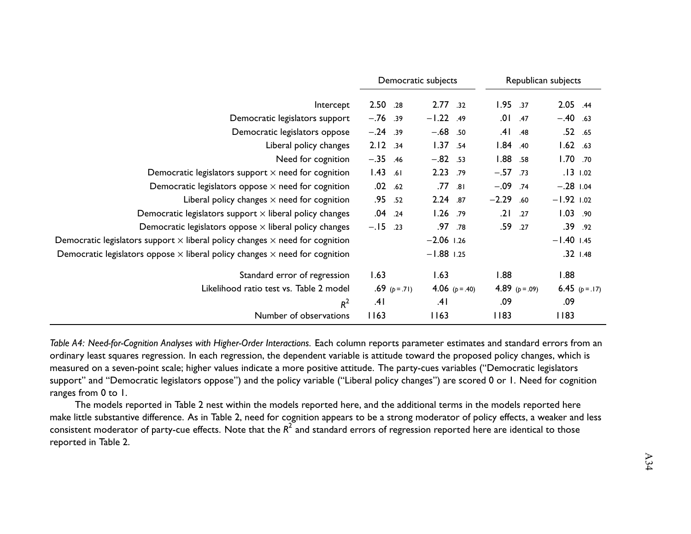|                                                                                            |            |               | Democratic subjects |                | Republican subjects |                |              |                |
|--------------------------------------------------------------------------------------------|------------|---------------|---------------------|----------------|---------------------|----------------|--------------|----------------|
| Intercept                                                                                  | 2.50 .28   |               | 2.77.32             |                | 1.95.37             |                | 2.05 .44     |                |
| Democratic legislators support                                                             | $-.76$ .39 |               | $-1.22$ .49         |                | .01                 | .47            | $-.40$ .63   |                |
| Democratic legislators oppose                                                              | $-.24$ .39 |               | $-.68$ .50          |                | .41                 | .48            |              | .52 .65        |
| Liberal policy changes                                                                     | 2.12.34    |               | 1.37                | .54            | 1.84.40             |                | $1.62$ .63   |                |
| Need for cognition                                                                         | $-.35$ .46 |               | $-.82$ .53          |                | 1.88                | .58            | 1.70.70      |                |
| Democratic legislators support $\times$ need for cognition                                 | $1.43$ .61 |               | 2.23                | .79            | $-.57$ .73          |                |              | $.13$ $1.02$   |
| Democratic legislators oppose $\times$ need for cognition                                  | $.02$ .62  |               | .77                 | .81            | $-.09$ .74          |                | $-.28$ 1.04  |                |
| Liberal policy changes $\times$ need for cognition                                         | .95 .52    |               | 2.24 .87            |                | $-2.29.60$          |                | $-1.92$ 1.02 |                |
| Democratic legislators support $\times$ liberal policy changes                             | $.04$ .24  |               | $1.26$ .79          |                | .21                 | .27            | 1.03.90      |                |
| Democratic legislators oppose $\times$ liberal policy changes                              | $-.15$     | .23           |                     | .97 .78        | .59                 | .27            |              | .39.92         |
| Democratic legislators support $\times$ liberal policy changes $\times$ need for cognition |            |               | $-2.06$ 1.26        |                |                     |                | $-1.40$ 1.45 |                |
| Democratic legislators oppose $\times$ liberal policy changes $\times$ need for cognition  |            |               | $-1.88$ 1.25        |                |                     |                |              | $.32$ $1.48$   |
| Standard error of regression                                                               | 1.63       |               | 1.63                |                | 1.88                |                | 1.88         |                |
| Likelihood ratio test vs. Table 2 model                                                    |            | .69 $(p=.71)$ |                     | 4.06 $(p=.40)$ |                     | 4.89 $(p=.09)$ |              | 6.45 $(p=.17)$ |
| $R^2$                                                                                      | .41        |               | .41                 |                | .09                 |                | .09          |                |
| Number of observations                                                                     | 1163       |               | 1163                |                | 83                  |                | 83           |                |

Table A4: Need-for-Cognition Analyses with Higher-Order Interactions. Each column reports parameter estimates and standard errors from an ordinary least squares regression. In each regression, the dependent variable is attitude toward the proposed policy changes, which ismeasured on <sup>a</sup> seven-point scale; higher values indicate <sup>a</sup> more positive attitude. The party-cues variables ("Democratic legislators support" and "Democratic legislators oppose") and the policy variable ("Liberal policy changes") are scored 0 or 1. Need for cognitionranges from 0 to 1.

The models reported in [Table](#page-17-1) <sup>2</sup> nest within the models reported here, and the additional terms in the models reported here make little substantive difference. As in [Table](#page-17-1) 2, need for cognition appears to be a strong moderator of policy effects, a weaker and less consistent moderator of party-cue effects. Note that the  $R^2$  and standard errors of regression reported here are identical to those reported in [Table](#page-17-1) 2.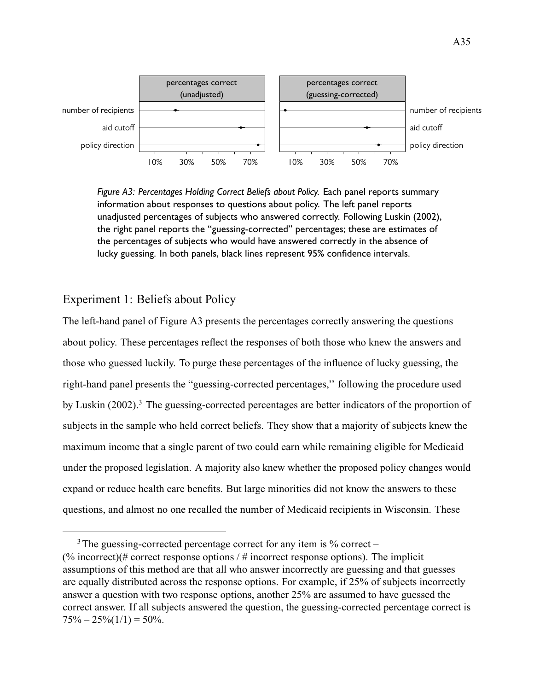<span id="page-88-0"></span>

*Figure A3: Percentages Holding Correct Beliefs about Policy.* Each panel reports summary information about responses to questions about policy. The left panel reports unadjusted percentages of subjects who answered correctly. Following [Luskin](#page-118-3) [\(2002\)](#page-118-3), the right panel reports the "guessing-corrected" percentages; these are estimates of the percentages of subjects who would have answered correctly in the absence of lucky guessing. In both panels, black lines represent 95% confidence intervals.

# Experiment 1: Beliefs about Policy

The left-hand panel of [Figure A3](#page-88-0) presents the percentages correctly answering the questions about policy. These percentages reflect the responses of both those who knew the answers and those who guessed luckily. To purge these percentages of the influence of lucky guessing, the right-hand panel presents the "guessing-corrected percentages,'' following the procedure used by [Luskin](#page-118-3) [\(2002\)](#page-118-3).<sup>3</sup> The guessing-corrected percentages are better indicators of the proportion of subjects in the sample who held correct beliefs. They show that a majority of subjects knew the maximum income that a single parent of two could earn while remaining eligible for Medicaid under the proposed legislation. A majority also knew whether the proposed policy changes would expand or reduce health care benefits. But large minorities did not know the answers to these questions, and almost no one recalled the number of Medicaid recipients in Wisconsin. These

 $3$  The guessing-corrected percentage correct for any item is  $\%$  correct – (% incorrect)(# correct response options / # incorrect response options). The implicit assumptions of this method are that all who answer incorrectly are guessing and that guesses are equally distributed across the response options. For example, if 25% of subjects incorrectly answer a question with two response options, another 25% are assumed to have guessed the correct answer. If all subjects answered the question, the guessing-corrected percentage correct is  $75\% - 25\% (1/1) = 50\%.$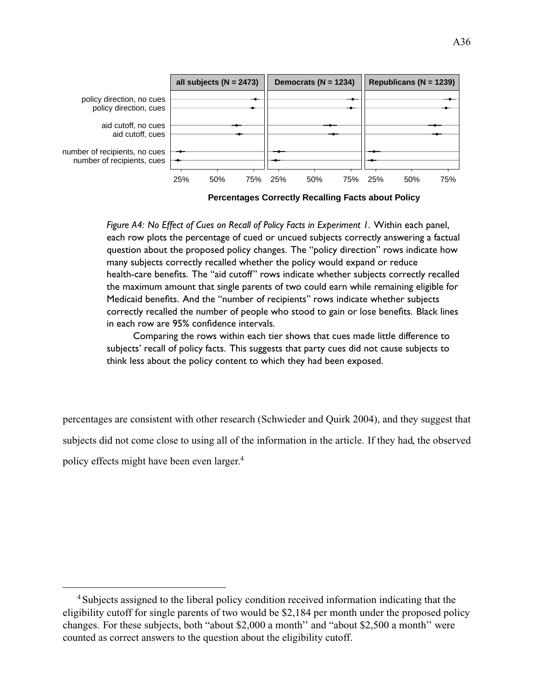

**Percentages Correctly Recalling Facts about Policy**

*Figure A4: No Effect of Cues on Recall of Policy Facts in Experiment 1.* Within each panel, each row plots the percentage of cued or uncued subjects correctly answering a factual question about the proposed policy changes. The "policy direction" rows indicate how many subjects correctly recalled whether the policy would expand or reduce health-care benefits. The "aid cutoff" rows indicate whether subjects correctly recalled the maximum amount that single parents of two could earn while remaining eligible for Medicaid benefits. And the "number of recipients" rows indicate whether subjects correctly recalled the number of people who stood to gain or lose benefits. Black lines in each row are 95% confidence intervals.

Comparing the rows within each tier shows that cues made little difference to subjects' recall of policy facts. This suggests that party cues did not cause subjects to think less about the policy content to which they had been exposed.

percentages are consistent with other research [\(Schwieder and Quirk](#page-119-5) [2004\)](#page-119-5), and they suggest that subjects did not come close to using all of the information in the article. If they had, the observed policy effects might have been even larger.<sup>4</sup>

<sup>4</sup>Subjects assigned to the liberal policy condition received information indicating that the eligibility cutoff for single parents of two would be \$2,184 per month under the proposed policy changes. For these subjects, both "about \$2,000 a month'' and "about \$2,500 a month'' were counted as correct answers to the question about the eligibility cutoff.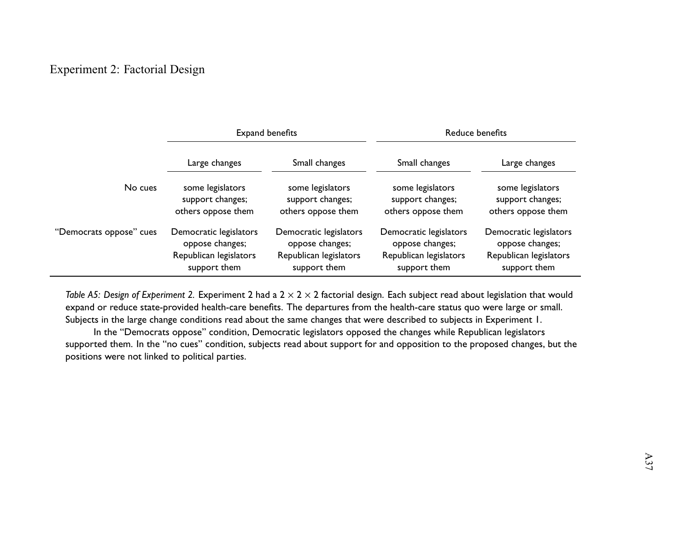# Experiment 2: Factorial Design

|                         |                        | Expand benefits        | Reduce benefits        |                        |  |  |  |
|-------------------------|------------------------|------------------------|------------------------|------------------------|--|--|--|
|                         | Large changes          | Small changes          | Small changes          | Large changes          |  |  |  |
| No cues                 | some legislators       | some legislators       | some legislators       | some legislators       |  |  |  |
|                         | support changes;       | support changes;       | support changes;       | support changes;       |  |  |  |
|                         | others oppose them     | others oppose them     | others oppose them     | others oppose them     |  |  |  |
| "Democrats oppose" cues | Democratic legislators | Democratic legislators | Democratic legislators | Democratic legislators |  |  |  |
|                         | oppose changes;        | oppose changes;        | oppose changes;        | oppose changes;        |  |  |  |
|                         | Republican legislators | Republican legislators | Republican legislators | Republican legislators |  |  |  |
|                         | support them           | support them           | support them           | support them           |  |  |  |

*Table A5: Design of Experiment 2.* Experiment 2 had <sup>a</sup> 2 <sup>×</sup> <sup>2</sup> <sup>×</sup> <sup>2</sup> factorial design. Each subject read about legislation that would expand or reduce state-provided health-care benefits. The departures from the health-care status quo were large or small. Subjects in the large change conditions read about the same changes that were described to subjects in Experiment 1.

In the "Democrats oppose" condition, Democratic legislators opposed the changes while Republican legislators supported them. In the "no cues" condition, subjects read about suppor<sup>t</sup> for and opposition to the proposed changes, but thepositions were not linked to political parties.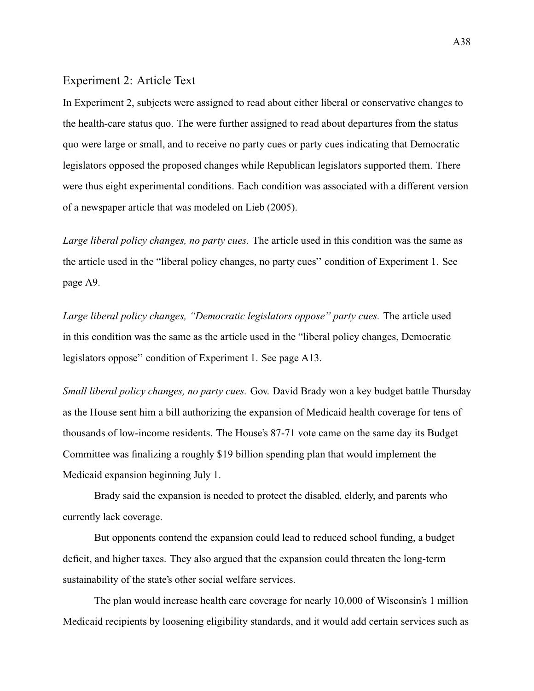## Experiment 2: Article Text

In Experiment 2, subjects were assigned to read about either liberal or conservative changes to the health-care status quo. The were further assigned to read about departures from the status quo were large or small, and to receive no party cues or party cues indicating that Democratic legislators opposed the proposed changes while Republican legislators supported them. There were thus eight experimental conditions. Each condition was associated with a different version of a newspaper article that was modeled on [Lieb](#page-50-0) (2005).

*Large liberal policy changes, no party cues.* The article used in this condition was the same as the article used in the "liberal policy changes, no party cues'' condition of Experiment 1. See [page A9.](#page-62-0)

*Large liberal policy changes, "Democratic legislators oppose'' party cues.* The article used in this condition was the same as the article used in the "liberal policy changes, Democratic legislators oppose'' condition of Experiment 1. See [page A13.](#page-62-0)

*Small liberal policy changes, no party cues.* Gov. David Brady won a key budget battle Thursday as the House sent him a bill authorizing the expansion of Medicaid health coverage for tens of thousands of low-income residents. The House's 87-71 vote came on the same day its Budget Committee was finalizing a roughly \$19 billion spending plan that would implement the Medicaid expansion beginning July 1.

Brady said the expansion is needed to protect the disabled, elderly, and parents who currently lack coverage.

But opponents contend the expansion could lead to reduced school funding, a budget deficit, and higher taxes. They also argued that the expansion could threaten the long-term sustainability of the state's other social welfare services.

The plan would increase health care coverage for nearly 10,000 of Wisconsin's 1 million Medicaid recipients by loosening eligibility standards, and it would add certain services such as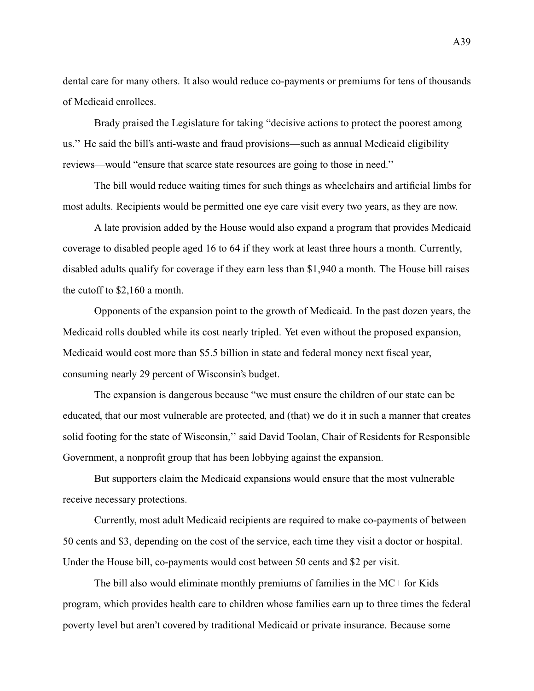dental care for many others. It also would reduce co-payments or premiums for tens of thousands of Medicaid enrollees.

Brady praised the Legislature for taking "decisive actions to protect the poorest among us.'' He said the bill's anti-waste and fraud provisions—such as annual Medicaid eligibility reviews—would "ensure that scarce state resources are going to those in need.''

The bill would reduce waiting times for such things as wheelchairs and artificial limbs for most adults. Recipients would be permitted one eye care visit every two years, as they are now.

A late provision added by the House would also expand a program that provides Medicaid coverage to disabled people aged 16 to 64 if they work at least three hours a month. Currently, disabled adults qualify for coverage if they earn less than \$1,940 a month. The House bill raises the cutoff to \$2,160 a month.

Opponents of the expansion point to the growth of Medicaid. In the past dozen years, the Medicaid rolls doubled while its cost nearly tripled. Yet even without the proposed expansion, Medicaid would cost more than \$5.5 billion in state and federal money next fiscal year, consuming nearly 29 percent of Wisconsin's budget.

The expansion is dangerous because "we must ensure the children of our state can be educated, that our most vulnerable are protected, and (that) we do it in such a manner that creates solid footing for the state of Wisconsin,'' said David Toolan, Chair of Residents for Responsible Government, a nonprofit group that has been lobbying against the expansion.

But supporters claim the Medicaid expansions would ensure that the most vulnerable receive necessary protections.

Currently, most adult Medicaid recipients are required to make co-payments of between 50 cents and \$3, depending on the cost of the service, each time they visit a doctor or hospital. Under the House bill, co-payments would cost between 50 cents and \$2 per visit.

The bill also would eliminate monthly premiums of families in the MC+ for Kids program, which provides health care to children whose families earn up to three times the federal poverty level but aren't covered by traditional Medicaid or private insurance. Because some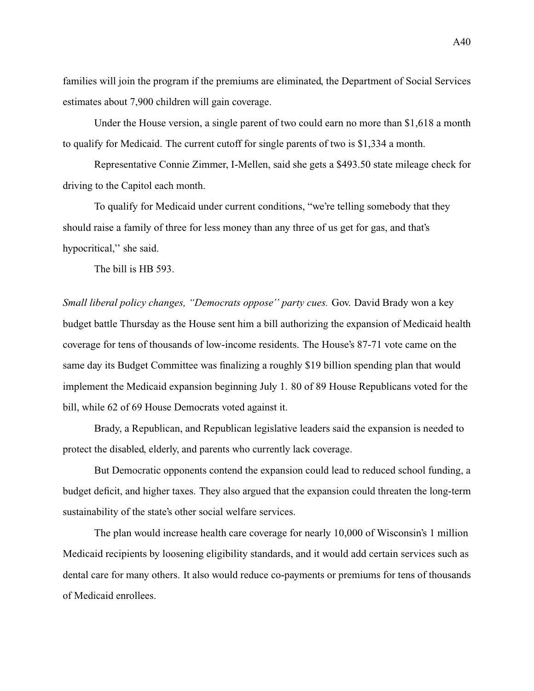families will join the program if the premiums are eliminated, the Department of Social Services estimates about 7,900 children will gain coverage.

Under the House version, a single parent of two could earn no more than \$1,618 a month to qualify for Medicaid. The current cutoff for single parents of two is \$1,334 a month.

Representative Connie Zimmer, I-Mellen, said she gets a \$493.50 state mileage check for driving to the Capitol each month.

To qualify for Medicaid under current conditions, "we're telling somebody that they should raise a family of three for less money than any three of us get for gas, and that's hypocritical,'' she said.

The bill is HB 593.

*Small liberal policy changes, "Democrats oppose'' party cues.* Gov. David Brady won a key budget battle Thursday as the House sent him a bill authorizing the expansion of Medicaid health coverage for tens of thousands of low-income residents. The House's 87-71 vote came on the same day its Budget Committee was finalizing a roughly \$19 billion spending plan that would implement the Medicaid expansion beginning July 1. 80 of 89 House Republicans voted for the bill, while 62 of 69 House Democrats voted against it.

Brady, a Republican, and Republican legislative leaders said the expansion is needed to protect the disabled, elderly, and parents who currently lack coverage.

But Democratic opponents contend the expansion could lead to reduced school funding, a budget deficit, and higher taxes. They also argued that the expansion could threaten the long-term sustainability of the state's other social welfare services.

The plan would increase health care coverage for nearly 10,000 of Wisconsin's 1 million Medicaid recipients by loosening eligibility standards, and it would add certain services such as dental care for many others. It also would reduce co-payments or premiums for tens of thousands of Medicaid enrollees.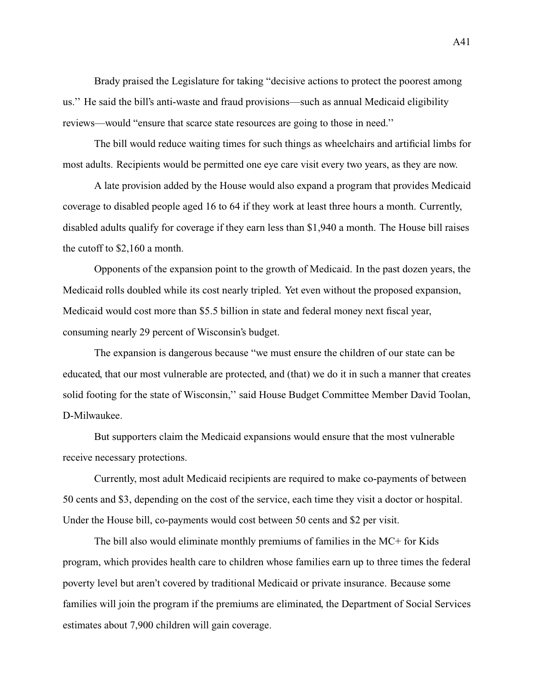Brady praised the Legislature for taking "decisive actions to protect the poorest among us.'' He said the bill's anti-waste and fraud provisions—such as annual Medicaid eligibility reviews—would "ensure that scarce state resources are going to those in need.''

The bill would reduce waiting times for such things as wheelchairs and artificial limbs for most adults. Recipients would be permitted one eye care visit every two years, as they are now.

A late provision added by the House would also expand a program that provides Medicaid coverage to disabled people aged 16 to 64 if they work at least three hours a month. Currently, disabled adults qualify for coverage if they earn less than \$1,940 a month. The House bill raises the cutoff to \$2,160 a month.

Opponents of the expansion point to the growth of Medicaid. In the past dozen years, the Medicaid rolls doubled while its cost nearly tripled. Yet even without the proposed expansion, Medicaid would cost more than \$5.5 billion in state and federal money next fiscal year, consuming nearly 29 percent of Wisconsin's budget.

The expansion is dangerous because "we must ensure the children of our state can be educated, that our most vulnerable are protected, and (that) we do it in such a manner that creates solid footing for the state of Wisconsin,'' said House Budget Committee Member David Toolan, D-Milwaukee.

But supporters claim the Medicaid expansions would ensure that the most vulnerable receive necessary protections.

Currently, most adult Medicaid recipients are required to make co-payments of between 50 cents and \$3, depending on the cost of the service, each time they visit a doctor or hospital. Under the House bill, co-payments would cost between 50 cents and \$2 per visit.

The bill also would eliminate monthly premiums of families in the MC+ for Kids program, which provides health care to children whose families earn up to three times the federal poverty level but aren't covered by traditional Medicaid or private insurance. Because some families will join the program if the premiums are eliminated, the Department of Social Services estimates about 7,900 children will gain coverage.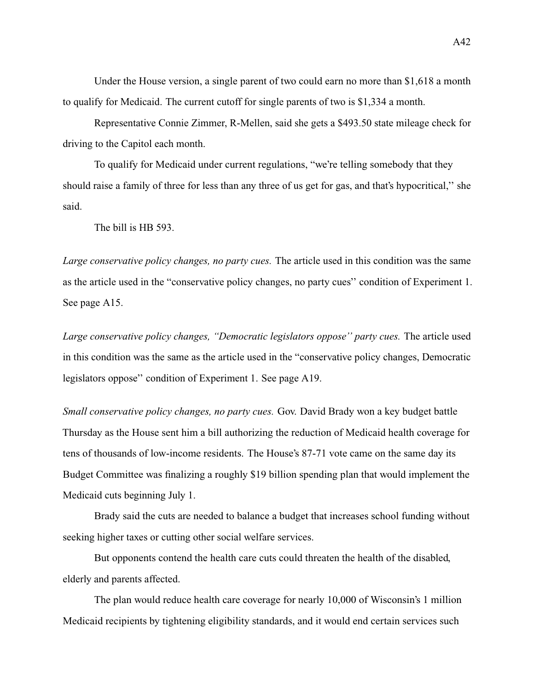Under the House version, a single parent of two could earn no more than \$1,618 a month to qualify for Medicaid. The current cutoff for single parents of two is \$1,334 a month.

Representative Connie Zimmer, R-Mellen, said she gets a \$493.50 state mileage check for driving to the Capitol each month.

To qualify for Medicaid under current regulations, "we're telling somebody that they should raise a family of three for less than any three of us get for gas, and that's hypocritical,'' she said.

The bill is HB 593.

*Large conservative policy changes, no party cues.* The article used in this condition was the same as the article used in the "conservative policy changes, no party cues'' condition of Experiment 1. See [page A15.](#page-62-0)

*Large conservative policy changes, "Democratic legislators oppose'' party cues.* The article used in this condition was the same as the article used in the "conservative policy changes, Democratic legislators oppose'' condition of Experiment 1. See [page A19.](#page-62-0)

*Small conservative policy changes, no party cues.* Gov. David Brady won a key budget battle Thursday as the House sent him a bill authorizing the reduction of Medicaid health coverage for tens of thousands of low-income residents. The House's 87-71 vote came on the same day its Budget Committee was finalizing a roughly \$19 billion spending plan that would implement the Medicaid cuts beginning July 1.

Brady said the cuts are needed to balance a budget that increases school funding without seeking higher taxes or cutting other social welfare services.

But opponents contend the health care cuts could threaten the health of the disabled, elderly and parents affected.

The plan would reduce health care coverage for nearly 10,000 of Wisconsin's 1 million Medicaid recipients by tightening eligibility standards, and it would end certain services such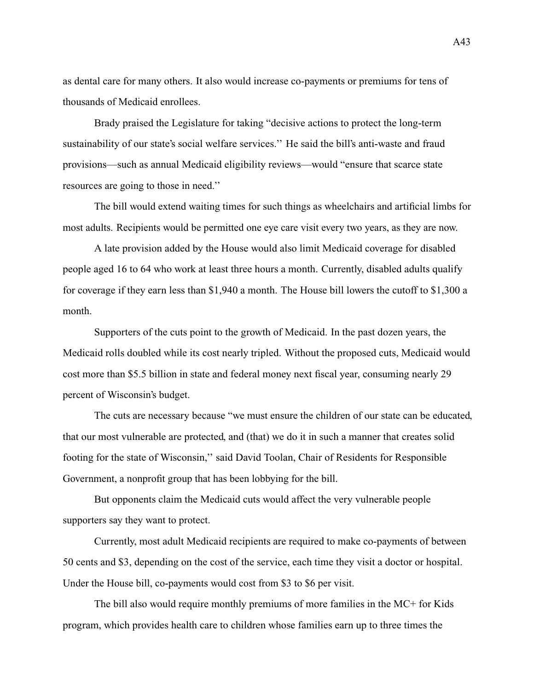as dental care for many others. It also would increase co-payments or premiums for tens of thousands of Medicaid enrollees.

Brady praised the Legislature for taking "decisive actions to protect the long-term sustainability of our state's social welfare services.'' He said the bill's anti-waste and fraud provisions—such as annual Medicaid eligibility reviews—would "ensure that scarce state resources are going to those in need.''

The bill would extend waiting times for such things as wheelchairs and artificial limbs for most adults. Recipients would be permitted one eye care visit every two years, as they are now.

A late provision added by the House would also limit Medicaid coverage for disabled people aged 16 to 64 who work at least three hours a month. Currently, disabled adults qualify for coverage if they earn less than \$1,940 a month. The House bill lowers the cutoff to \$1,300 a month.

Supporters of the cuts point to the growth of Medicaid. In the past dozen years, the Medicaid rolls doubled while its cost nearly tripled. Without the proposed cuts, Medicaid would cost more than \$5.5 billion in state and federal money next fiscal year, consuming nearly 29 percent of Wisconsin's budget.

The cuts are necessary because "we must ensure the children of our state can be educated, that our most vulnerable are protected, and (that) we do it in such a manner that creates solid footing for the state of Wisconsin,'' said David Toolan, Chair of Residents for Responsible Government, a nonprofit group that has been lobbying for the bill.

But opponents claim the Medicaid cuts would affect the very vulnerable people supporters say they want to protect.

Currently, most adult Medicaid recipients are required to make co-payments of between 50 cents and \$3, depending on the cost of the service, each time they visit a doctor or hospital. Under the House bill, co-payments would cost from \$3 to \$6 per visit.

The bill also would require monthly premiums of more families in the MC+ for Kids program, which provides health care to children whose families earn up to three times the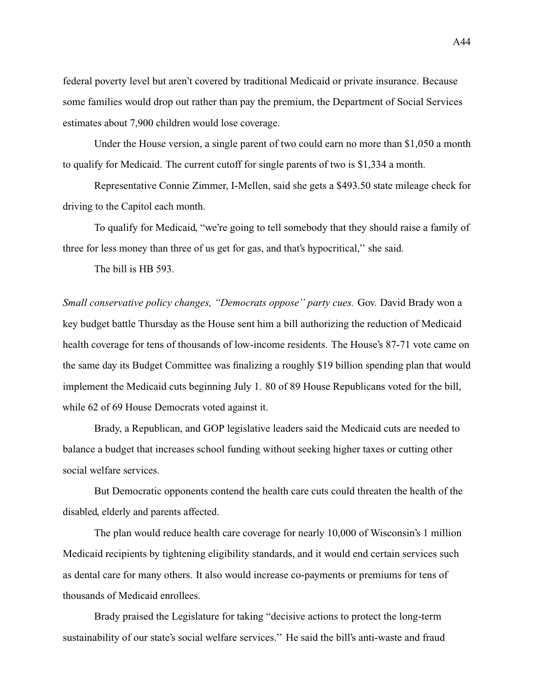federal poverty level but aren't covered by traditional Medicaid or private insurance. Because some families would drop out rather than pay the premium, the Department of Social Services estimates about 7,900 children would lose coverage.

Under the House version, a single parent of two could earn no more than \$1,050 a month to qualify for Medicaid. The current cutoff for single parents of two is \$1,334 a month.

Representative Connie Zimmer, I-Mellen, said she gets a \$493.50 state mileage check for driving to the Capitol each month.

To qualify for Medicaid, "we're going to tell somebody that they should raise a family of three for less money than three of us get for gas, and that's hypocritical,'' she said.

The bill is HB 593.

*Small conservative policy changes, "Democrats oppose'' party cues.* Gov. David Brady won a key budget battle Thursday as the House sent him a bill authorizing the reduction of Medicaid health coverage for tens of thousands of low-income residents. The House's 87-71 vote came on the same day its Budget Committee was finalizing a roughly \$19 billion spending plan that would implement the Medicaid cuts beginning July 1. 80 of 89 House Republicans voted for the bill, while 62 of 69 House Democrats voted against it.

Brady, a Republican, and GOP legislative leaders said the Medicaid cuts are needed to balance a budget that increases school funding without seeking higher taxes or cutting other social welfare services.

But Democratic opponents contend the health care cuts could threaten the health of the disabled, elderly and parents affected.

The plan would reduce health care coverage for nearly 10,000 of Wisconsin's 1 million Medicaid recipients by tightening eligibility standards, and it would end certain services such as dental care for many others. It also would increase co-payments or premiums for tens of thousands of Medicaid enrollees.

Brady praised the Legislature for taking "decisive actions to protect the long-term sustainability of our state's social welfare services.'' He said the bill's anti-waste and fraud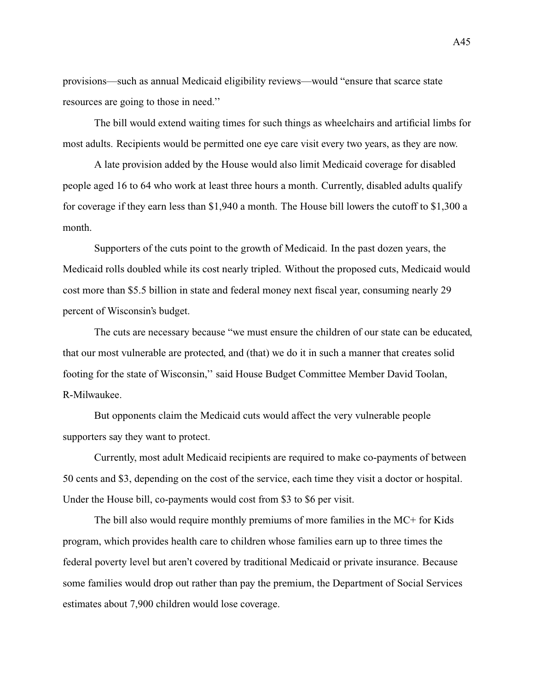provisions—such as annual Medicaid eligibility reviews—would "ensure that scarce state resources are going to those in need.''

The bill would extend waiting times for such things as wheelchairs and artificial limbs for most adults. Recipients would be permitted one eye care visit every two years, as they are now.

A late provision added by the House would also limit Medicaid coverage for disabled people aged 16 to 64 who work at least three hours a month. Currently, disabled adults qualify for coverage if they earn less than \$1,940 a month. The House bill lowers the cutoff to \$1,300 a month.

Supporters of the cuts point to the growth of Medicaid. In the past dozen years, the Medicaid rolls doubled while its cost nearly tripled. Without the proposed cuts, Medicaid would cost more than \$5.5 billion in state and federal money next fiscal year, consuming nearly 29 percent of Wisconsin's budget.

The cuts are necessary because "we must ensure the children of our state can be educated, that our most vulnerable are protected, and (that) we do it in such a manner that creates solid footing for the state of Wisconsin,'' said House Budget Committee Member David Toolan, R-Milwaukee.

But opponents claim the Medicaid cuts would affect the very vulnerable people supporters say they want to protect.

Currently, most adult Medicaid recipients are required to make co-payments of between 50 cents and \$3, depending on the cost of the service, each time they visit a doctor or hospital. Under the House bill, co-payments would cost from \$3 to \$6 per visit.

The bill also would require monthly premiums of more families in the MC+ for Kids program, which provides health care to children whose families earn up to three times the federal poverty level but aren't covered by traditional Medicaid or private insurance. Because some families would drop out rather than pay the premium, the Department of Social Services estimates about 7,900 children would lose coverage.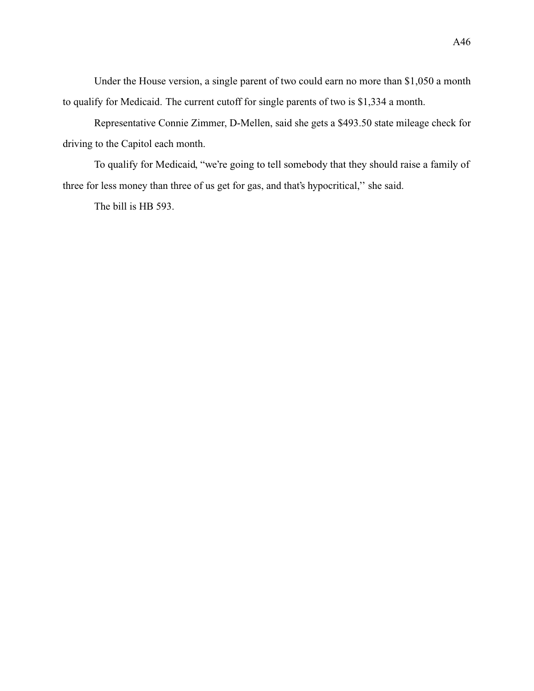Under the House version, a single parent of two could earn no more than \$1,050 a month to qualify for Medicaid. The current cutoff for single parents of two is \$1,334 a month.

Representative Connie Zimmer, D-Mellen, said she gets a \$493.50 state mileage check for driving to the Capitol each month.

To qualify for Medicaid, "we're going to tell somebody that they should raise a family of three for less money than three of us get for gas, and that's hypocritical,'' she said.

The bill is HB 593.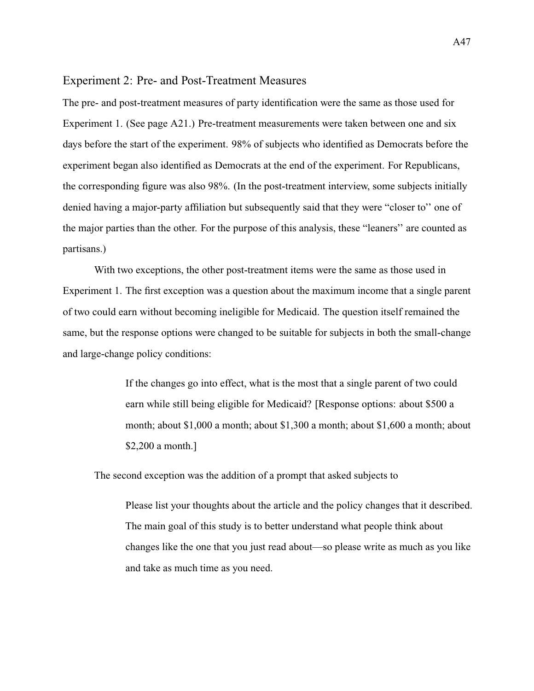#### Experiment 2: Pre- and Post-Treatment Measures

The pre- and post-treatment measures of party identification were the same as those used for Experiment 1. (See [page A21.](#page-74-0)) Pre-treatment measurements were taken between one and six days before the start of the experiment. 98% of subjects who identified as Democrats before the experiment began also identified as Democrats at the end of the experiment. For Republicans, the corresponding figure was also 98%. (In the post-treatment interview, some subjects initially denied having a major-party affiliation but subsequently said that they were "closer to'' one of the major parties than the other. For the purpose of this analysis, these "leaners'' are counted as partisans.)

With two exceptions, the other post-treatment items were the same as those used in Experiment 1. The first exception was a question about the maximum income that a single parent of two could earn without becoming ineligible for Medicaid. The question itself remained the same, but the response options were changed to be suitable for subjects in both the small-change and large-change policy conditions:

> If the changes go into effect, what is the most that a single parent of two could earn while still being eligible for Medicaid? [Response options: about \$500 a month; about \$1,000 a month; about \$1,300 a month; about \$1,600 a month; about \$2,200 a month.]

The second exception was the addition of a prompt that asked subjects to

Please list your thoughts about the article and the policy changes that it described. The main goal of this study is to better understand what people think about changes like the one that you just read about—so please write as much as you like and take as much time as you need.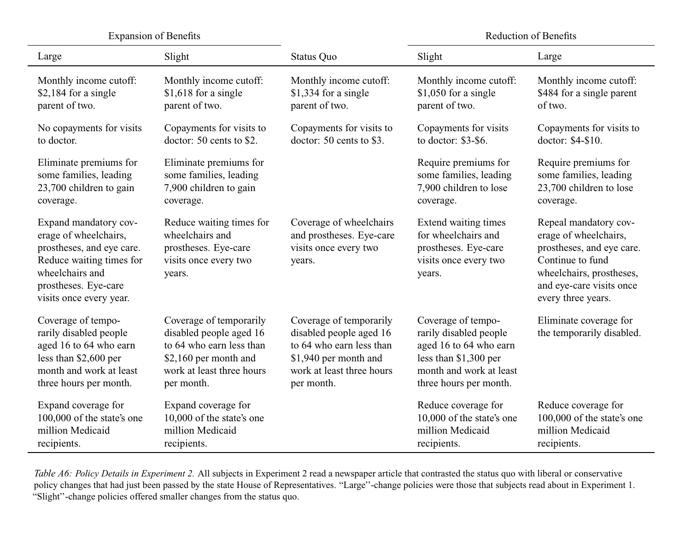Expansion of Benefits

Reduction of Benefits

| Large                                                                                                                                                                         | Slight                                                                                                                                             | <b>Status Quo</b>                                                                                                                                  | Slight                                                                                                                                               | Large                                                                                                                                                                         |
|-------------------------------------------------------------------------------------------------------------------------------------------------------------------------------|----------------------------------------------------------------------------------------------------------------------------------------------------|----------------------------------------------------------------------------------------------------------------------------------------------------|------------------------------------------------------------------------------------------------------------------------------------------------------|-------------------------------------------------------------------------------------------------------------------------------------------------------------------------------|
| Monthly income cutoff:                                                                                                                                                        | Monthly income cutoff:                                                                                                                             | Monthly income cutoff:                                                                                                                             | Monthly income cutoff:                                                                                                                               | Monthly income cutoff:                                                                                                                                                        |
| $$2,184$ for a single                                                                                                                                                         | \$1,618 for a single                                                                                                                               | \$1,334 for a single                                                                                                                               | $$1,050$ for a single                                                                                                                                | \$484 for a single parent                                                                                                                                                     |
| parent of two.                                                                                                                                                                | parent of two.                                                                                                                                     | parent of two.                                                                                                                                     | parent of two.                                                                                                                                       | of two.                                                                                                                                                                       |
| No copayments for visits                                                                                                                                                      | Copayments for visits to                                                                                                                           | Copayments for visits to                                                                                                                           | Copayments for visits                                                                                                                                | Copayments for visits to                                                                                                                                                      |
| to doctor.                                                                                                                                                                    | doctor: 50 cents to \$2.                                                                                                                           | doctor: 50 cents to \$3.                                                                                                                           | to doctor: \$3-\$6.                                                                                                                                  | doctor: \$4-\$10.                                                                                                                                                             |
| Eliminate premiums for                                                                                                                                                        | Eliminate premiums for                                                                                                                             |                                                                                                                                                    | Require premiums for                                                                                                                                 | Require premiums for                                                                                                                                                          |
| some families, leading                                                                                                                                                        | some families, leading                                                                                                                             |                                                                                                                                                    | some families, leading                                                                                                                               | some families, leading                                                                                                                                                        |
| 23,700 children to gain                                                                                                                                                       | 7,900 children to gain                                                                                                                             |                                                                                                                                                    | 7,900 children to lose                                                                                                                               | 23,700 children to lose                                                                                                                                                       |
| coverage.                                                                                                                                                                     | coverage.                                                                                                                                          |                                                                                                                                                    | coverage.                                                                                                                                            | coverage.                                                                                                                                                                     |
| Expand mandatory cov-<br>erage of wheelchairs,<br>prostheses, and eye care.<br>Reduce waiting times for<br>wheelchairs and<br>prostheses. Eye-care<br>visits once every year. | Reduce waiting times for<br>wheelchairs and<br>prostheses. Eye-care<br>visits once every two<br>years.                                             | Coverage of wheelchairs<br>and prostheses. Eye-care<br>visits once every two<br>years.                                                             | Extend waiting times<br>for wheelchairs and<br>prostheses. Eye-care<br>visits once every two<br>years.                                               | Repeal mandatory cov-<br>erage of wheelchairs,<br>prostheses, and eye care.<br>Continue to fund<br>wheelchairs, prostheses,<br>and eye-care visits once<br>every three years. |
| Coverage of tempo-<br>rarily disabled people<br>aged 16 to 64 who earn<br>less than \$2,600 per<br>month and work at least<br>three hours per month.                          | Coverage of temporarily<br>disabled people aged 16<br>to 64 who earn less than<br>\$2,160 per month and<br>work at least three hours<br>per month. | Coverage of temporarily<br>disabled people aged 16<br>to 64 who earn less than<br>\$1,940 per month and<br>work at least three hours<br>per month. | Coverage of tempo-<br>rarily disabled people<br>aged 16 to 64 who earn<br>less than \$1,300 per<br>month and work at least<br>three hours per month. | Eliminate coverage for<br>the temporarily disabled.                                                                                                                           |
| Expand coverage for                                                                                                                                                           | Expand coverage for                                                                                                                                |                                                                                                                                                    | Reduce coverage for                                                                                                                                  | Reduce coverage for                                                                                                                                                           |
| 100,000 of the state's one                                                                                                                                                    | 10,000 of the state's one                                                                                                                          |                                                                                                                                                    | 10,000 of the state's one                                                                                                                            | 100,000 of the state's one                                                                                                                                                    |
| million Medicaid                                                                                                                                                              | million Medicaid                                                                                                                                   |                                                                                                                                                    | million Medicaid                                                                                                                                     | million Medicaid                                                                                                                                                              |
| recipients.                                                                                                                                                                   | recipients.                                                                                                                                        |                                                                                                                                                    | recipients.                                                                                                                                          | recipients.                                                                                                                                                                   |

Table A6: Policy Details in Experiment 2. All subjects in Experiment 2 read a newspaper article that contrasted the status quo with liberal or conservative policy changes that had just been passed by the state House of Representatives. "Large''-change policies were those that subjects read about in Experiment 1."Slight''-change policies offered smaller changes from the status quo.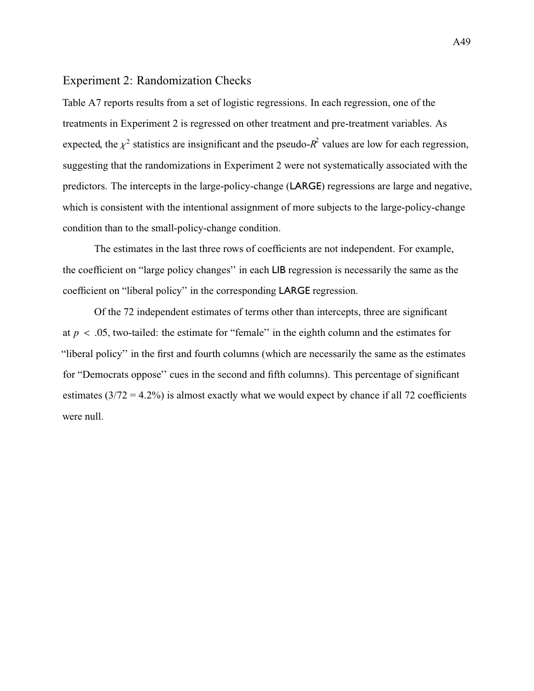## Experiment 2: Randomization Checks

[Table A7](#page-103-0) reports results from a set of logistic regressions. In each regression, one of the treatments in Experiment 2 is regressed on other treatment and pre-treatment variables. As expected, the  $\chi^2$  statistics are insignificant and the pseudo- $R^2$  values are low for each regression, suggesting that the randomizations in Experiment 2 were not systematically associated with the predictors. The intercepts in the large-policy-change (LARGE) regressions are large and negative, which is consistent with the intentional assignment of more subjects to the large-policy-change condition than to the small-policy-change condition.

The estimates in the last three rows of coefficients are not independent. For example, the coefficient on "large policy changes'' in each LIB regression is necessarily the same as the coefficient on "liberal policy'' in the corresponding LARGE regression.

Of the 72 independent estimates of terms other than intercepts, three are significant at  $p < .05$ , two-tailed: the estimate for "female" in the eighth column and the estimates for "liberal policy'' in the first and fourth columns (which are necessarily the same as the estimates for "Democrats oppose'' cues in the second and fifth columns). This percentage of significant estimates  $(3/72 = 4.2\%)$  is almost exactly what we would expect by chance if all 72 coefficients were null.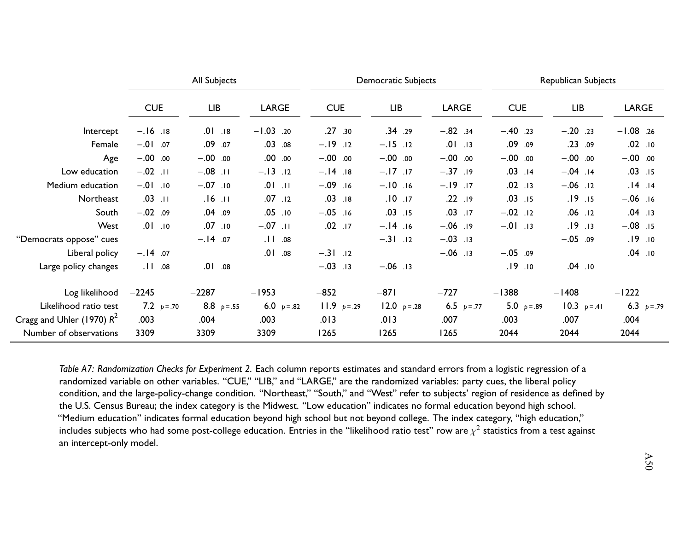<span id="page-103-0"></span>

|                              | All Subjects |              |              | <b>Democratic Subjects</b> |              |              | Republican Subjects |              |              |  |  |
|------------------------------|--------------|--------------|--------------|----------------------------|--------------|--------------|---------------------|--------------|--------------|--|--|
|                              | <b>CUE</b>   | <b>LIB</b>   | <b>LARGE</b> | <b>CUE</b>                 | <b>LIB</b>   | <b>LARGE</b> | <b>CUE</b>          | <b>LIB</b>   | <b>LARGE</b> |  |  |
| Intercept                    | $-.16$ .18   | $.01$ . 18   | $-1.03$ .20  | .27.30                     | .34.29       | $-.82$ .34   | $-.40$ .23          | $-.20$ .23   | $-1.08$ .26  |  |  |
| Female                       | $-.01$ .07   | .09.07       | .0308        | $-.19.12$                  | $-.15$ .12   | $.01$ . 13   | .09.09              | .23.09       | $.02$ .10    |  |  |
| Age                          | $-.00$ .00   | $-.00$ .00   | .00.00       | $-.00$ .00                 | $-.00$ .00   | $-.00$ .00   | $-.00$ .00          | $-.00$ .00   | $-.00$ .00   |  |  |
| Low education                | $-.02$ .11   | $-0.08$ . 11 | $-.13$ .12   | $-.14.18$                  | $-.17$       | $-.37.19$    | $.03$ .14           | $-.04$ .14   | $.03$ .15    |  |  |
| Medium education             | $-01$ . 10   | $-.07$ . 10  | $.01$ . 11   | $-.09$ .16                 | $-.10$ .16   | $-.19.17$    | $.02$ .13           | $-.06$ .12   | $.14$ .14    |  |  |
| Northeast                    | $.03$ .11    | $.16$ .11    | $.07$ .12    | $.03$ .18                  | $.10$ .17    | .22.19       | $.03$ .15           | .19.15       | $-.06$ .16   |  |  |
| South                        | $-.02$ .09   | .04.09       | $.05$ .10    | $-.05$ .16                 | $.03$ .15    | $.03$ .17    | $-.02$ .12          | $.06$ .12    | $.04$ .13    |  |  |
| West                         | .01.10       | .07.10       | $-.07$ .11   | $.02$ $.17$                | $-.14.16$    | $-.06$ . 19  | $-.01$ . 13         | .19.13       | $-.08$ .15   |  |  |
| "Democrats oppose" cues      |              | $-.14.07$    | .11.08       |                            | $-.31$ .12   | $-.03$ .13   |                     | $-.05$ .09   | .19.10       |  |  |
| Liberal policy               | $-.14.07$    |              | .01.08       | $-.31$ .12                 |              | $-.06$ . 13  | $-.05$ .09          |              | $.04$ .10    |  |  |
| Large policy changes         | .11.08       | .01.08       |              | $-.03$ .13                 | $-.06$ .13   |              | .19.10              | $.04$ .10    |              |  |  |
| Log likelihood               | $-2245$      | $-2287$      | $-1953$      | $-852$                     | $-871$       | $-727$       | $-1388$             | $-1408$      | $-1222$      |  |  |
| Likelihood ratio test        | 7.2 $p=.70$  | 8.8 $p=.55$  | 6.0 $p=.82$  | $11.9 p = .29$             | 12.0 $p=.28$ | 6.5 $p=.77$  | 5.0 $p=.89$         | 10.3 $p=.41$ | 6.3 $p=.79$  |  |  |
| Cragg and Uhler (1970) $R^2$ | .003         | .004         | .003         | .013                       | .013         | .007         | .003                | .007         | .004         |  |  |
| Number of observations       | 3309         | 3309         | 3309         | 1265                       | 1265         | 1265         | 2044                | 2044         | 2044         |  |  |

*Table A7: Randomization Checks for Experiment 2.* Each column reports estimates and standard errors from <sup>a</sup> logistic regression of <sup>a</sup>randomized variable on other variables. "CUE," "LIB," and "LARGE," are the randomized variables: party cues, the liberal policy condition, and the large-policy-change condition. "Northeast," "South," and "West" refer to subjects' region of residence as defined bythe U.S. Census Bureau; the index category is the Midwest. "Low education" indicates no formal education beyond high school. "Medium education" indicates formal education beyond high school but not beyond college. The index category, "high education,"includes subjects who had some post-college education. Entries in the "likelihood ratio test" row are  $\chi^2$  statistics from a test against an intercept-only model.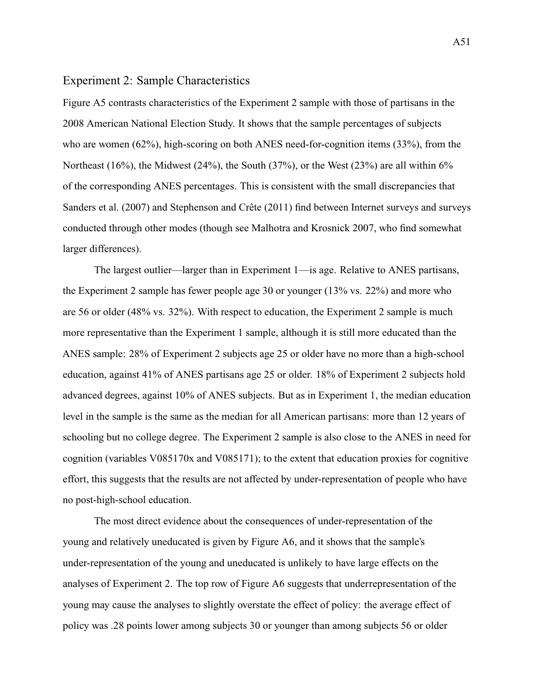### Experiment 2: Sample Characteristics

[Figure A5](#page-106-0) contrasts characteristics of the Experiment 2 sample with those of partisans in the 2008 American National Election Study. It shows that the sample percentages of subjects who are women (62%), high-scoring on both ANES need-for-cognition items (33%), from the Northeast (16%), the Midwest (24%), the South (37%), or the West (23%) are all within 6% of the corresponding ANES percentages. This is consistent with the small discrepancies that [Sanders et al.](#page-119-0) [\(2007\)](#page-119-0) and [Stephenson and Crête](#page-120-0) [\(2011\)](#page-120-0) find between Internet surveys and surveys conducted through other modes (though see [Malhotra and Krosnick](#page-119-1) [2007,](#page-119-1) who find somewhat larger differences).

The largest outlier—larger than in Experiment 1—is age. Relative to ANES partisans, the Experiment 2 sample has fewer people age 30 or younger (13% vs. 22%) and more who are 56 or older (48% vs. 32%). With respect to education, the Experiment 2 sample is much more representative than the Experiment 1 sample, although it is still more educated than the ANES sample: 28% of Experiment 2 subjects age 25 or older have no more than a high-school education, against 41% of ANES partisans age 25 or older. 18% of Experiment 2 subjects hold advanced degrees, against 10% of ANES subjects. But as in Experiment 1, the median education level in the sample is the same as the median for all American partisans: more than 12 years of schooling but no college degree. The Experiment 2 sample is also close to the ANES in need for cognition (variables V085170x and V085171); to the extent that education proxies for cognitive effort, this suggests that the results are not affected by under-representation of people who have no post-high-school education.

The most direct evidence about the consequences of under-representation of the young and relatively uneducated is given by [Figure A6,](#page-107-0) and it shows that the sample's under-representation of the young and uneducated is unlikely to have large effects on the analyses of Experiment 2. The top row of [Figure A6](#page-107-0) suggests that underrepresentation of the young may cause the analyses to slightly overstate the effect of policy: the average effect of policy was .28 points lower among subjects 30 or younger than among subjects 56 or older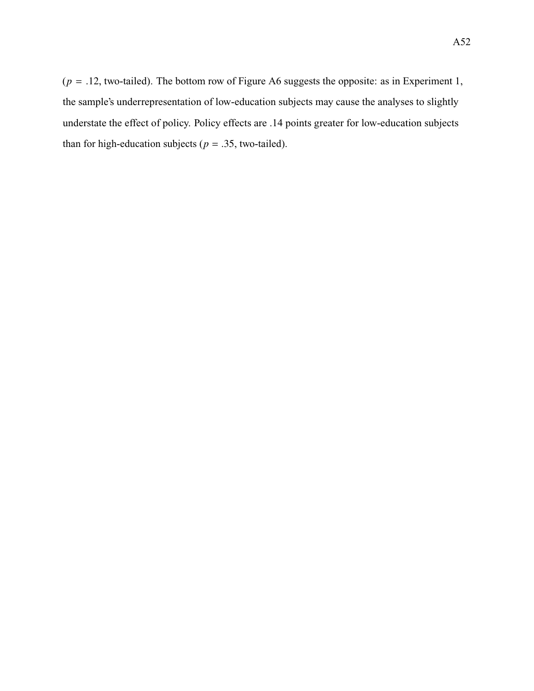$(p = .12,$  two-tailed). The bottom row of [Figure A6](#page-107-0) suggests the opposite: as in Experiment 1, the sample's underrepresentation of low-education subjects may cause the analyses to slightly understate the effect of policy. Policy effects are .14 points greater for low-education subjects than for high-education subjects ( $p = .35$ , two-tailed).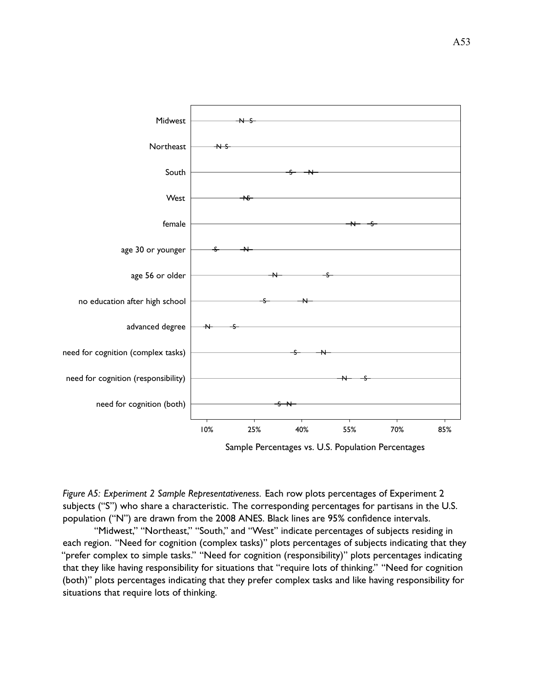<span id="page-106-0"></span>

*Figure A5: Experiment 2 Sample Representativeness.* Each row plots percentages of Experiment 2 subjects ("S") who share a characteristic. The corresponding percentages for partisans in the U.S. population ("N") are drawn from the 2008 ANES. Black lines are 95% confidence intervals.

"Midwest," "Northeast," "South," and "West" indicate percentages of subjects residing in each region. "Need for cognition (complex tasks)" plots percentages of subjects indicating that they "prefer complex to simple tasks." "Need for cognition (responsibility)" plots percentages indicating that they like having responsibility for situations that "require lots of thinking." "Need for cognition (both)" plots percentages indicating that they prefer complex tasks and like having responsibility for situations that require lots of thinking.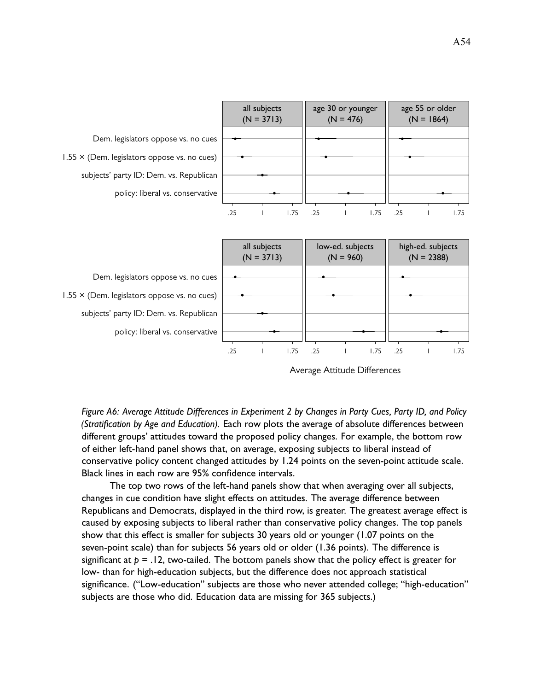<span id="page-107-0"></span>

Average Attitude Differences

*Figure A6: Average Attitude Differences in Experiment 2 by Changes in Party Cues, Party ID, and Policy (Stratification by Age and Education).* Each row plots the average of absolute differences between different groups' attitudes toward the proposed policy changes. For example, the bottom row of either left-hand panel shows that, on average, exposing subjects to liberal instead of conservative policy content changed attitudes by 1.24 points on the seven-point attitude scale. Black lines in each row are 95% confidence intervals.

The top two rows of the left-hand panels show that when averaging over all subjects, changes in cue condition have slight effects on attitudes. The average difference between Republicans and Democrats, displayed in the third row, is greater. The greatest average effect is caused by exposing subjects to liberal rather than conservative policy changes. The top panels show that this effect is smaller for subjects 30 years old or younger (1.07 points on the seven-point scale) than for subjects 56 years old or older (1.36 points). The difference is significant at  $p = 0.12$ , two-tailed. The bottom panels show that the policy effect is greater for low- than for high-education subjects, but the difference does not approach statistical significance. ("Low-education" subjects are those who never attended college; "high-education" subjects are those who did. Education data are missing for 365 subjects.)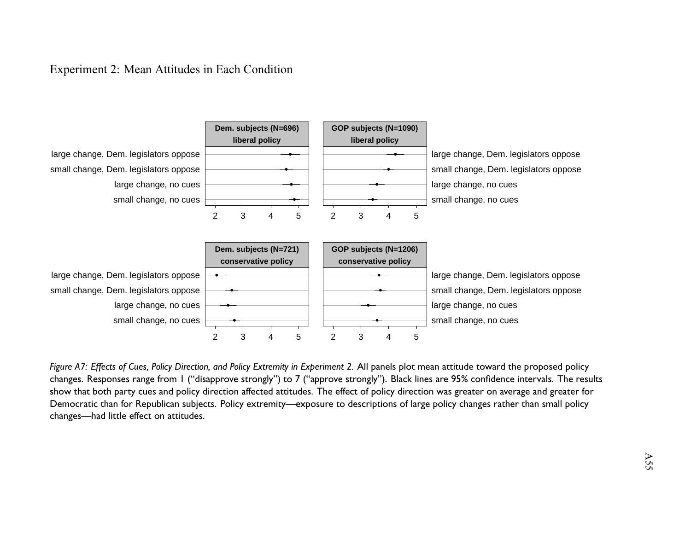## Experiment 2: Mean Attitudes in Each Condition



Figure A7: Effects of Cues, Policy Direction, and Policy Extremity in Experiment 2. All panels plot mean attitude toward the proposed policy changes. Responses range from 1 ("disapprove strongly") to 7 ("approve strongly"). Black lines are 95% confidence intervals. The resultsshow that both party cues and policy direction affected attitudes. The effect of policy direction was greater on average and greater for Democratic than for Republican subjects. Policy extremity—exposure to descriptions of large policy changes rather than small policychanges—had little effect on attitudes.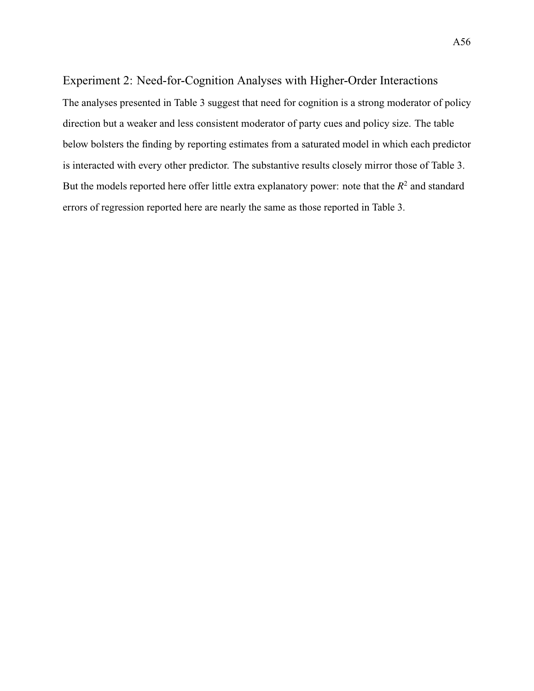## Experiment 2: Need-for-Cognition Analyses with Higher-Order Interactions

The analyses presented in [Table 3](#page-26-0) suggest that need for cognition is a strong moderator of policy direction but a weaker and less consistent moderator of party cues and policy size. The table below bolsters the finding by reporting estimates from a saturated model in which each predictor is interacted with every other predictor. The substantive results closely mirror those of [Table 3.](#page-26-0) But the models reported here offer little extra explanatory power: note that the  $R^2$  and standard errors of regression reported here are nearly the same as those reported in [Table 3.](#page-26-0)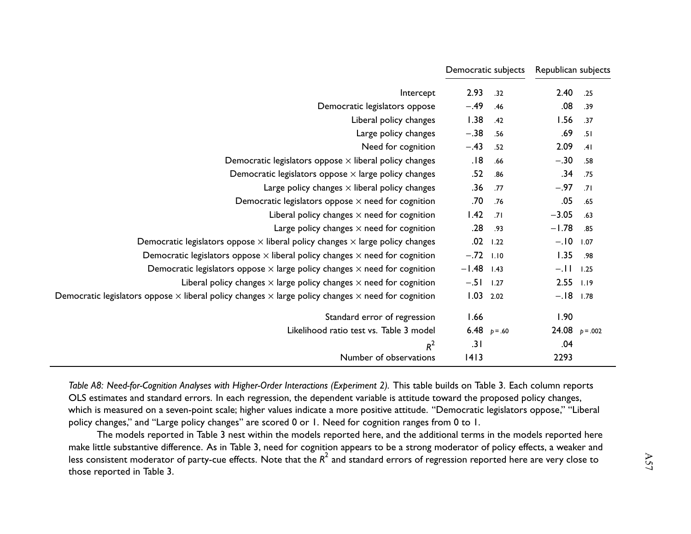|                                                                                                                         | Democratic subjects |           | Republican subjects |      |
|-------------------------------------------------------------------------------------------------------------------------|---------------------|-----------|---------------------|------|
| Intercept                                                                                                               | 2.93                | .32       | 2.40                | .25  |
| Democratic legislators oppose                                                                                           | $-.49$              | .46       | .08                 | .39  |
| Liberal policy changes                                                                                                  | 1.38                | .42       | 1.56                | .37  |
| Large policy changes                                                                                                    | $-.38$              | .56       | .69                 | .51  |
| Need for cognition                                                                                                      | $-.43$              | .52       | 2.09                | .41  |
| Democratic legislators oppose $\times$ liberal policy changes                                                           | .18                 | .66       | $-.30$              | .58  |
| Democratic legislators oppose $\times$ large policy changes                                                             | .52                 | .86       | .34                 | .75  |
| Large policy changes $\times$ liberal policy changes                                                                    | .36                 | .77       | $-.97$              | .71  |
| Democratic legislators oppose $\times$ need for cognition                                                               | .70                 | .76       | .05                 | .65  |
| Liberal policy changes $\times$ need for cognition                                                                      | 1.42                | .71       | $-3.05$             | .63  |
| Large policy changes $\times$ need for cognition                                                                        | .28                 | .93       | $-1.78$             | .85  |
| Democratic legislators oppose $\times$ liberal policy changes $\times$ large policy changes                             | .02                 | 1.22      | $-.10$              | 1.07 |
| Democratic legislators oppose $\times$ liberal policy changes $\times$ need for cognition                               | $-.72$ 1.10         |           | 1.35                | .98  |
| Democratic legislators oppose $\times$ large policy changes $\times$ need for cognition                                 | $-1.48$             | 1.43      | $-.11.$             | 1.25 |
| Liberal policy changes $\times$ large policy changes $\times$ need for cognition                                        | $-.51$              | 1.27      | 2.55                | 1.19 |
| Democratic legislators oppose $\times$ liberal policy changes $\times$ large policy changes $\times$ need for cognition | $1.03$ 2.02         |           | $-.18$ 1.78         |      |
| Standard error of regression                                                                                            | 1.66                |           | 1.90                |      |
| Likelihood ratio test vs. Table 3 model                                                                                 | 6.48                | $p = .60$ | 24.08 $p = .002$    |      |
| $R^2$                                                                                                                   | .31                 |           | .04                 |      |
| Number of observations                                                                                                  | 1413                |           | 2293                |      |

[Table](#page-26-1) A8: Need-for-Cognition Analyses with Higher-Order Interactions (Experiment 2). This table builds on Table 3. Each column reports OLS estimates and standard errors. In each regression, the dependent variable is attitude toward the proposed policy changes, which is measured on <sup>a</sup> seven-point scale; higher values indicate <sup>a</sup> more positive attitude. "Democratic legislators oppose," "Liberal policy changes," and "Large policy changes" are scored 0 or 1. Need for cognition ranges from 0 to 1.

The models reported in [Table](#page-26-1) <sup>3</sup> nest within the models reported here, and the additional terms in the models reported here make little substantive difference. As in [Table](#page-26-1) 3, need for cognition appears to be a strong moderator of policy effects, a weaker and less consistent moderator of party-cue effects. Note that the  $R^2$  and standard errors of regression reported here are very close to those reported in [Table](#page-26-1) 3.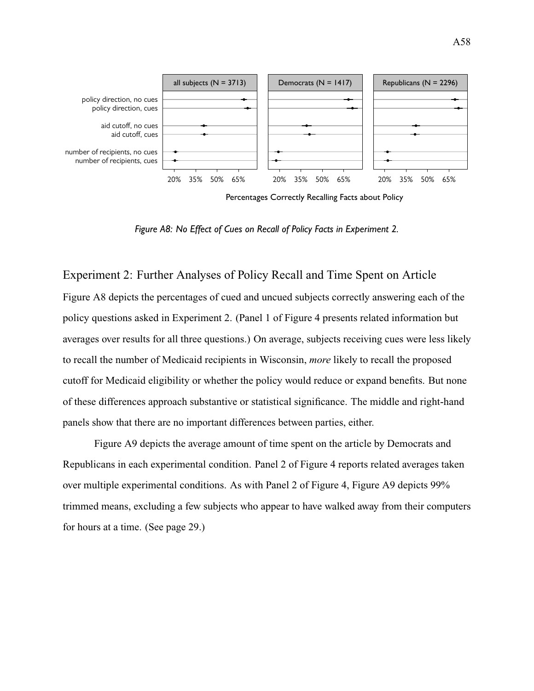<span id="page-111-0"></span>

Percentages Correctly Recalling Facts about Policy

*Figure A8: No Effect of Cues on Recall of Policy Facts in Experiment 2.*

Experiment 2: Further Analyses of Policy Recall and Time Spent on Article [Figure A8](#page-111-0) depicts the percentages of cued and uncued subjects correctly answering each of the policy questions asked in Experiment 2. (Panel 1 of [Figure 4](#page-29-0) presents related information but averages over results for all three questions.) On average, subjects receiving cues were less likely to recall the number of Medicaid recipients in Wisconsin, *more* likely to recall the proposed cutoff for Medicaid eligibility or whether the policy would reduce or expand benefits. But none of these differences approach substantive or statistical significance. The middle and right-hand panels show that there are no important differences between parties, either.

[Figure A9](#page-112-0) depicts the average amount of time spent on the article by Democrats and Republicans in each experimental condition. Panel 2 of [Figure 4](#page-29-0) reports related averages taken over multiple experimental conditions. As with Panel 2 of [Figure 4,](#page-29-0) [Figure A9](#page-112-0) depicts 99% trimmed means, excluding a few subjects who appear to have walked away from their computers for hours at a time. (See [page 29.](#page-29-0))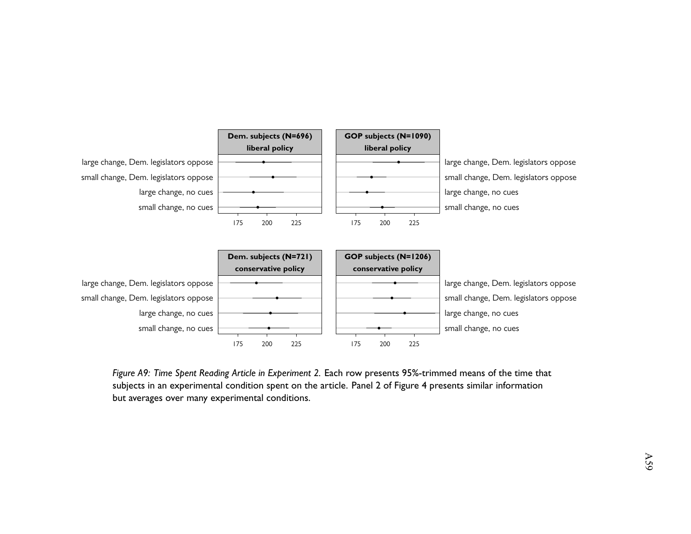<span id="page-112-0"></span>

Figure A9: Time Spent Reading Article in Experiment 2. Each row presents 95%-trimmed means of the time that subjects in an experimental condition spen<sup>t</sup> on the article. Panel 2 of [Figure](#page-29-1) 4 presents similar information but averages over many experimental conditions.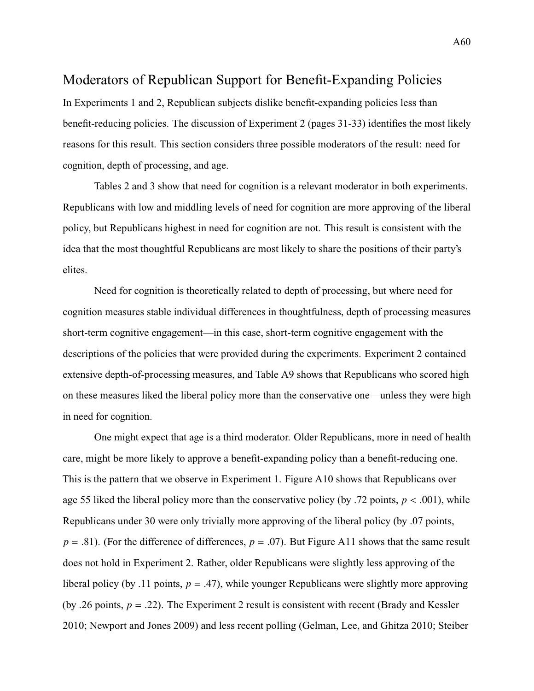## Moderators of Republican Support for Benefit-Expanding Policies

In Experiments 1 and 2, Republican subjects dislike benefit-expanding policies less than benefit-reducing policies. The discussion of Experiment 2 (pages [31-33\)](#page-0-0) identifies the most likely reasons for this result. This section considers three possible moderators of the result: need for cognition, depth of processing, and age.

Tables [2](#page-17-0) and [3](#page-26-0) show that need for cognition is a relevant moderator in both experiments. Republicans with low and middling levels of need for cognition are more approving of the liberal policy, but Republicans highest in need for cognition are not. This result is consistent with the idea that the most thoughtful Republicans are most likely to share the positions of their party's elites.

Need for cognition is theoretically related to depth of processing, but where need for cognition measures stable individual differences in thoughtfulness, depth of processing measures short-term cognitive engagement—in this case, short-term cognitive engagement with the descriptions of the policies that were provided during the experiments. Experiment 2 contained extensive depth-of-processing measures, and [Table A9](#page-114-0) shows that Republicans who scored high on these measures liked the liberal policy more than the conservative one—unless they were high in need for cognition.

One might expect that age is a third moderator. Older Republicans, more in need of health care, might be more likely to approve a benefit-expanding policy than a benefit-reducing one. This is the pattern that we observe in Experiment 1. [Figure A10](#page-116-0) shows that Republicans over age 55 liked the liberal policy more than the conservative policy (by .72 points,  $p < .001$ ), while Republicans under 30 were only trivially more approving of the liberal policy (by .07 points,  $p = .81$ ). (For the difference of differences,  $p = .07$ ). But [Figure A11](#page-117-0) shows that the same result does not hold in Experiment 2. Rather, older Republicans were slightly less approving of the liberal policy (by .11 points, *<sup>p</sup>* <sup>=</sup> .47), while younger Republicans were slightly more approving (by .26 points,  $p = .22$ ). The Experiment 2 result is consistent with recent [\(Brady and Kessler](#page-118-0)) [2010;](#page-118-0) [Newport and Jones](#page-119-0) [2009\)](#page-119-0) and less recent polling [\(Gelman, Lee, and Ghitza](#page-118-1) [2010;](#page-118-1) [Steiber](#page-120-0)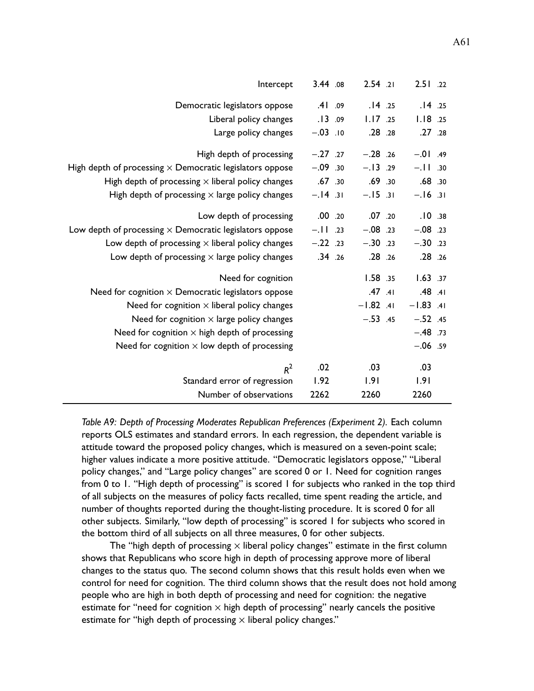<span id="page-114-0"></span>

| Intercept                                                       | 3.44 .08   |     | $2.54$ .21  | 2.51.22     |  |
|-----------------------------------------------------------------|------------|-----|-------------|-------------|--|
| Democratic legislators oppose                                   | .41        | .09 | .14.25      | .14.25      |  |
| Liberal policy changes                                          | .13        | .09 | 1.17.25     | 1.18.25     |  |
| Large policy changes                                            | $-.03$ .10 |     | .28.28      | .27 .28     |  |
| High depth of processing                                        | $-.27$ .27 |     | $-.28$ .26  | $-.01$ .49  |  |
| High depth of processing $\times$ Democratic legislators oppose | $-.09.30$  |     | $-.13.29$   | $-.11.30$   |  |
| High depth of processing $\times$ liberal policy changes        | .67.30     |     | .69.30      | .68.30      |  |
| High depth of processing $\times$ large policy changes          | $-.14.31$  |     | $-.15-.31$  | $-.16.31$   |  |
| Low depth of processing                                         | .00.20     |     | .07.20      | .10.38      |  |
| Low depth of processing $\times$ Democratic legislators oppose  | $-.11.23$  |     | $-.08$ .23  | $-.08$ .23  |  |
| Low depth of processing $\times$ liberal policy changes         | $-.22$ .23 |     | $-.30.23$   | $-.30.23$   |  |
| Low depth of processing $\times$ large policy changes           | .34.26     |     | .28.26      | .28.26      |  |
| Need for cognition                                              |            |     | 1.58.35     | 1.63.37     |  |
| Need for cognition $\times$ Democratic legislators oppose       |            |     | $.47$ $.41$ | $.48$ $.41$ |  |
| Need for cognition $\times$ liberal policy changes              |            |     | $-1.82$ .41 | $-1.83$ .41 |  |
| Need for cognition $\times$ large policy changes                |            |     | $-.53$ .45  | $-.52$ .45  |  |
| Need for cognition $\times$ high depth of processing            |            |     |             | $-.48$ .73  |  |
| Need for cognition $\times$ low depth of processing             |            |     |             | $-.06$ .59  |  |
| $R^2$                                                           | .02        |     | .03         | .03         |  |
| Standard error of regression                                    | 1.92       |     | 1.91        | 1.91        |  |
| Number of observations                                          | 2262       |     | 2260        | 2260        |  |

*Table A9: Depth of Processing Moderates Republican Preferences (Experiment 2).* Each column reports OLS estimates and standard errors. In each regression, the dependent variable is attitude toward the proposed policy changes, which is measured on a seven-point scale; higher values indicate a more positive attitude. "Democratic legislators oppose," "Liberal policy changes," and "Large policy changes" are scored 0 or 1. Need for cognition ranges from 0 to 1. "High depth of processing" is scored 1 for subjects who ranked in the top third of all subjects on the measures of policy facts recalled, time spent reading the article, and number of thoughts reported during the thought-listing procedure. It is scored 0 for all other subjects. Similarly, "low depth of processing" is scored 1 for subjects who scored in the bottom third of all subjects on all three measures, 0 for other subjects.

The "high depth of processing  $\times$  liberal policy changes" estimate in the first column shows that Republicans who score high in depth of processing approve more of liberal changes to the status quo. The second column shows that this result holds even when we control for need for cognition. The third column shows that the result does not hold among people who are high in both depth of processing and need for cognition: the negative estimate for "need for cognition  $\times$  high depth of processing" nearly cancels the positive estimate for "high depth of processing  $\times$  liberal policy changes."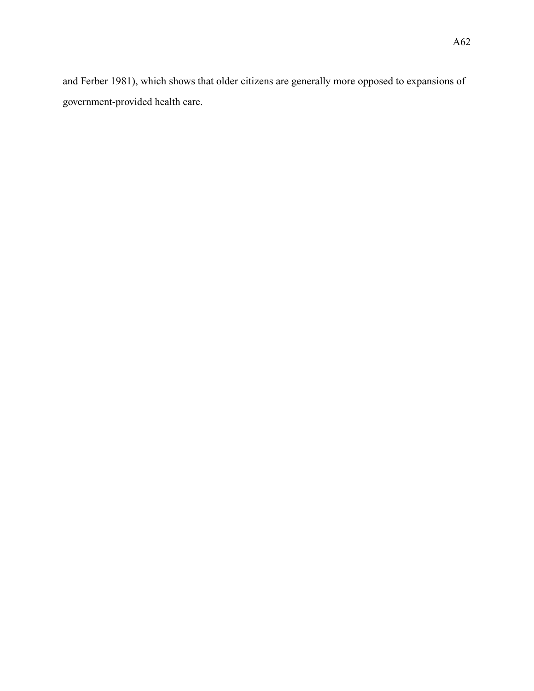[and Ferber](#page-120-0) [1981\)](#page-120-0), which shows that older citizens are generally more opposed to expansions of government-provided health care.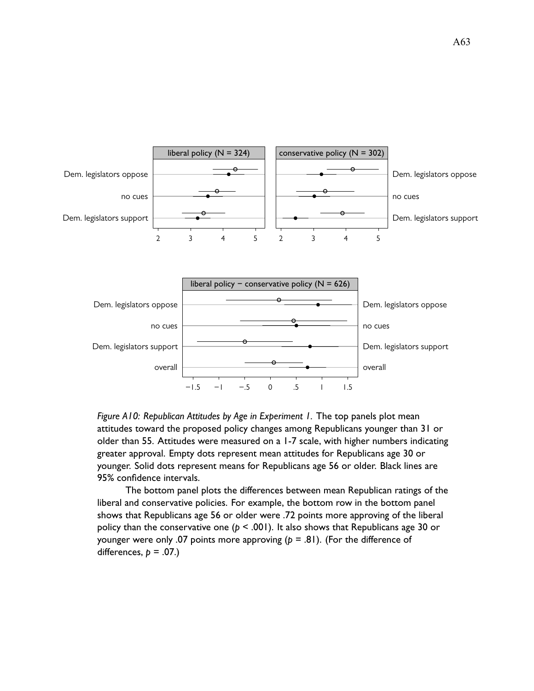<span id="page-116-0"></span>

*Figure A10: Republican Attitudes by Age in Experiment 1.* The top panels plot mean attitudes toward the proposed policy changes among Republicans younger than 31 or older than 55. Attitudes were measured on a 1-7 scale, with higher numbers indicating greater approval. Empty dots represent mean attitudes for Republicans age 30 or younger. Solid dots represent means for Republicans age 56 or older. Black lines are 95% confidence intervals.

The bottom panel plots the differences between mean Republican ratings of the liberal and conservative policies. For example, the bottom row in the bottom panel shows that Republicans age 56 or older were .72 points more approving of the liberal policy than the conservative one (*p* < .001). It also shows that Republicans age 30 or younger were only .07 points more approving  $(p = .81)$ . (For the difference of differences,  $p = .07$ .)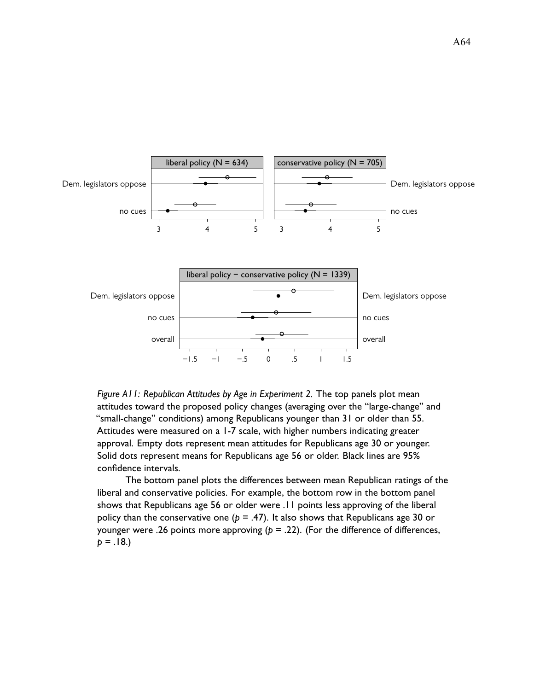<span id="page-117-0"></span>

*Figure A11: Republican Attitudes by Age in Experiment 2.* The top panels plot mean attitudes toward the proposed policy changes (averaging over the "large-change" and "small-change" conditions) among Republicans younger than 31 or older than 55. Attitudes were measured on a 1-7 scale, with higher numbers indicating greater approval. Empty dots represent mean attitudes for Republicans age 30 or younger. Solid dots represent means for Republicans age 56 or older. Black lines are 95% confidence intervals.

The bottom panel plots the differences between mean Republican ratings of the liberal and conservative policies. For example, the bottom row in the bottom panel shows that Republicans age 56 or older were .11 points less approving of the liberal policy than the conservative one ( $p = .47$ ). It also shows that Republicans age 30 or younger were .26 points more approving ( $p = .22$ ). (For the difference of differences,  $p = .18.$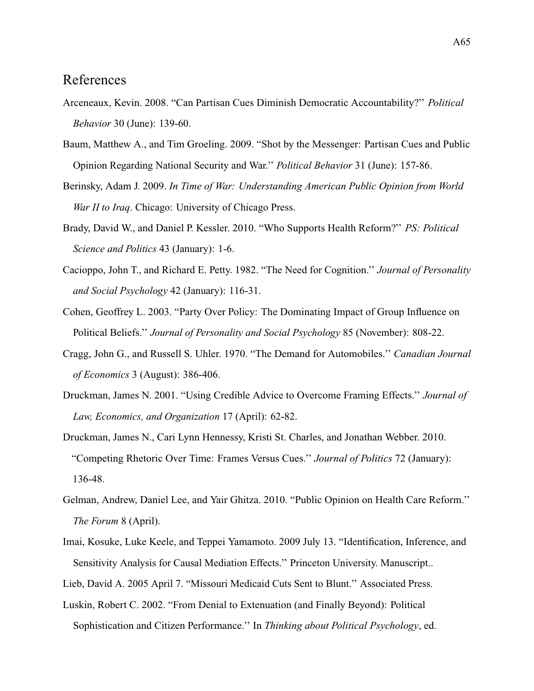## References

- Arceneaux, Kevin. 2008. "Can Partisan Cues Diminish Democratic Accountability?'' *Political Behavior* 30 (June): 139-60.
- Baum, Matthew A., and Tim Groeling. 2009. "Shot by the Messenger: Partisan Cues and Public Opinion Regarding National Security and War.'' *Political Behavior* 31 (June): 157-86.
- Berinsky, Adam J. 2009. *In Time of War: Understanding American Public Opinion from World War II to Iraq*. Chicago: University of Chicago Press.
- <span id="page-118-0"></span>Brady, David W., and Daniel P. Kessler. 2010. "Who Supports Health Reform?'' *PS: Political Science and Politics* 43 (January): 1-6.
- Cacioppo, John T., and Richard E. Petty. 1982. "The Need for Cognition.'' *Journal of Personality and Social Psychology* 42 (January): 116-31.
- Cohen, Geoffrey L. 2003. "Party Over Policy: The Dominating Impact of Group Influence on Political Beliefs.'' *Journal of Personality and Social Psychology* 85 (November): 808-22.
- Cragg, John G., and Russell S. Uhler. 1970. "The Demand for Automobiles.'' *Canadian Journal of Economics* 3 (August): 386-406.
- Druckman, James N. 2001. "Using Credible Advice to Overcome Framing Effects.'' *Journal of Law, Economics, and Organization* 17 (April): 62-82.
- Druckman, James N., Cari Lynn Hennessy, Kristi St. Charles, and Jonathan Webber. 2010. "Competing Rhetoric Over Time: Frames Versus Cues.'' *Journal of Politics* 72 (January): 136-48.
- <span id="page-118-1"></span>Gelman, Andrew, Daniel Lee, and Yair Ghitza. 2010. "Public Opinion on Health Care Reform.'' *The Forum* 8 (April).
- Imai, Kosuke, Luke Keele, and Teppei Yamamoto. 2009 July 13. "Identification, Inference, and Sensitivity Analysis for Causal Mediation Effects.'' Princeton University. Manuscript..
- Lieb, David A. 2005 April 7. "Missouri Medicaid Cuts Sent to Blunt.'' Associated Press.
- Luskin, Robert C. 2002. "From Denial to Extenuation (and Finally Beyond): Political Sophistication and Citizen Performance.'' In *Thinking about Political Psychology*, ed.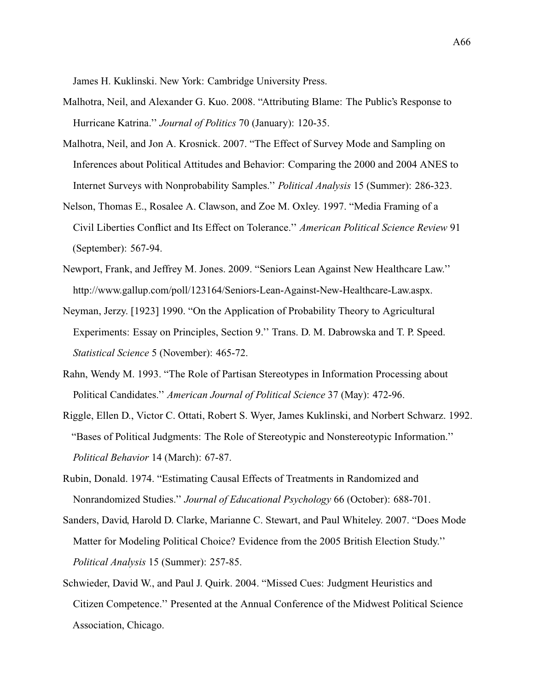James H. Kuklinski. New York: Cambridge University Press.

- Malhotra, Neil, and Alexander G. Kuo. 2008. "Attributing Blame: The Public's Response to Hurricane Katrina.'' *Journal of Politics* 70 (January): 120-35.
- Malhotra, Neil, and Jon A. Krosnick. 2007. "The Effect of Survey Mode and Sampling on Inferences about Political Attitudes and Behavior: Comparing the 2000 and 2004 ANES to Internet Surveys with Nonprobability Samples.'' *Political Analysis* 15 (Summer): 286-323.
- Nelson, Thomas E., Rosalee A. Clawson, and Zoe M. Oxley. 1997. "Media Framing of a Civil Liberties Conflict and Its Effect on Tolerance.'' *American Political Science Review* 91 (September): 567-94.
- <span id="page-119-0"></span>Newport, Frank, and Jeffrey M. Jones. 2009. "Seniors Lean Against New Healthcare Law.'' http://www.gallup.com/poll/123164/Seniors-Lean-Against-New-Healthcare-Law.aspx.
- Neyman, Jerzy. [1923] 1990. "On the Application of Probability Theory to Agricultural Experiments: Essay on Principles, Section 9.'' Trans. D. M. Dabrowska and T. P. Speed. *Statistical Science* 5 (November): 465-72.
- Rahn, Wendy M. 1993. "The Role of Partisan Stereotypes in Information Processing about Political Candidates.'' *American Journal of Political Science* 37 (May): 472-96.
- Riggle, Ellen D., Victor C. Ottati, Robert S. Wyer, James Kuklinski, and Norbert Schwarz. 1992. "Bases of Political Judgments: The Role of Stereotypic and Nonstereotypic Information.'' *Political Behavior* 14 (March): 67-87.
- Rubin, Donald. 1974. "Estimating Causal Effects of Treatments in Randomized and Nonrandomized Studies.'' *Journal of Educational Psychology* 66 (October): 688-701.
- Sanders, David, Harold D. Clarke, Marianne C. Stewart, and Paul Whiteley. 2007. "Does Mode Matter for Modeling Political Choice? Evidence from the 2005 British Election Study.'' *Political Analysis* 15 (Summer): 257-85.
- Schwieder, David W., and Paul J. Quirk. 2004. "Missed Cues: Judgment Heuristics and Citizen Competence.'' Presented at the Annual Conference of the Midwest Political Science Association, Chicago.